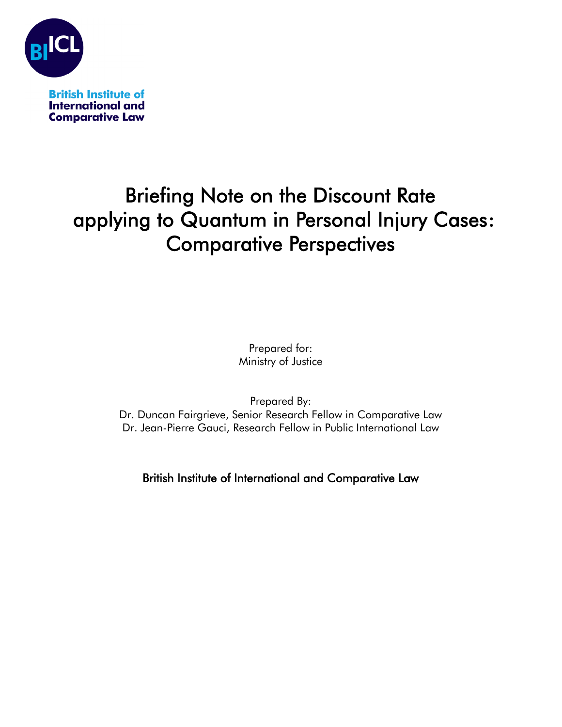

# Briefing Note on the Discount Rate applying to Quantum in Personal Injury Cases: Comparative Perspectives

Prepared for: Ministry of Justice

Prepared By:

Dr. Duncan Fairgrieve, Senior Research Fellow in Comparative Law Dr. Jean-Pierre Gauci, Research Fellow in Public International Law

British Institute of International and Comparative Law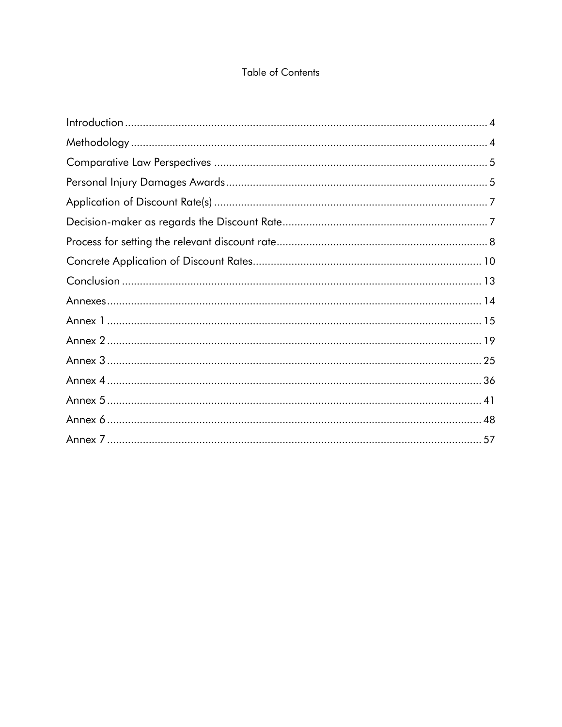## **Table of Contents**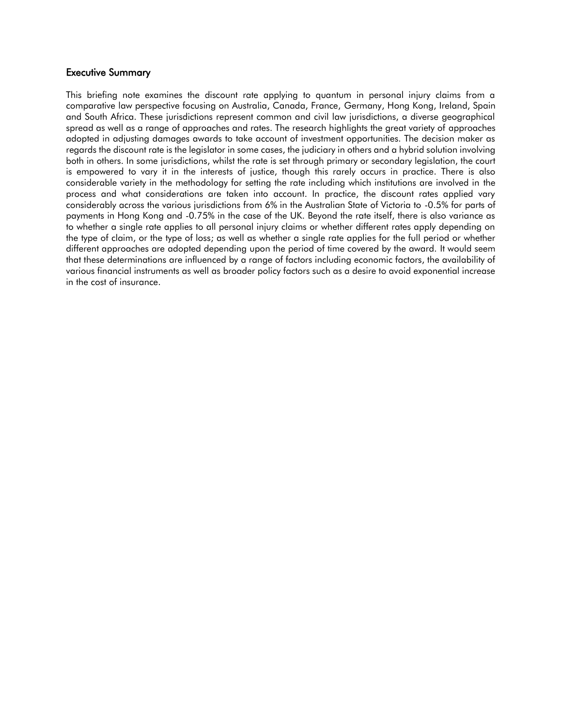#### Executive Summary

This briefing note examines the discount rate applying to quantum in personal injury claims from a comparative law perspective focusing on Australia, Canada, France, Germany, Hong Kong, Ireland, Spain and South Africa. These jurisdictions represent common and civil law jurisdictions, a diverse geographical spread as well as a range of approaches and rates. The research highlights the great variety of approaches adopted in adjusting damages awards to take account of investment opportunities. The decision maker as regards the discount rate is the legislator in some cases, the judiciary in others and a hybrid solution involving both in others. In some jurisdictions, whilst the rate is set through primary or secondary legislation, the court is empowered to vary it in the interests of justice, though this rarely occurs in practice. There is also considerable variety in the methodology for setting the rate including which institutions are involved in the process and what considerations are taken into account. In practice, the discount rates applied vary considerably across the various jurisdictions from 6% in the Australian State of Victoria to -0.5% for parts of payments in Hong Kong and -0.75% in the case of the UK. Beyond the rate itself, there is also variance as to whether a single rate applies to all personal injury claims or whether different rates apply depending on the type of claim, or the type of loss; as well as whether a single rate applies for the full period or whether different approaches are adopted depending upon the period of time covered by the award. It would seem that these determinations are influenced by a range of factors including economic factors, the availability of various financial instruments as well as broader policy factors such as a desire to avoid exponential increase in the cost of insurance.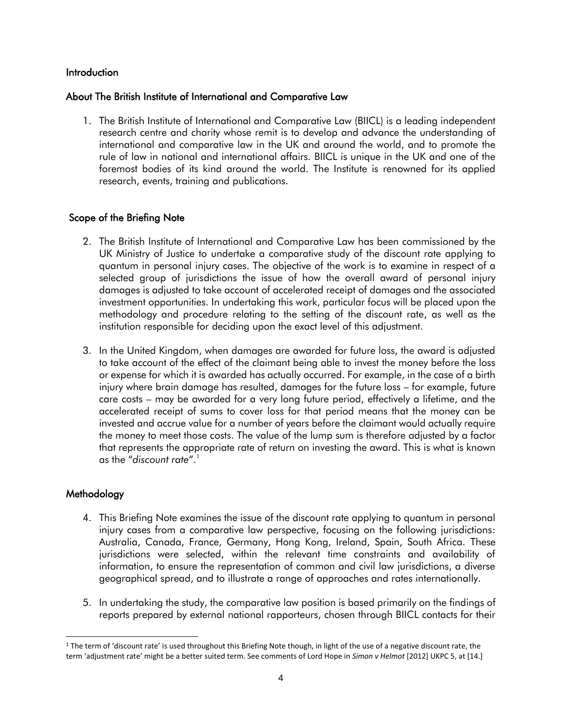#### <span id="page-3-0"></span>**Introduction**

#### About The British Institute of International and Comparative Law

1. The British Institute of International and Comparative Law (BIICL) is a leading independent research centre and charity whose remit is to develop and advance the understanding of international and comparative law in the UK and around the world, and to promote the rule of law in national and international affairs. BIICL is unique in the UK and one of the foremost bodies of its kind around the world. The Institute is renowned for its applied research, events, training and publications.

#### Scope of the Briefing Note

- 2. The British Institute of International and Comparative Law has been commissioned by the UK Ministry of Justice to undertake a comparative study of the discount rate applying to quantum in personal injury cases. The objective of the work is to examine in respect of a selected group of jurisdictions the issue of how the overall award of personal injury damages is adjusted to take account of accelerated receipt of damages and the associated investment opportunities. In undertaking this work, particular focus will be placed upon the methodology and procedure relating to the setting of the discount rate, as well as the institution responsible for deciding upon the exact level of this adjustment.
- 3. In the United Kingdom, when damages are awarded for future loss, the award is adjusted to take account of the effect of the claimant being able to invest the money before the loss or expense for which it is awarded has actually occurred. For example, in the case of a birth injury where brain damage has resulted, damages for the future loss – for example, future care costs – may be awarded for a very long future period, effectively a lifetime, and the accelerated receipt of sums to cover loss for that period means that the money can be invested and accrue value for a number of years before the claimant would actually require the money to meet those costs. The value of the lump sum is therefore adjusted by a factor that represents the appropriate rate of return on investing the award. This is what is known as the "*discount rate*".<sup>1</sup>

#### <span id="page-3-1"></span>Methodology

- 4. This Briefing Note examines the issue of the discount rate applying to quantum in personal injury cases from a comparative law perspective, focusing on the following jurisdictions: Australia, Canada, France, Germany, Hong Kong, Ireland, Spain, South Africa. These jurisdictions were selected, within the relevant time constraints and availability of information, to ensure the representation of common and civil law jurisdictions, a diverse geographical spread, and to illustrate a range of approaches and rates internationally.
- 5. In undertaking the study, the comparative law position is based primarily on the findings of reports prepared by external national rapporteurs, chosen through BIICL contacts for their

<sup>&</sup>lt;sup>1</sup> The term of 'discount rate' is used throughout this Briefing Note though, in light of the use of a negative discount rate, the term 'adjustment rate' might be a better suited term. See comments of Lord Hope in *Simon v Helmot* [2012] UKPC 5, at [14.]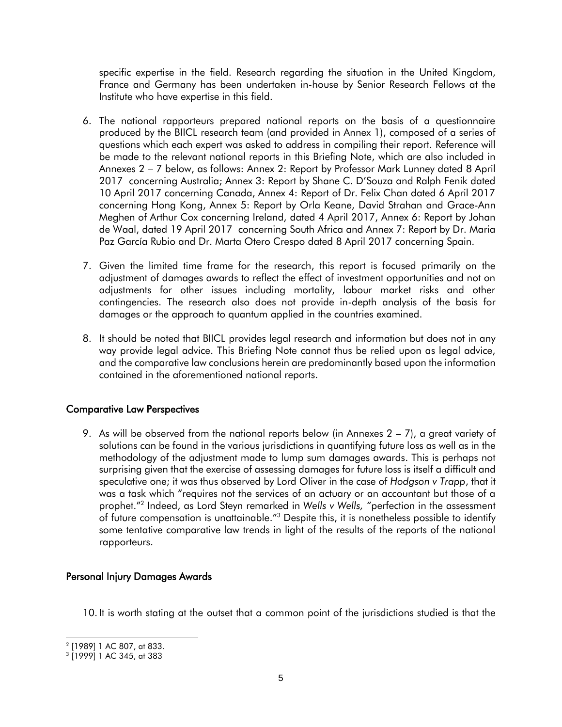specific expertise in the field. Research regarding the situation in the United Kingdom, France and Germany has been undertaken in-house by Senior Research Fellows at the Institute who have expertise in this field.

- 6. The national rapporteurs prepared national reports on the basis of a questionnaire produced by the BIICL research team (and provided in Annex 1), composed of a series of questions which each expert was asked to address in compiling their report. Reference will be made to the relevant national reports in this Briefing Note, which are also included in Annexes 2 – 7 below, as follows: Annex 2: Report by Professor Mark Lunney dated 8 April 2017 concerning Australia; Annex 3: Report by Shane C. D'Souza and Ralph Fenik dated 10 April 2017 concerning Canada, Annex 4: Report of Dr. Felix Chan dated 6 April 2017 concerning Hong Kong, Annex 5: Report by Orla Keane, David Strahan and Grace-Ann Meghen of Arthur Cox concerning Ireland, dated 4 April 2017, Annex 6: Report by Johan de Waal, dated 19 April 2017 concerning South Africa and Annex 7: Report by Dr. Maria Paz García Rubio and Dr. Marta Otero Crespo dated 8 April 2017 concerning Spain.
- 7. Given the limited time frame for the research, this report is focused primarily on the adjustment of damages awards to reflect the effect of investment opportunities and not on adjustments for other issues including mortality, labour market risks and other contingencies. The research also does not provide in-depth analysis of the basis for damages or the approach to quantum applied in the countries examined.
- 8. It should be noted that BIICL provides legal research and information but does not in any way provide legal advice. This Briefing Note cannot thus be relied upon as legal advice, and the comparative law conclusions herein are predominantly based upon the information contained in the aforementioned national reports.

## <span id="page-4-0"></span>Comparative Law Perspectives

9. As will be observed from the national reports below (in Annexes  $2 - 7$ ), a great variety of solutions can be found in the various jurisdictions in quantifying future loss as well as in the methodology of the adjustment made to lump sum damages awards. This is perhaps not surprising given that the exercise of assessing damages for future loss is itself a difficult and speculative one; it was thus observed by Lord Oliver in the case of *Hodgson v Trapp*, that it was a task which "requires not the services of an actuary or an accountant but those of a prophet."<sup>2</sup> Indeed, as Lord Steyn remarked in *Wells v Wells, "*perfection in the assessment of future compensation is unattainable.<sup>"3</sup> Despite this, it is nonetheless possible to identify some tentative comparative law trends in light of the results of the reports of the national rapporteurs.

#### <span id="page-4-1"></span>Personal Injury Damages Awards

10. It is worth stating at the outset that a common point of the jurisdictions studied is that the

<sup>2</sup> [1989] 1 AC 807, at 833.

<sup>3</sup> [1999] 1 AC 345, at 383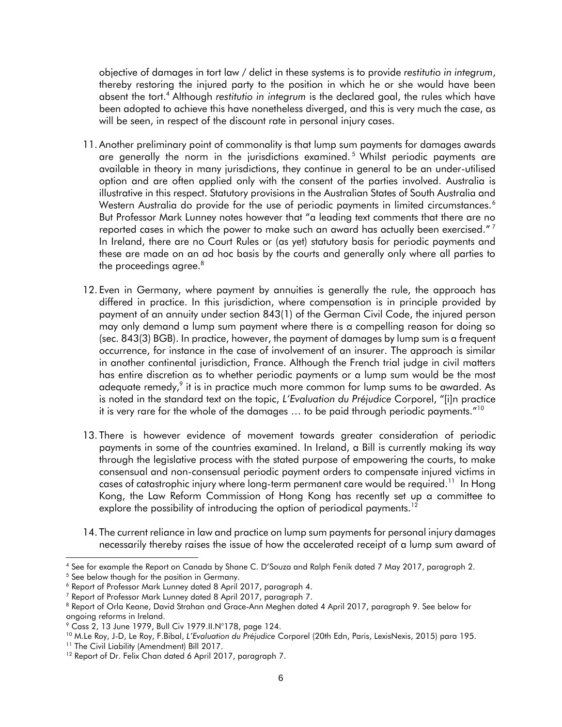objective of damages in tort law / delict in these systems is to provide *restitutio in integrum*, thereby restoring the injured party to the position in which he or she would have been absent the tort. <sup>4</sup> Although *restitutio in integrum* is the declared goal, the rules which have been adopted to achieve this have nonetheless diverged, and this is very much the case, as will be seen, in respect of the discount rate in personal injury cases.

- 11. Another preliminary point of commonality is that lump sum payments for damages awards are generally the norm in the jurisdictions examined.<sup>5</sup> Whilst periodic payments are available in theory in many jurisdictions, they continue in general to be an under-utilised option and are often applied only with the consent of the parties involved. Australia is illustrative in this respect. Statutory provisions in the Australian States of South Australia and Western Australia do provide for the use of periodic payments in limited circumstances.<sup>6</sup> But Professor Mark Lunney notes however that "a leading text comments that there are no reported cases in which the power to make such an award has actually been exercised."  $^7$ In Ireland, there are no Court Rules or (as yet) statutory basis for periodic payments and these are made on an ad hoc basis by the courts and generally only where all parties to the proceedings agree. $8$
- 12. Even in Germany, where payment by annuities is generally the rule, the approach has differed in practice. In this jurisdiction, where compensation is in principle provided by payment of an annuity under section 843(1) of the German Civil Code, the injured person may only demand a lump sum payment where there is a compelling reason for doing so (sec. 843(3) BGB). In practice, however, the payment of damages by lump sum is a frequent occurrence, for instance in the case of involvement of an insurer. The approach is similar in another continental jurisdiction, France. Although the French trial judge in civil matters has entire discretion as to whether periodic payments or a lump sum would be the most adequate remedy, $^{\circ}$  it is in practice much more common for lump sums to be awarded. As is noted in the standard text on the topic, *L'Evaluation du Préjudice* Corporel, "[i]n practice it is very rare for the whole of the damages … to be paid through periodic payments."<sup>10</sup>
- 13. There is however evidence of movement towards greater consideration of periodic payments in some of the countries examined. In Ireland, a Bill is currently making its way through the legislative process with the stated purpose of empowering the courts, to make consensual and non-consensual periodic payment orders to compensate injured victims in cases of catastrophic injury where long-term permanent care would be required.<sup>11</sup> In Hong Kong, the Law Reform Commission of Hong Kong has recently set up a committee to explore the possibility of introducing the option of periodical payments.<sup>12</sup>
- 14. The current reliance in law and practice on lump sum payments for personal injury damages necessarily thereby raises the issue of how the accelerated receipt of a lump sum award of

l <sup>4</sup> See for example the Report on Canada by Shane C. D'Souza and Ralph Fenik dated 7 May 2017, paragraph 2.

<sup>&</sup>lt;sup>5</sup> See below though for the position in Germany.

<sup>6</sup> Report of Professor Mark Lunney dated 8 April 2017, paragraph 4.

<sup>7</sup> Report of Professor Mark Lunney dated 8 April 2017, paragraph 7.

<sup>8</sup> Report of Orla Keane, David Strahan and Grace-Ann Meghen dated 4 April 2017, paragraph 9. See below for ongoing reforms in Ireland.

<sup>9</sup> Cass 2, 13 June 1979, Bull Civ 1979.II.N°178, page 124.

<sup>10</sup> M.Le Roy, J-D, Le Roy, F.Bibal, *L'Evaluation du Préjudice* Corporel (20th Edn, Paris, LexisNexis, 2015) para 195.

<sup>&</sup>lt;sup>11</sup> The Civil Liability (Amendment) Bill 2017.

<sup>&</sup>lt;sup>12</sup> Report of Dr. Felix Chan dated 6 April 2017, paragraph 7.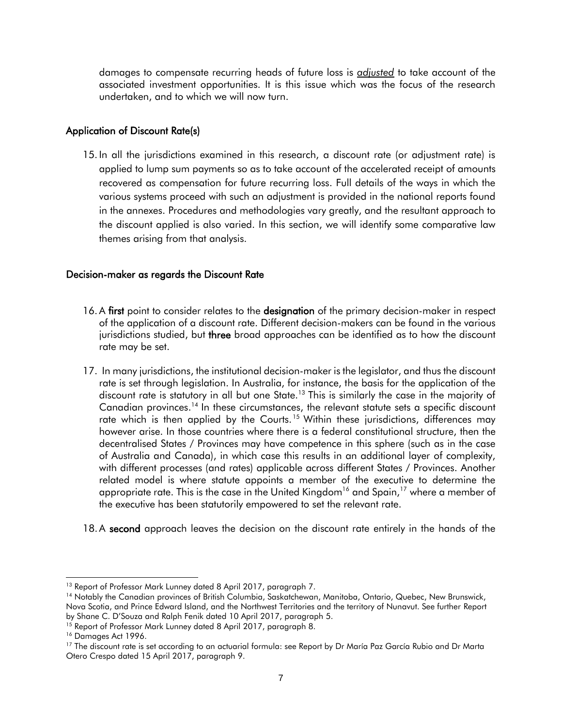damages to compensate recurring heads of future loss is *adjusted* to take account of the associated investment opportunities. It is this issue which was the focus of the research undertaken, and to which we will now turn.

### <span id="page-6-0"></span>Application of Discount Rate(s)

15. In all the jurisdictions examined in this research, a discount rate (or adjustment rate) is applied to lump sum payments so as to take account of the accelerated receipt of amounts recovered as compensation for future recurring loss. Full details of the ways in which the various systems proceed with such an adjustment is provided in the national reports found in the annexes. Procedures and methodologies vary greatly, and the resultant approach to the discount applied is also varied. In this section, we will identify some comparative law themes arising from that analysis.

## <span id="page-6-1"></span>Decision-maker as regards the Discount Rate

- 16. A first point to consider relates to the designation of the primary decision-maker in respect of the application of a discount rate. Different decision-makers can be found in the various jurisdictions studied, but three broad approaches can be identified as to how the discount rate may be set.
- 17. In many jurisdictions, the institutional decision-maker is the legislator, and thus the discount rate is set through legislation. In Australia, for instance, the basis for the application of the discount rate is statutory in all but one State.<sup>13</sup> This is similarly the case in the majority of Canadian provinces.<sup>14</sup> In these circumstances, the relevant statute sets a specific discount rate which is then applied by the Courts.<sup>15</sup> Within these jurisdictions, differences may however arise. In those countries where there is a federal constitutional structure, then the decentralised States / Provinces may have competence in this sphere (such as in the case of Australia and Canada), in which case this results in an additional layer of complexity, with different processes (and rates) applicable across different States / Provinces. Another related model is where statute appoints a member of the executive to determine the appropriate rate. This is the case in the United Kingdom $^{16}$  and Spain, $^{17}$  where a member of the executive has been statutorily empowered to set the relevant rate.
- 18. A second approach leaves the decision on the discount rate entirely in the hands of the

l <sup>13</sup> Report of Professor Mark Lunney dated 8 April 2017, paragraph 7.

<sup>14</sup> Notably the Canadian provinces of British Columbia, Saskatchewan, Manitoba, Ontario, Quebec, New Brunswick, Nova Scotia, and Prince Edward Island, and the Northwest Territories and the territory of Nunavut. See further Report by Shane C. D'Souza and Ralph Fenik dated 10 April 2017, paragraph 5.

<sup>&</sup>lt;sup>15</sup> Report of Professor Mark Lunney dated 8 April 2017, paragraph 8.

<sup>&</sup>lt;sup>16</sup> Damages Act 1996.

<sup>&</sup>lt;sup>17</sup> The discount rate is set according to an actuarial formula: see Report by Dr María Paz García Rubio and Dr Marta Otero Crespo dated 15 April 2017, paragraph 9.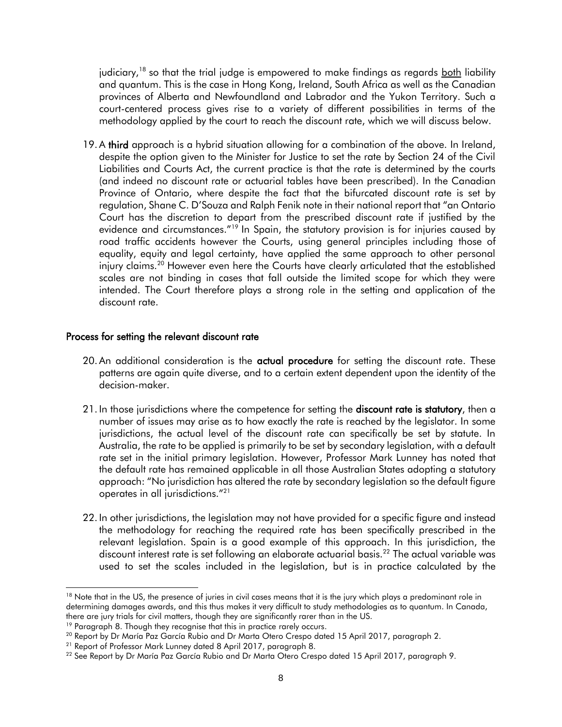judiciary,<sup>18</sup> so that the trial judge is empowered to make findings as regards <u>both</u> liability and quantum. This is the case in Hong Kong, Ireland, South Africa as well as the Canadian provinces of Alberta and Newfoundland and Labrador and the Yukon Territory. Such a court-centered process gives rise to a variety of different possibilities in terms of the methodology applied by the court to reach the discount rate, which we will discuss below.

19. A third approach is a hybrid situation allowing for a combination of the above. In Ireland, despite the option given to the Minister for Justice to set the rate by Section 24 of the Civil Liabilities and Courts Act, the current practice is that the rate is determined by the courts (and indeed no discount rate or actuarial tables have been prescribed). In the Canadian Province of Ontario, where despite the fact that the bifurcated discount rate is set by regulation, Shane C. D'Souza and Ralph Fenik note in their national report that "an Ontario Court has the discretion to depart from the prescribed discount rate if justified by the evidence and circumstances.<sup>"19</sup> In Spain, the statutory provision is for injuries caused by road traffic accidents however the Courts, using general principles including those of equality, equity and legal certainty, have applied the same approach to other personal injury claims.<sup>20</sup> However even here the Courts have clearly articulated that the established scales are not binding in cases that fall outside the limited scope for which they were intended. The Court therefore plays a strong role in the setting and application of the discount rate.

#### <span id="page-7-0"></span>Process for setting the relevant discount rate

- 20. An additional consideration is the **actual procedure** for setting the discount rate. These patterns are again quite diverse, and to a certain extent dependent upon the identity of the decision-maker.
- 21. In those jurisdictions where the competence for setting the **discount rate is statutory**, then a number of issues may arise as to how exactly the rate is reached by the legislator. In some jurisdictions, the actual level of the discount rate can specifically be set by statute. In Australia, the rate to be applied is primarily to be set by secondary legislation, with a default rate set in the initial primary legislation. However, Professor Mark Lunney has noted that the default rate has remained applicable in all those Australian States adopting a statutory approach: "No jurisdiction has altered the rate by secondary legislation so the default figure operates in all jurisdictions." 21
- 22. In other jurisdictions, the legislation may not have provided for a specific figure and instead the methodology for reaching the required rate has been specifically prescribed in the relevant legislation. Spain is a good example of this approach. In this jurisdiction, the discount interest rate is set following an elaborate actuarial basis.<sup>22</sup> The actual variable was used to set the scales included in the legislation, but is in practice calculated by the

<sup>&</sup>lt;sup>18</sup> Note that in the US, the presence of juries in civil cases means that it is the jury which plays a predominant role in determining damages awards, and this thus makes it very difficult to study methodologies as to quantum. In Canada, there are jury trials for civil matters, though they are significantly rarer than in the US.

<sup>&</sup>lt;sup>19</sup> Paragraph 8. Though they recognise that this in practice rarely occurs.

<sup>&</sup>lt;sup>20</sup> Report by Dr María Paz García Rubio and Dr Marta Otero Crespo dated 15 April 2017, paragraph 2.

<sup>21</sup> Report of Professor Mark Lunney dated 8 April 2017, paragraph 8.

<sup>&</sup>lt;sup>22</sup> See Report by Dr María Paz García Rubio and Dr Marta Otero Crespo dated 15 April 2017, paragraph 9.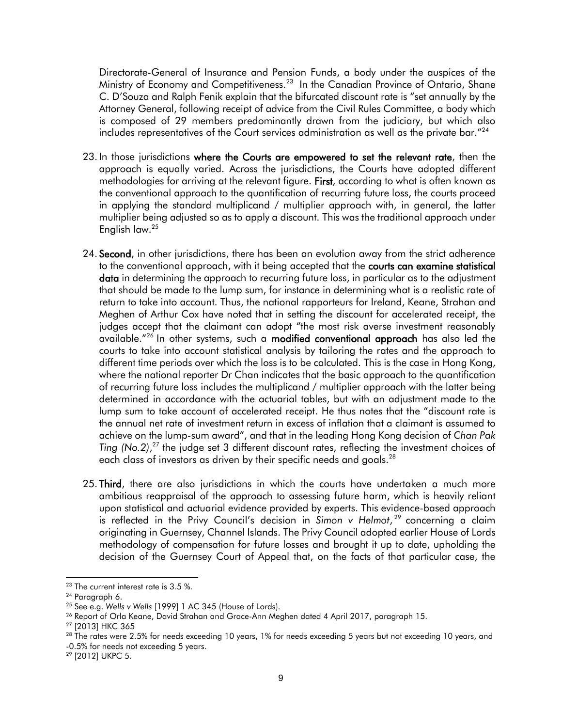Directorate-General of Insurance and Pension Funds, a body under the auspices of the Ministry of Economy and Competitiveness.<sup>23</sup> In the Canadian Province of Ontario, Shane C. D'Souza and Ralph Fenik explain that the bifurcated discount rate is "set annually by the Attorney General, following receipt of advice from the Civil Rules Committee, a body which is composed of 29 members predominantly drawn from the judiciary, but which also includes representatives of the Court services administration as well as the private bar."<sup>24</sup>

- 23. In those jurisdictions where the Courts are empowered to set the relevant rate, then the approach is equally varied. Across the jurisdictions, the Courts have adopted different methodologies for arriving at the relevant figure. First, according to what is often known as the conventional approach to the quantification of recurring future loss, the courts proceed in applying the standard multiplicand / multiplier approach with, in general, the latter multiplier being adjusted so as to apply a discount. This was the traditional approach under English law.<sup>25</sup>
- 24. Second, in other jurisdictions, there has been an evolution away from the strict adherence to the conventional approach, with it being accepted that the **courts can examine statistical** data in determining the approach to recurring future loss, in particular as to the adjustment that should be made to the lump sum, for instance in determining what is a realistic rate of return to take into account. Thus, the national rapporteurs for Ireland, Keane, Strahan and Meghen of Arthur Cox have noted that in setting the discount for accelerated receipt, the judges accept that the claimant can adopt "the most risk averse investment reasonably available."<sup>26</sup> In other systems, such a modified conventional approach has also led the courts to take into account statistical analysis by tailoring the rates and the approach to different time periods over which the loss is to be calculated. This is the case in Hong Kong, where the national reporter Dr Chan indicates that the basic approach to the quantification of recurring future loss includes the multiplicand / multiplier approach with the latter being determined in accordance with the actuarial tables, but with an adjustment made to the lump sum to take account of accelerated receipt. He thus notes that the "discount rate is the annual net rate of investment return in excess of inflation that a claimant is assumed to achieve on the lump-sum award", and that in the leading Hong Kong decision of *Chan Pak Ting (No.2)*, <sup>27</sup> the judge set 3 different discount rates, reflecting the investment choices of each class of investors as driven by their specific needs and goals.<sup>28</sup>
- 25. Third, there are also jurisdictions in which the courts have undertaken a much more ambitious reappraisal of the approach to assessing future harm, which is heavily reliant upon statistical and actuarial evidence provided by experts. This evidence-based approach is reflected in the Privy Council's decision in *Simon v Helmot*, <sup>29</sup> concerning a claim originating in Guernsey, Channel Islands. The Privy Council adopted earlier House of Lords methodology of compensation for future losses and brought it up to date, upholding the decision of the Guernsey Court of Appeal that, on the facts of that particular case, the

 $^{23}$  The current interest rate is 3.5 %.

<sup>24</sup> Paragraph 6.

<sup>25</sup> See e.g. *Wells v Wells* [1999] 1 AC 345 (House of Lords).

<sup>26</sup> Report of Orla Keane, David Strahan and Grace-Ann Meghen dated 4 April 2017, paragraph 15.

<sup>27</sup> [2013] HKC 365

<sup>&</sup>lt;sup>28</sup> The rates were 2.5% for needs exceeding 10 years, 1% for needs exceeding 5 years but not exceeding 10 years, and -0.5% for needs not exceeding 5 years.

<sup>29</sup> [2012] UKPC 5.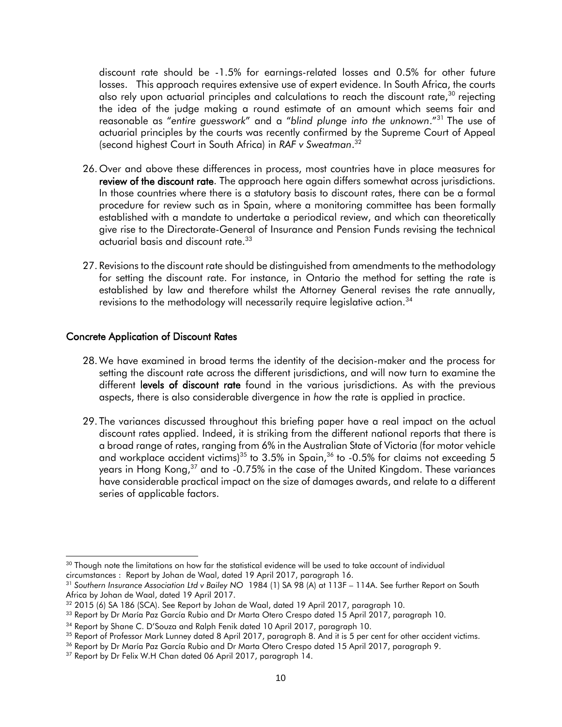discount rate should be -1.5% for earnings-related losses and 0.5% for other future losses. This approach requires extensive use of expert evidence. In South Africa, the courts also rely upon actuarial principles and calculations to reach the discount rate,<sup>30</sup> rejectina the idea of the judge making a round estimate of an amount which seems fair and reasonable as "*entire guesswork*" and a "*blind plunge into the unknown*."<sup>31</sup> The use of actuarial principles by the courts was recently confirmed by the Supreme Court of Appeal (second highest Court in South Africa) in *RAF v Sweatman*. 32

- 26. Over and above these differences in process, most countries have in place measures for review of the discount rate. The approach here again differs somewhat across jurisdictions. In those countries where there is a statutory basis to discount rates, there can be a formal procedure for review such as in Spain, where a monitoring committee has been formally established with a mandate to undertake a periodical review, and which can theoretically give rise to the Directorate-General of Insurance and Pension Funds revising the technical actuarial basis and discount rate.<sup>33</sup>
- 27. Revisions to the discount rate should be distinguished from amendments to the methodology for setting the discount rate. For instance, in Ontario the method for setting the rate is established by law and therefore whilst the Attorney General revises the rate annually, revisions to the methodology will necessarily require legislative action.<sup>34</sup>

#### <span id="page-9-0"></span>Concrete Application of Discount Rates

- 28. We have examined in broad terms the identity of the decision-maker and the process for setting the discount rate across the different jurisdictions, and will now turn to examine the different levels of discount rate found in the various jurisdictions. As with the previous aspects, there is also considerable divergence in *how* the rate is applied in practice.
- 29. The variances discussed throughout this briefing paper have a real impact on the actual discount rates applied. Indeed, it is striking from the different national reports that there is a broad range of rates, ranging from 6% in the Australian State of Victoria (for motor vehicle and workplace accident victims)<sup>35</sup> to  $3.5\%$  in Spain,<sup>36</sup> to -0.5% for claims not exceeding 5 years in Hong Kong, $37$  and to -0.75% in the case of the United Kingdom. These variances have considerable practical impact on the size of damages awards, and relate to a different series of applicable factors.

<sup>&</sup>lt;sup>30</sup> Though note the limitations on how far the statistical evidence will be used to take account of individual circumstances : Report by Johan de Waal, dated 19 April 2017, paragraph 16.

<sup>31</sup> *Southern Insurance Association Ltd v Bailey NO* 1984 (1) SA 98 (A) at 113F – 114A. See further Report on South Africa by Johan de Waal, dated 19 April 2017.

<sup>&</sup>lt;sup>32</sup> 2015 (6) SA 186 (SCA). See Report by Johan de Waal, dated 19 April 2017, paragraph 10.

<sup>33</sup> Report by Dr María Paz García Rubio and Dr Marta Otero Crespo dated 15 April 2017, paragraph 10.

<sup>&</sup>lt;sup>34</sup> Report by Shane C. D'Souza and Ralph Fenik dated 10 April 2017, paragraph 10.

<sup>35</sup> Report of Professor Mark Lunney dated 8 April 2017, paragraph 8. And it is 5 per cent for other accident victims.

<sup>&</sup>lt;sup>36</sup> Report by Dr María Paz García Rubio and Dr Marta Otero Crespo dated 15 April 2017, paragraph 9.

<sup>&</sup>lt;sup>37</sup> Report by Dr Felix W.H Chan dated 06 April 2017, paragraph 14.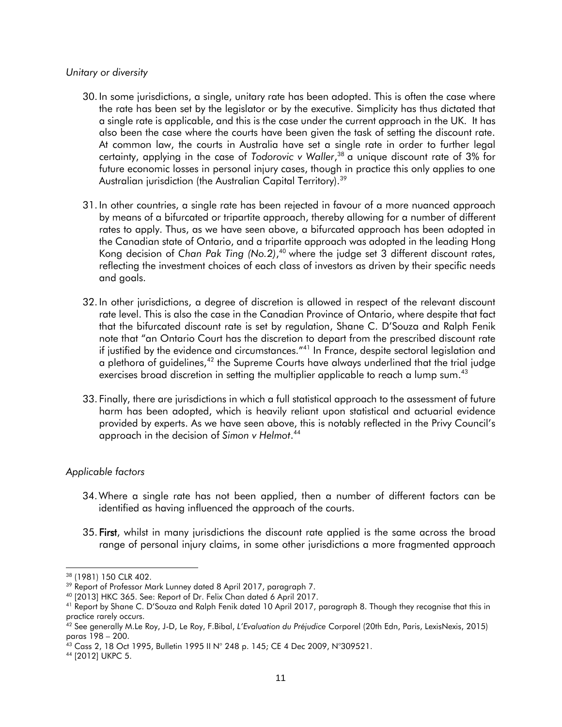#### *Unitary or diversity*

- 30. In some jurisdictions, a single, unitary rate has been adopted. This is often the case where the rate has been set by the legislator or by the executive. Simplicity has thus dictated that a single rate is applicable, and this is the case under the current approach in the UK. It has also been the case where the courts have been given the task of setting the discount rate. At common law, the courts in Australia have set a single rate in order to further legal certainty, applying in the case of *Todorovic v Waller*, <sup>38</sup> a unique discount rate of 3% for future economic losses in personal injury cases, though in practice this only applies to one Australian jurisdiction (the Australian Capital Territory).<sup>39</sup>
- 31. In other countries, a single rate has been rejected in favour of a more nuanced approach by means of a bifurcated or tripartite approach, thereby allowing for a number of different rates to apply. Thus, as we have seen above, a bifurcated approach has been adopted in the Canadian state of Ontario, and a tripartite approach was adopted in the leading Hong Kong decision of *Chan Pak Ting (No.2)*, <sup>40</sup> where the judge set 3 different discount rates, reflecting the investment choices of each class of investors as driven by their specific needs and goals.
- 32. In other jurisdictions, a degree of discretion is allowed in respect of the relevant discount rate level. This is also the case in the Canadian Province of Ontario, where despite that fact that the bifurcated discount rate is set by regulation, Shane C. D'Souza and Ralph Fenik note that "an Ontario Court has the discretion to depart from the prescribed discount rate if justified by the evidence and circumstances."<sup>41</sup> In France, despite sectoral legislation and a plethora of guidelines, $42$  the Supreme Courts have always underlined that the trial judge exercises broad discretion in setting the multiplier applicable to reach a lump sum.<sup>43</sup>
- 33. Finally, there are jurisdictions in which a full statistical approach to the assessment of future harm has been adopted, which is heavily reliant upon statistical and actuarial evidence provided by experts. As we have seen above, this is notably reflected in the Privy Council's approach in the decision of *Simon v Helmot*. 44

#### *Applicable factors*

- 34.Where a single rate has not been applied, then a number of different factors can be identified as having influenced the approach of the courts.
- 35. First, whilst in many jurisdictions the discount rate applied is the same across the broad range of personal injury claims, in some other jurisdictions a more fragmented approach

<sup>38</sup> (1981) 150 CLR 402.

<sup>&</sup>lt;sup>39</sup> Report of Professor Mark Lunney dated 8 April 2017, paragraph 7.

<sup>40</sup> [2013] HKC 365. See: Report of Dr. Felix Chan dated 6 April 2017.

<sup>41</sup> Report by Shane C. D'Souza and Ralph Fenik dated 10 April 2017, paragraph 8. Though they recognise that this in practice rarely occurs.

<sup>42</sup> See generally M.Le Roy, J-D, Le Roy, F.Bibal, *L'Evaluation du Préjudice* Corporel (20th Edn, Paris, LexisNexis, 2015) paras 198 – 200.

 $^{43}$  Cass 2, 18 Oct 1995, Bulletin 1995 II N° 248 p. 145; CE 4 Dec 2009, N°309521.

<sup>44</sup> [2012] UKPC 5.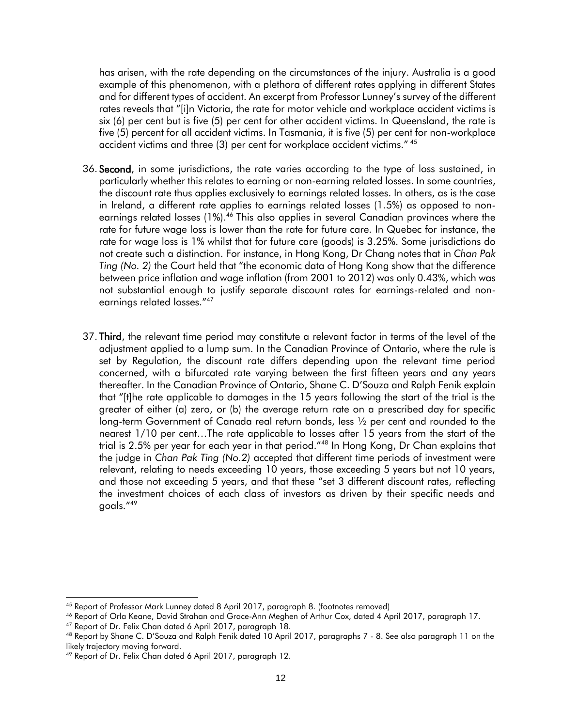has arisen, with the rate depending on the circumstances of the injury. Australia is a good example of this phenomenon, with a plethora of different rates applying in different States and for different types of accident. An excerpt from Professor Lunney's survey of the different rates reveals that "[i]n Victoria, the rate for motor vehicle and workplace accident victims is six (6) per cent but is five (5) per cent for other accident victims. In Queensland, the rate is five (5) percent for all accident victims. In Tasmania, it is five (5) per cent for non-workplace accident victims and three (3) per cent for workplace accident victims." 45

- 36. Second, in some jurisdictions, the rate varies according to the type of loss sustained, in particularly whether this relates to earning or non-earning related losses. In some countries, the discount rate thus applies exclusively to earnings related losses. In others, as is the case in Ireland, a different rate applies to earnings related losses (1.5%) as opposed to nonearnings related losses (1%).<sup>46</sup> This also applies in several Canadian provinces where the rate for future wage loss is lower than the rate for future care. In Quebec for instance, the rate for wage loss is 1% whilst that for future care (goods) is 3.25%. Some jurisdictions do not create such a distinction. For instance, in Hong Kong, Dr Chang notes that in *Chan Pak Ting (No. 2)* the Court held that "the economic data of Hong Kong show that the difference between price inflation and wage inflation (from 2001 to 2012) was only 0.43%, which was not substantial enough to justify separate discount rates for earnings-related and nonearnings related losses."<sup>47</sup>
- 37. Third, the relevant time period may constitute a relevant factor in terms of the level of the adjustment applied to a lump sum. In the Canadian Province of Ontario, where the rule is set by Regulation, the discount rate differs depending upon the relevant time period concerned, with a bifurcated rate varying between the first fifteen years and any years thereafter. In the Canadian Province of Ontario, Shane C. D'Souza and Ralph Fenik explain that "[t]he rate applicable to damages in the 15 years following the start of the trial is the greater of either (a) zero, or (b) the average return rate on a prescribed day for specific long-term Government of Canada real return bonds, less 1/2 per cent and rounded to the nearest 1/10 per cent…The rate applicable to losses after 15 years from the start of the trial is 2.5% per year for each year in that period."<sup>48</sup> In Hong Kong, Dr Chan explains that the judge in *Chan Pak Ting (No.2)* accepted that different time periods of investment were relevant, relating to needs exceeding 10 years, those exceeding 5 years but not 10 years, and those not exceeding 5 years, and that these "set 3 different discount rates, reflecting the investment choices of each class of investors as driven by their specific needs and goals."<sup>49</sup>

l <sup>45</sup> Report of Professor Mark Lunney dated 8 April 2017, paragraph 8. (footnotes removed)

<sup>46</sup> Report of Orla Keane, David Strahan and Grace-Ann Meghen of Arthur Cox, dated 4 April 2017, paragraph 17.

<sup>47</sup> Report of Dr. Felix Chan dated 6 April 2017, paragraph 18.

<sup>48</sup> Report by Shane C. D'Souza and Ralph Fenik dated 10 April 2017, paragraphs 7 - 8. See also paragraph 11 on the likely trajectory moving forward.

<sup>49</sup> Report of Dr. Felix Chan dated 6 April 2017, paragraph 12.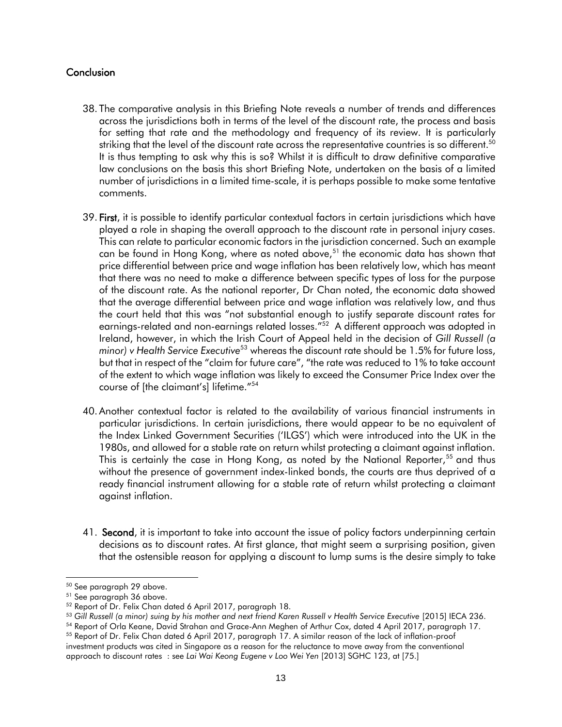## <span id="page-12-0"></span>**Conclusion**

- 38. The comparative analysis in this Briefing Note reveals a number of trends and differences across the jurisdictions both in terms of the level of the discount rate, the process and basis for setting that rate and the methodology and frequency of its review. It is particularly striking that the level of the discount rate across the representative countries is so different.<sup>50</sup> It is thus tempting to ask why this is so? Whilst it is difficult to draw definitive comparative law conclusions on the basis this short Briefing Note, undertaken on the basis of a limited number of jurisdictions in a limited time-scale, it is perhaps possible to make some tentative comments.
- 39. First, it is possible to identify particular contextual factors in certain jurisdictions which have played a role in shaping the overall approach to the discount rate in personal injury cases. This can relate to particular economic factors in the jurisdiction concerned. Such an example can be found in Hong Kong, where as noted above,<sup>51</sup> the economic data has shown that price differential between price and wage inflation has been relatively low, which has meant that there was no need to make a difference between specific types of loss for the purpose of the discount rate. As the national reporter, Dr Chan noted, the economic data showed that the average differential between price and wage inflation was relatively low, and thus the court held that this was "not substantial enough to justify separate discount rates for earnings-related and non-earnings related losses."<sup>52</sup> A different approach was adopted in Ireland, however, in which the Irish Court of Appeal held in the decision of *Gill Russell (a minor) v Health Service Executive*<sup>53</sup> whereas the discount rate should be 1.5% for future loss, but that in respect of the "claim for future care", "the rate was reduced to 1% to take account of the extent to which wage inflation was likely to exceed the Consumer Price Index over the course of [the claimant's] lifetime."<sup>54</sup>
- 40. Another contextual factor is related to the availability of various financial instruments in particular jurisdictions. In certain jurisdictions, there would appear to be no equivalent of the Index Linked Government Securities ('ILGS') which were introduced into the UK in the 1980s, and allowed for a stable rate on return whilst protecting a claimant against inflation. This is certainly the case in Hong Kong, as noted by the National Reporter,<sup>55</sup> and thus without the presence of government index-linked bonds, the courts are thus deprived of a ready financial instrument allowing for a stable rate of return whilst protecting a claimant against inflation.
- 41. **Second**, it is important to take into account the issue of policy factors underpinning certain decisions as to discount rates. At first glance, that might seem a surprising position, given that the ostensible reason for applying a discount to lump sums is the desire simply to take

l <sup>50</sup> See paragraph 29 above.

<sup>51</sup> See paragraph 36 above.

<sup>52</sup> Report of Dr. Felix Chan dated 6 April 2017, paragraph 18.

<sup>53</sup> *[Gill Russell \(a minor\) suing by his mother and next friend Karen Russell v Health Service Executive](http://www.courts.ie/Judgments.nsf/bce24a8184816f1580256ef30048ca50/540733a66f93dc0580257efa005f0b7d?OpenDocument)* [2015] IECA 236.

<sup>54</sup> Report of Orla Keane, David Strahan and Grace-Ann Meghen of Arthur Cox, dated 4 April 2017, paragraph 17.

<sup>55</sup> Report of Dr. Felix Chan dated 6 April 2017, paragraph 17. A similar reason of the lack of inflation-proof investment products was cited in Singapore as a reason for the reluctance to move away from the conventional approach to discount rates : see *Lai Wai Keong Eugene v Loo Wei Yen* [2013] SGHC 123, at [75.]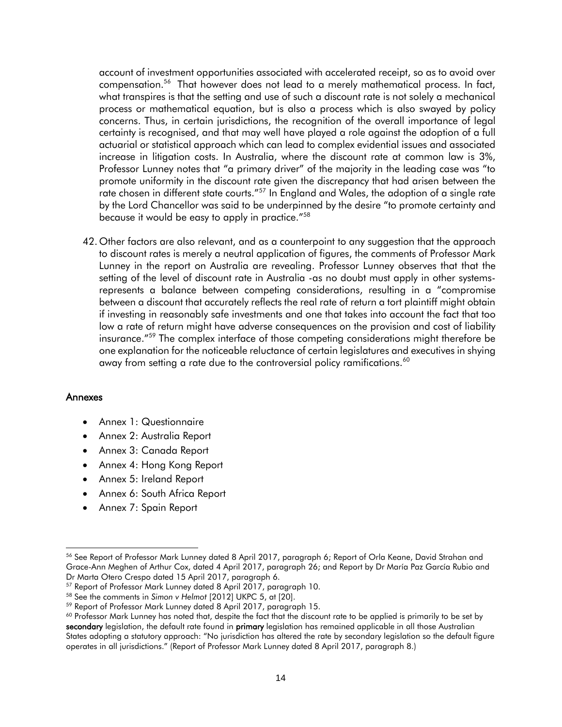account of investment opportunities associated with accelerated receipt, so as to avoid over compensation.<sup>56</sup> That however does not lead to a merely mathematical process. In fact, what transpires is that the setting and use of such a discount rate is not solely a mechanical process or mathematical equation, but is also a process which is also swayed by policy concerns. Thus, in certain jurisdictions, the recognition of the overall importance of legal certainty is recognised, and that may well have played a role against the adoption of a full actuarial or statistical approach which can lead to complex evidential issues and associated increase in litigation costs. In Australia, where the discount rate at common law is 3%, Professor Lunney notes that "a primary driver" of the majority in the leading case was "to promote uniformity in the discount rate given the discrepancy that had arisen between the rate chosen in different state courts."<sup>57</sup> In England and Wales, the adoption of a single rate by the Lord Chancellor was said to be underpinned by the desire "to promote certainty and because it would be easy to apply in practice."<sup>58</sup>

42. Other factors are also relevant, and as a counterpoint to any suggestion that the approach to discount rates is merely a neutral application of figures, the comments of Professor Mark Lunney in the report on Australia are revealing. Professor Lunney observes that that the setting of the level of discount rate in Australia -as no doubt must apply in other systemsrepresents a balance between competing considerations, resulting in a "compromise between a discount that accurately reflects the real rate of return a tort plaintiff might obtain if investing in reasonably safe investments and one that takes into account the fact that too low a rate of return might have adverse consequences on the provision and cost of liability insurance."<sup>59</sup> The complex interface of those competing considerations might therefore be one explanation for the noticeable reluctance of certain legislatures and executives in shying away from setting a rate due to the controversial policy ramifications.<sup>60</sup>

#### <span id="page-13-0"></span>Annexes

- Annex 1: Questionnaire
- Annex 2: Australia Report
- Annex 3: Canada Report
- Annex 4: Hong Kong Report
- Annex 5: Ireland Report
- Annex 6: South Africa Report
- Annex 7: Spain Report

<sup>56</sup> See Report of Professor Mark Lunney dated 8 April 2017, paragraph 6; Report of Orla Keane, David Strahan and Grace-Ann Meghen of Arthur Cox, dated 4 April 2017, paragraph 26; and Report by Dr María Paz García Rubio and Dr Marta Otero Crespo dated 15 April 2017, paragraph 6.

<sup>57</sup> Report of Professor Mark Lunney dated 8 April 2017, paragraph 10.

<sup>58</sup> See the comments in *Simon v Helmot* [2012] UKPC 5, at [20].

<sup>59</sup> Report of Professor Mark Lunney dated 8 April 2017, paragraph 15.

 $60$  Professor Mark Lunney has noted that, despite the fact that the discount rate to be applied is primarily to be set by secondary legislation, the default rate found in primary legislation has remained applicable in all those Australian States adopting a statutory approach: "No jurisdiction has altered the rate by secondary legislation so the default figure operates in all jurisdictions." (Report of Professor Mark Lunney dated 8 April 2017, paragraph 8.)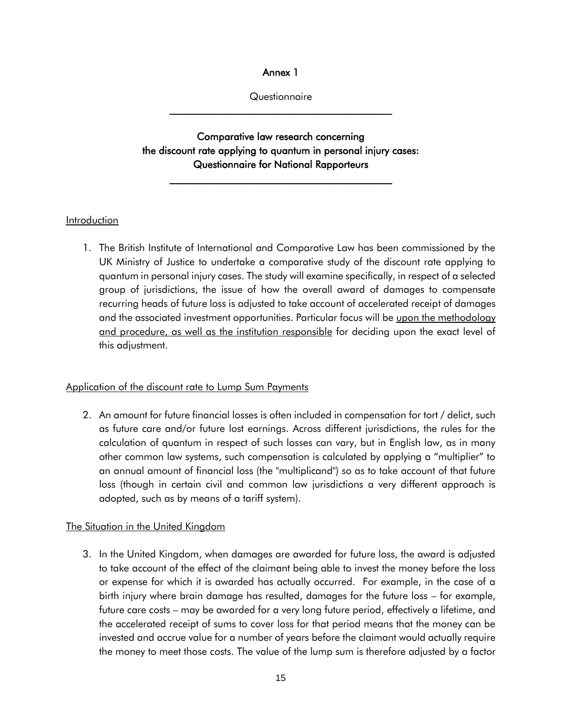Annex 1

**Questionnaire**  $\mathcal{L}_\text{max}$  , and the set of the set of the set of the set of the set of the set of the set of the set of the set of the set of the set of the set of the set of the set of the set of the set of the set of the set of the

<span id="page-14-0"></span>Comparative law research concerning the discount rate applying to quantum in personal injury cases: Questionnaire for National Rapporteurs

 $\mathcal{L}_\text{max}$  , and the set of the set of the set of the set of the set of the set of the set of the set of the set of the set of the set of the set of the set of the set of the set of the set of the set of the set of the

## Introduction

1. The British Institute of International and Comparative Law has been commissioned by the UK Ministry of Justice to undertake a comparative study of the discount rate applying to quantum in personal injury cases. The study will examine specifically, in respect of a selected group of jurisdictions, the issue of how the overall award of damages to compensate recurring heads of future loss is adjusted to take account of accelerated receipt of damages and the associated investment opportunities. Particular focus will be upon the methodology and procedure, as well as the institution responsible for deciding upon the exact level of this adjustment.

#### Application of the discount rate to Lump Sum Payments

2. An amount for future financial losses is often included in compensation for tort / delict, such as future care and/or future lost earnings. Across different jurisdictions, the rules for the calculation of quantum in respect of such losses can vary, but in English law, as in many other common law systems, such compensation is calculated by applying a "multiplier" to an annual amount of financial loss (the "multiplicand") so as to take account of that future loss (though in certain civil and common law jurisdictions a very different approach is adopted, such as by means of a tariff system).

## The Situation in the United Kingdom

3. In the United Kingdom, when damages are awarded for future loss, the award is adjusted to take account of the effect of the claimant being able to invest the money before the loss or expense for which it is awarded has actually occurred. For example, in the case of a birth injury where brain damage has resulted, damages for the future loss – for example, future care costs – may be awarded for a very long future period, effectively a lifetime, and the accelerated receipt of sums to cover loss for that period means that the money can be invested and accrue value for a number of years before the claimant would actually require the money to meet those costs. The value of the lump sum is therefore adjusted by a factor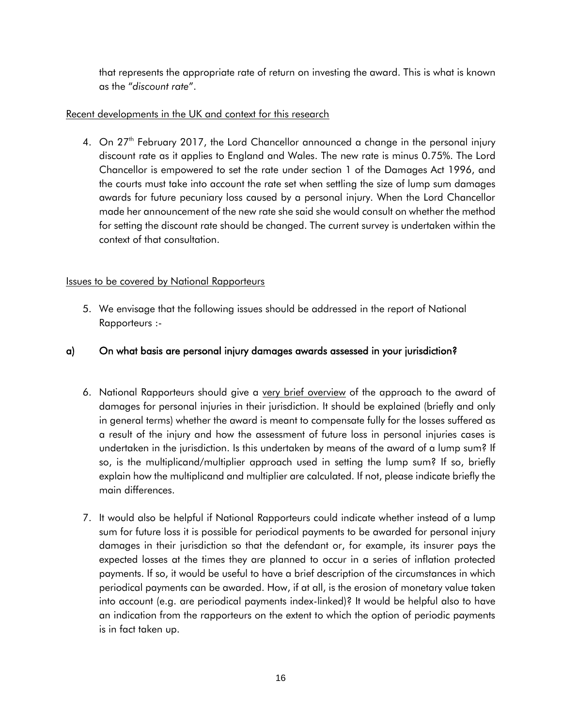that represents the appropriate rate of return on investing the award. This is what is known as the "*discount rate*".

## Recent developments in the UK and context for this research

4. On 27<sup>th</sup> February 2017, the Lord Chancellor announced a change in the personal injury discount rate as it applies to England and Wales. The new rate is minus 0.75%. The Lord Chancellor is empowered to set the rate under section 1 of the Damages Act 1996, and the courts must take into account the rate set when settling the size of lump sum damages awards for future pecuniary loss caused by a personal injury. When the Lord Chancellor made her announcement of the new rate she said she would consult on whether the method for setting the discount rate should be changed. The current survey is undertaken within the context of that consultation.

# Issues to be covered by National Rapporteurs

5. We envisage that the following issues should be addressed in the report of National Rapporteurs :-

# a) On what basis are personal injury damages awards assessed in your jurisdiction?

- 6. National Rapporteurs should give a very brief overview of the approach to the award of damages for personal injuries in their jurisdiction. It should be explained (briefly and only in general terms) whether the award is meant to compensate fully for the losses suffered as a result of the injury and how the assessment of future loss in personal injuries cases is undertaken in the jurisdiction. Is this undertaken by means of the award of a lump sum? If so, is the multiplicand/multiplier approach used in setting the lump sum? If so, briefly explain how the multiplicand and multiplier are calculated. If not, please indicate briefly the main differences.
- 7. It would also be helpful if National Rapporteurs could indicate whether instead of a lump sum for future loss it is possible for periodical payments to be awarded for personal injury damages in their jurisdiction so that the defendant or, for example, its insurer pays the expected losses at the times they are planned to occur in a series of inflation protected payments. If so, it would be useful to have a brief description of the circumstances in which periodical payments can be awarded. How, if at all, is the erosion of monetary value taken into account (e.g. are periodical payments index-linked)? It would be helpful also to have an indication from the rapporteurs on the extent to which the option of periodic payments is in fact taken up.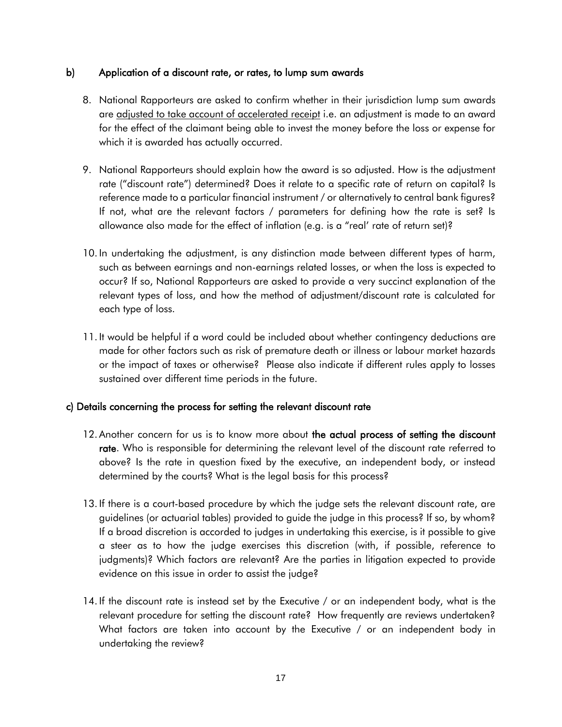## b) Application of a discount rate, or rates, to lump sum awards

- 8. National Rapporteurs are asked to confirm whether in their jurisdiction lump sum awards are adjusted to take account of accelerated receipt i.e. an adjustment is made to an award for the effect of the claimant being able to invest the money before the loss or expense for which it is awarded has actually occurred.
- 9. National Rapporteurs should explain how the award is so adjusted. How is the adjustment rate ("discount rate") determined? Does it relate to a specific rate of return on capital? Is reference made to a particular financial instrument / or alternatively to central bank figures? If not, what are the relevant factors / parameters for defining how the rate is set? Is allowance also made for the effect of inflation (e.g. is a "real' rate of return set)?
- 10. In undertaking the adjustment, is any distinction made between different types of harm, such as between earnings and non-earnings related losses, or when the loss is expected to occur? If so, National Rapporteurs are asked to provide a very succinct explanation of the relevant types of loss, and how the method of adjustment/discount rate is calculated for each type of loss.
- 11. It would be helpful if a word could be included about whether contingency deductions are made for other factors such as risk of premature death or illness or labour market hazards or the impact of taxes or otherwise? Please also indicate if different rules apply to losses sustained over different time periods in the future.

## c) Details concerning the process for setting the relevant discount rate

- 12. Another concern for us is to know more about the actual process of setting the discount rate. Who is responsible for determining the relevant level of the discount rate referred to above? Is the rate in question fixed by the executive, an independent body, or instead determined by the courts? What is the legal basis for this process?
- 13. If there is a court-based procedure by which the judge sets the relevant discount rate, are guidelines (or actuarial tables) provided to guide the judge in this process? If so, by whom? If a broad discretion is accorded to judges in undertaking this exercise, is it possible to give a steer as to how the judge exercises this discretion (with, if possible, reference to judgments)? Which factors are relevant? Are the parties in litigation expected to provide evidence on this issue in order to assist the judge?
- 14. If the discount rate is instead set by the Executive / or an independent body, what is the relevant procedure for setting the discount rate? How frequently are reviews undertaken? What factors are taken into account by the Executive / or an independent body in undertaking the review?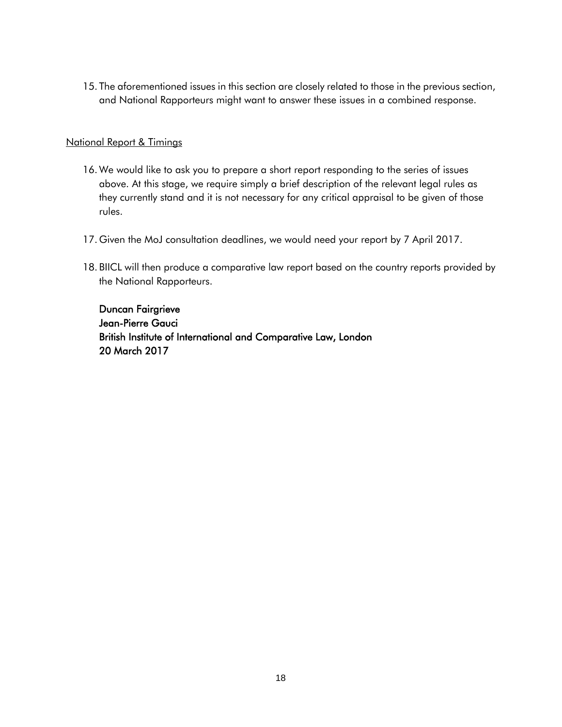15. The aforementioned issues in this section are closely related to those in the previous section, and National Rapporteurs might want to answer these issues in a combined response.

### National Report & Timings

- 16. We would like to ask you to prepare a short report responding to the series of issues above. At this stage, we require simply a brief description of the relevant legal rules as they currently stand and it is not necessary for any critical appraisal to be given of those rules.
- 17. Given the MoJ consultation deadlines, we would need your report by 7 April 2017.
- 18. BIICL will then produce a comparative law report based on the country reports provided by the National Rapporteurs.

Duncan Fairgrieve Jean-Pierre Gauci British Institute of International and Comparative Law, London 20 March 2017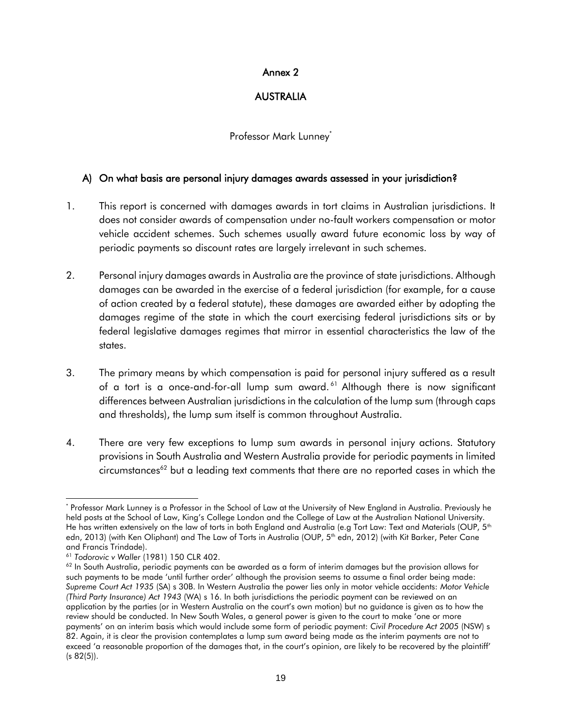## Annex 2

## AUSTRALIA

## Professor Mark Lunney\*

## <span id="page-18-0"></span>A) On what basis are personal injury damages awards assessed in your jurisdiction?

- 1. This report is concerned with damages awards in tort claims in Australian jurisdictions. It does not consider awards of compensation under no-fault workers compensation or motor vehicle accident schemes. Such schemes usually award future economic loss by way of periodic payments so discount rates are largely irrelevant in such schemes.
- 2. Personal injury damages awards in Australia are the province of state jurisdictions. Although damages can be awarded in the exercise of a federal jurisdiction (for example, for a cause of action created by a federal statute), these damages are awarded either by adopting the damages regime of the state in which the court exercising federal jurisdictions sits or by federal legislative damages regimes that mirror in essential characteristics the law of the states.
- 3. The primary means by which compensation is paid for personal injury suffered as a result of a tort is a once-and-for-all lump sum award.<sup>61</sup> Although there is now significant differences between Australian jurisdictions in the calculation of the lump sum (through caps and thresholds), the lump sum itself is common throughout Australia.
- 4. There are very few exceptions to lump sum awards in personal injury actions. Statutory provisions in South Australia and Western Australia provide for periodic payments in limited circumstances<sup>62</sup> but a leading text comments that there are no reported cases in which the

l \* Professor Mark Lunney is a Professor in the School of Law at the University of New England in Australia. Previously he held posts at the School of Law, King's College London and the College of Law at the Australian National University. He has written extensively on the law of torts in both England and Australia (e.g Tort Law: Text and Materials (OUP, 5<sup>th</sup> edn, 2013) (with Ken Oliphant) and The Law of Torts in Australia (OUP, 5<sup>th</sup> edn, 2012) (with Kit Barker, Peter Cane and Francis Trindade).

<sup>61</sup> *Todorovic v Waller* (1981) 150 CLR 402.

 $62$  In South Australia, periodic payments can be awarded as a form of interim damages but the provision allows for such payments to be made 'until further order' although the provision seems to assume a final order being made: *Supreme Court Act 1935* (SA) s 30B. In Western Australia the power lies only in motor vehicle accidents: *Motor Vehicle (Third Party Insurance) Act 1943* (WA) s 16. In both jurisdictions the periodic payment can be reviewed on an application by the parties (or in Western Australia on the court's own motion) but no guidance is given as to how the review should be conducted. In New South Wales, a general power is given to the court to make 'one or more payments' on an interim basis which would include some form of periodic payment: *Civil Procedure Act 2005* (NSW) s 82. Again, it is clear the provision contemplates a lump sum award being made as the interim payments are not to exceed 'a reasonable proportion of the damages that, in the court's opinion, are likely to be recovered by the plaintiff'  $(s 82(5))$ .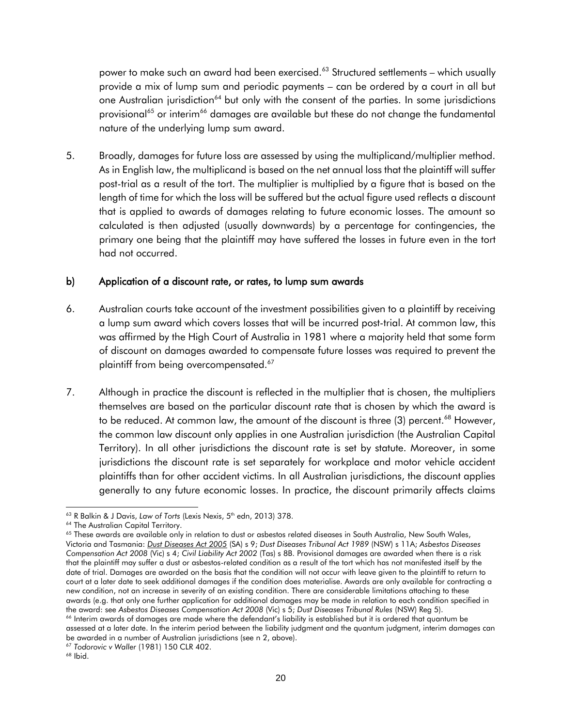power to make such an award had been exercised.<sup>63</sup> Structured settlements – which usually provide a mix of lump sum and periodic payments – can be ordered by a court in all but one Australian jurisdiction<sup>64</sup> but only with the consent of the parties. In some jurisdictions provisional<sup>65</sup> or interim<sup>66</sup> damages are available but these do not change the fundamental nature of the underlying lump sum award.

5. Broadly, damages for future loss are assessed by using the multiplicand/multiplier method. As in English law, the multiplicand is based on the net annual loss that the plaintiff will suffer post-trial as a result of the tort. The multiplier is multiplied by a figure that is based on the length of time for which the loss will be suffered but the actual figure used reflects a discount that is applied to awards of damages relating to future economic losses. The amount so calculated is then adjusted (usually downwards) by a percentage for contingencies, the primary one being that the plaintiff may have suffered the losses in future even in the tort had not occurred.

#### b) Application of a discount rate, or rates, to lump sum awards

- 6. Australian courts take account of the investment possibilities given to a plaintiff by receiving a lump sum award which covers losses that will be incurred post-trial. At common law, this was affirmed by the High Court of Australia in 1981 where a majority held that some form of discount on damages awarded to compensate future losses was required to prevent the plaintiff from being overcompensated. $^{67}$
- 7. Although in practice the discount is reflected in the multiplier that is chosen, the multipliers themselves are based on the particular discount rate that is chosen by which the award is to be reduced. At common law, the amount of the discount is three (3) percent.<sup>68</sup> However, the common law discount only applies in one Australian jurisdiction (the Australian Capital Territory). In all other jurisdictions the discount rate is set by statute. Moreover, in some jurisdictions the discount rate is set separately for workplace and motor vehicle accident plaintiffs than for other accident victims. In all Australian jurisdictions, the discount applies generally to any future economic losses. In practice, the discount primarily affects claims

l <sup>63</sup> R Balkin & J Davis, Law of Torts (Lexis Nexis, 5<sup>th</sup> edn, 2013) 378.

<sup>&</sup>lt;sup>64</sup> The Australian Capital Territory.

<sup>&</sup>lt;sup>65</sup> These awards are available only in relation to dust or asbestos related diseases in South Australia, New South Wales, Victoria and Tasmania: *[Dust Diseases Act 2005](http://www.austlii.edu.au/au/legis/sa/consol_act/dda2005154/)* (SA) s 9; *Dust Diseases Tribunal Act 1989* (NSW) s 11A; *Asbestos Diseases Compensation Act 2008* (Vic) s 4; *Civil Liability Act 2002* (Tas) s 8B. Provisional damages are awarded when there is a risk that the plaintiff may suffer a dust or asbestos-related condition as a result of the tort which has not manifested itself by the date of trial. Damages are awarded on the basis that the condition will not occur with leave given to the plaintiff to return to court at a later date to seek additional damages if the condition does materialise. Awards are only available for contracting a new condition, not an increase in severity of an existing condition. There are considerable limitations attaching to these awards (e.g. that only one further application for additional damages may be made in relation to each condition specified in the award: see *Asbestos Diseases Compensation Act 2008* (Vic) s 5; *Dust Diseases Tribunal Rules* (NSW) Reg 5). <sup>66</sup> Interim awards of damages are made where the defendant's liability is established but it is ordered that quantum be assessed at a later date. In the interim period between the liability judgment and the quantum judgment, interim damages can

be awarded in a number of Australian jurisdictions (see n 2, above).

<sup>67</sup> *Todorovic v Waller* (1981) 150 CLR 402.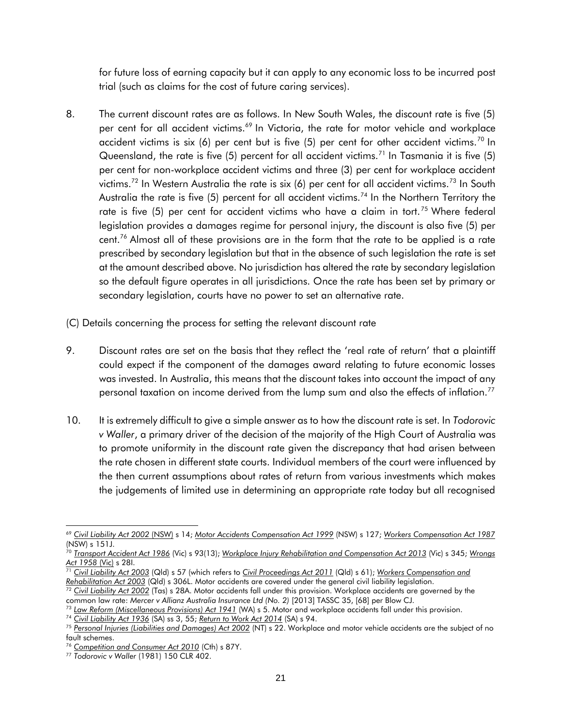for future loss of earning capacity but it can apply to any economic loss to be incurred post trial (such as claims for the cost of future caring services).

- 8. The current discount rates are as follows. In New South Wales, the discount rate is five (5) per cent for all accident victims.<sup>69</sup> In Victoria, the rate for motor vehicle and workplace accident victims is six (6) per cent but is five (5) per cent for other accident victims.<sup>70</sup> In Queensland, the rate is five (5) percent for all accident victims.<sup>71</sup> In Tasmania it is five (5) per cent for non-workplace accident victims and three (3) per cent for workplace accident victims.<sup>72</sup> In Western Australia the rate is six (6) per cent for all accident victims.<sup>73</sup> In South Australia the rate is five  $(5)$  percent for all accident victims.<sup>74</sup> In the Northern Territory the rate is five  $(5)$  per cent for accident victims who have a claim in tort.<sup>75</sup> Where federal legislation provides a damages regime for personal injury, the discount is also five (5) per cent.<sup>76</sup> Almost all of these provisions are in the form that the rate to be applied is a rate prescribed by secondary legislation but that in the absence of such legislation the rate is set at the amount described above. No jurisdiction has altered the rate by secondary legislation so the default figure operates in all jurisdictions. Once the rate has been set by primary or secondary legislation, courts have no power to set an alternative rate.
- (C) Details concerning the process for setting the relevant discount rate
- 9. Discount rates are set on the basis that they reflect the 'real rate of return' that a plaintiff could expect if the component of the damages award relating to future economic losses was invested. In Australia, this means that the discount takes into account the impact of any personal taxation on income derived from the lump sum and also the effects of inflation.<sup>77</sup>
- 10. It is extremely difficult to give a simple answer as to how the discount rate is set. In *Todorovic v Waller*, a primary driver of the decision of the majority of the High Court of Australia was to promote uniformity in the discount rate given the discrepancy that had arisen between the rate chosen in different state courts. Individual members of the court were influenced by the then current assumptions about rates of return from various investments which makes the judgements of limited use in determining an appropriate rate today but all recognised

l <sup>69</sup> *[Civil Liability Act 2002](http://www.austlii.edu.au/au/legis/nsw/consol_act/cla2002161/)* (NSW) s 14; *[Motor Accidents Compensation Act 1999](http://www.austlii.edu.au/au/legis/nsw/consol_act/maca1999298/)* (NSW) s 127; *[Workers Compensation Act 1987](http://www.austlii.edu.au/au/legis/nsw/consol_act/wca1987255/)* (NSW) s 151J.

<sup>70</sup> *[Transport Accident Act 1986](http://www.austlii.edu.au/au/legis/vic/consol_act/taa1986204/)* (Vic) s 93(13); *[Workplace Injury Rehabilitation and Compensation Act 2013](http://www.austlii.edu.au/au/legis/vic/num_act/wiraca201367o2013530/)* (Vic) s 345; *[Wrongs](http://www.austlii.edu.au/au/legis/vic/consol_act/wa1958111/)  [Act 1958](http://www.austlii.edu.au/au/legis/vic/consol_act/wa1958111/)* (Vic) s 28I.

<sup>71</sup> *[Civil Liability Act 2003](http://www.austlii.edu.au/au/legis/qld/consol_act/cla2003161/)* (Qld) s 57 (which refers to *[Civil Proceedings Act 2011](http://www.austlii.edu.au/au/legis/qld/consol_act/cpa2011175/)* (Qld) s 61); *[Workers Compensation and](http://www.austlii.edu.au/au/legis/qld/consol_act/wcara2003400/)  [Rehabilitation Act 2003](http://www.austlii.edu.au/au/legis/qld/consol_act/wcara2003400/)* (Qld) s 306L. Motor accidents are covered under the general civil liability legislation.

<sup>&</sup>lt;sup>2</sup> [Civil Liability Act 2002](http://www.austlii.edu.au/au/legis/nsw/consol_act/cla2002161/) (Tas) s 28A. Motor accidents fall under this provision. Workplace accidents are governed by the common law rate: *Mercer v Allianz Australia Insurance Ltd (No. 2)* [2013] TASSC 35, [68] per Blow CJ.

<sup>73</sup> *[Law Reform \(Miscellaneous Provisions\) Act 1941](http://www.austlii.edu.au/au/legis/wa/consol_act/lrpa1941404/)* (WA) s 5. Motor and workplace accidents fall under this provision.

<sup>74</sup> *[Civil Liability Act 1936](http://www.austlii.edu.au/au/legis/sa/consol_act/cla1936161/)* (SA) ss 3, 55; *[Return to Work Act 2014](http://www.austlii.edu.au/au/legis/sa/consol_act/rtwa2014207/)* (SA) s 94.

<sup>75</sup> *[Personal Injuries \(Liabilities and Damages\) Act 2002](http://www.austlii.edu.au/au/legis/nt/consol_act/piada365/)* (NT) s 22. Workplace and motor vehicle accidents are the subject of no fault schemes.

<sup>76</sup> *[Competition and Consumer Act 2010](http://www.austlii.edu.au/au/legis/cth/consol_act/caca2010265/)* (Cth) s 87Y.

<sup>77</sup> *Todorovic v Waller* (1981) 150 CLR 402.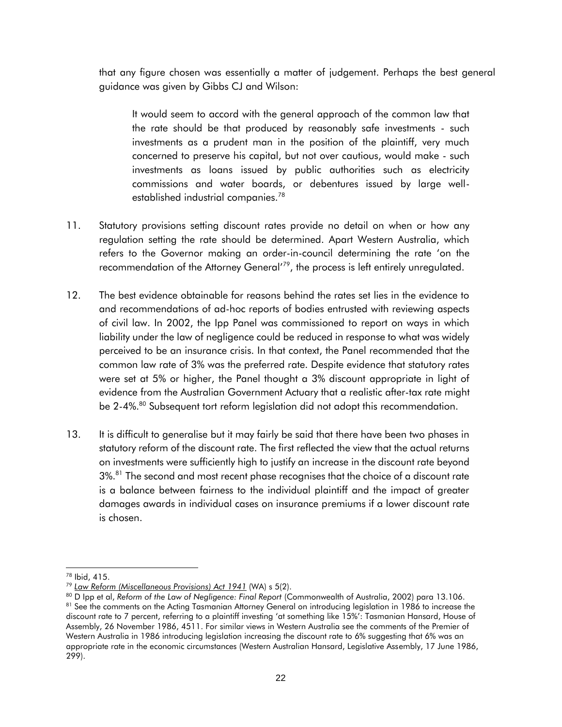that any figure chosen was essentially a matter of judgement. Perhaps the best general guidance was given by Gibbs CJ and Wilson:

It would seem to accord with the general approach of the common law that the rate should be that produced by reasonably safe investments - such investments as a prudent man in the position of the plaintiff, very much concerned to preserve his capital, but not over cautious, would make - such investments as loans issued by public authorities such as electricity commissions and water boards, or debentures issued by large wellestablished industrial companies.<sup>78</sup>

- 11. Statutory provisions setting discount rates provide no detail on when or how any regulation setting the rate should be determined. Apart Western Australia, which refers to the Governor making an order-in-council determining the rate 'on the recommendation of the Attorney General<sup>179</sup>, the process is left entirely unregulated.
- 12. The best evidence obtainable for reasons behind the rates set lies in the evidence to and recommendations of ad-hoc reports of bodies entrusted with reviewing aspects of civil law. In 2002, the Ipp Panel was commissioned to report on ways in which liability under the law of negligence could be reduced in response to what was widely perceived to be an insurance crisis. In that context, the Panel recommended that the common law rate of 3% was the preferred rate. Despite evidence that statutory rates were set at 5% or higher, the Panel thought a 3% discount appropriate in light of evidence from the Australian Government Actuary that a realistic after-tax rate might be 2-4%.<sup>80</sup> Subsequent tort reform legislation did not adopt this recommendation.
- 13. It is difficult to generalise but it may fairly be said that there have been two phases in statutory reform of the discount rate. The first reflected the view that the actual returns on investments were sufficiently high to justify an increase in the discount rate beyond 3%.<sup>81</sup> The second and most recent phase recognises that the choice of a discount rate is a balance between fairness to the individual plaintiff and the impact of greater damages awards in individual cases on insurance premiums if a lower discount rate is chosen.

<sup>78</sup> Ibid, 415.

<sup>79</sup> *[Law Reform \(Miscellaneous Provisions\) Act 1941](http://www.austlii.edu.au/au/legis/wa/consol_act/lrpa1941404/)* (WA) s 5(2).

<sup>80</sup> D Ipp et al, *Reform of the Law of Negligence: Final Report* (Commonwealth of Australia, 2002) para 13.106. 81 See the comments on the Acting Tasmanian Attorney General on introducing legislation in 1986 to increase the discount rate to 7 percent, referring to a plaintiff investing 'at something like 15%': Tasmanian Hansard, House of Assembly, 26 November 1986, 4511. For similar views in Western Australia see the comments of the Premier of Western Australia in 1986 introducing legislation increasing the discount rate to 6% suggesting that 6% was an appropriate rate in the economic circumstances (Western Australian Hansard, Legislative Assembly, 17 June 1986, 299).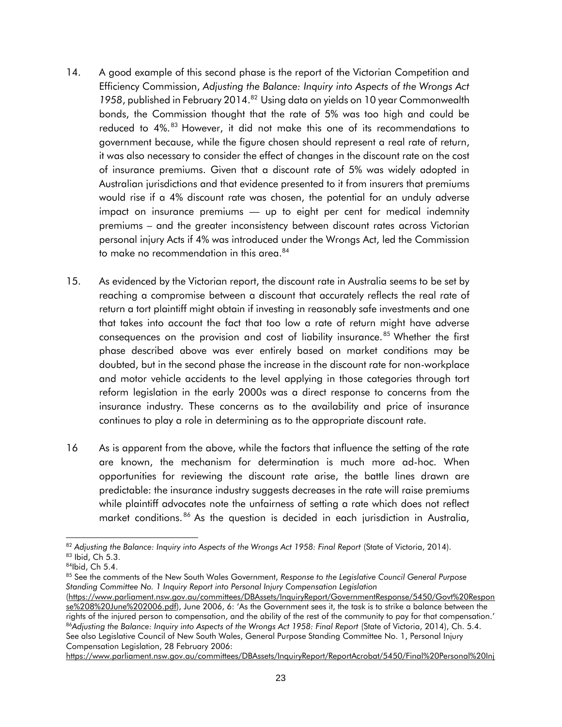- 14. A good example of this second phase is the report of the Victorian Competition and Efficiency Commission, *Adjusting the Balance: Inquiry into Aspects of the Wrongs Act*  1958, published in February 2014.<sup>82</sup> Using data on yields on 10 year Commonwealth bonds, the Commission thought that the rate of 5% was too high and could be reduced to 4%.<sup>83</sup> However, it did not make this one of its recommendations to government because, while the figure chosen should represent a real rate of return, it was also necessary to consider the effect of changes in the discount rate on the cost of insurance premiums. Given that a discount rate of 5% was widely adopted in Australian jurisdictions and that evidence presented to it from insurers that premiums would rise if a 4% discount rate was chosen, the potential for an unduly adverse impact on insurance premiums — up to eight per cent for medical indemnity premiums – and the greater inconsistency between discount rates across Victorian personal injury Acts if 4% was introduced under the Wrongs Act, led the Commission to make no recommendation in this area.<sup>84</sup>
- 15. As evidenced by the Victorian report, the discount rate in Australia seems to be set by reaching a compromise between a discount that accurately reflects the real rate of return a tort plaintiff might obtain if investing in reasonably safe investments and one that takes into account the fact that too low a rate of return might have adverse consequences on the provision and cost of liability insurance.<sup>85</sup> Whether the first phase described above was ever entirely based on market conditions may be doubted, but in the second phase the increase in the discount rate for non-workplace and motor vehicle accidents to the level applying in those categories through tort reform legislation in the early 2000s was a direct response to concerns from the insurance industry. These concerns as to the availability and price of insurance continues to play a role in determining as to the appropriate discount rate.
- 16 As is apparent from the above, while the factors that influence the setting of the rate are known, the mechanism for determination is much more ad-hoc. When opportunities for reviewing the discount rate arise, the battle lines drawn are predictable: the insurance industry suggests decreases in the rate will raise premiums while plaintiff advocates note the unfairness of setting a rate which does not reflect market conditions. <sup>86</sup> As the question is decided in each jurisdiction in Australia,

l 82 Adjusting the Balance: Inquiry into Aspects of the Wrongs Act 1958: Final Report (State of Victoria, 2014). 83 Ibid, Ch 5.3.

<sup>84</sup>Ibid, Ch 5.4.

<sup>85</sup> See the comments of the New South Wales Government, *Response to the Legislative Council General Purpose Standing Committee No. 1 Inquiry Report into Personal Injury Compensation Legislation*

[<sup>\(</sup>https://www.parliament.nsw.gov.au/committees/DBAssets/InquiryReport/GovernmentResponse/5450/Govt%20Respon](https://www.parliament.nsw.gov.au/committees/DBAssets/InquiryReport/GovernmentResponse/5450/Govt%20Response%208%20June%202006.pdf) [se%208%20June%202006.pdf](https://www.parliament.nsw.gov.au/committees/DBAssets/InquiryReport/GovernmentResponse/5450/Govt%20Response%208%20June%202006.pdf)), June 2006, 6: 'As the Government sees it, the task is to strike a balance between the rights of the injured person to compensation, and the ability of the rest of the community to pay for that compensation.' 86<sup>Adjusting the Balance: Inquiry into Aspects of the Wrongs Act 1958: Final Report (State of Victoria, 2014), Ch. 5.4.</sup> See also Legislative Council of New South Wales, General Purpose Standing Committee No. 1, Personal Injury Compensation Legislation, 28 February 2006:

[https://www.parliament.nsw.gov.au/committees/DBAssets/InquiryReport/ReportAcrobat/5450/Final%20Personal%20Inj](https://www.parliament.nsw.gov.au/committees/DBAssets/InquiryReport/ReportAcrobat/5450/Final%20Personal%20Injury%20Report%208%20Dec%202005.pdf)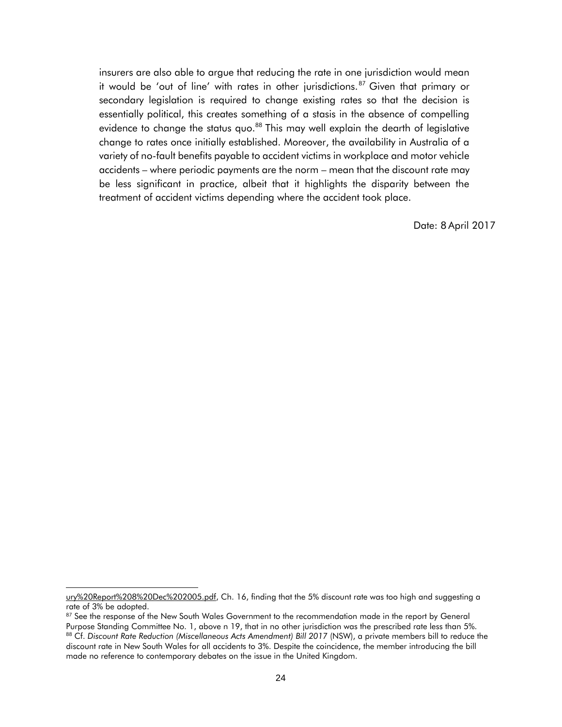insurers are also able to argue that reducing the rate in one jurisdiction would mean it would be 'out of line' with rates in other jurisdictions.<sup>87</sup> Given that primary or secondary legislation is required to change existing rates so that the decision is essentially political, this creates something of a stasis in the absence of compelling evidence to change the status quo.<sup>88</sup> This may well explain the dearth of legislative change to rates once initially established. Moreover, the availability in Australia of a variety of no-fault benefits payable to accident victims in workplace and motor vehicle accidents – where periodic payments are the norm – mean that the discount rate may be less significant in practice, albeit that it highlights the disparity between the treatment of accident victims depending where the accident took place.

Date: 8 April 2017

[ury%20Report%208%20Dec%202005.pdf,](https://www.parliament.nsw.gov.au/committees/DBAssets/InquiryReport/ReportAcrobat/5450/Final%20Personal%20Injury%20Report%208%20Dec%202005.pdf) Ch. 16, finding that the 5% discount rate was too high and suggesting a rate of 3% be adopted.

<sup>87</sup> See the response of the New South Wales Government to the recommendation made in the report by General Purpose Standing Committee No. 1, above n 19, that in no other jurisdiction was the prescribed rate less than 5%. 88 Cf. Discount Rate Reduction (Miscellaneous Acts Amendment) Bill 2017 (NSW), a private members bill to reduce the

discount rate in New South Wales for all accidents to 3%. Despite the coincidence, the member introducing the bill made no reference to contemporary debates on the issue in the United Kingdom.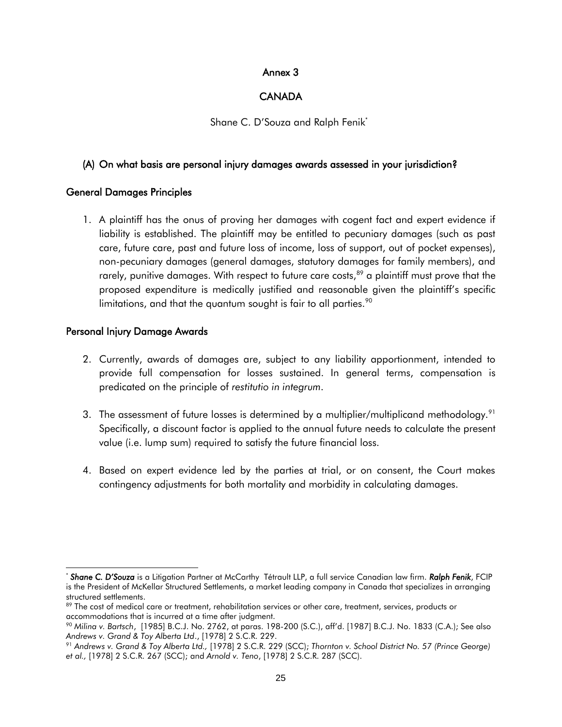## Annex 3

## **CANADA**

Shane C. D'Souza and Ralph Fenik\*

### <span id="page-24-0"></span>(A) On what basis are personal injury damages awards assessed in your jurisdiction?

## General Damages Principles

1. A plaintiff has the onus of proving her damages with cogent fact and expert evidence if liability is established. The plaintiff may be entitled to pecuniary damages (such as past care, future care, past and future loss of income, loss of support, out of pocket expenses), non-pecuniary damages (general damages, statutory damages for family members), and rarely, punitive damages. With respect to future care costs,<sup>89</sup> a plaintiff must prove that the proposed expenditure is medically justified and reasonable given the plaintiff's specific limitations, and that the quantum sought is fair to all parties. $90$ 

## Personal Injury Damage Awards

- 2. Currently, awards of damages are, subject to any liability apportionment, intended to provide full compensation for losses sustained. In general terms, compensation is predicated on the principle of *restitutio in integrum*.
- 3. The assessment of future losses is determined by a multiplier/multiplicand methodology.<sup>91</sup> Specifically, a discount factor is applied to the annual future needs to calculate the present value (i.e. lump sum) required to satisfy the future financial loss.
- 4. Based on expert evidence led by the parties at trial, or on consent, the Court makes contingency adjustments for both mortality and morbidity in calculating damages.

l \* *Shane C. D'Souza* is a Litigation Partner at McCarthy Tétrault LLP, a full service Canadian law firm. *Ralph Fenik*, FCIP is the President of McKellar Structured Settlements, a market leading company in Canada that specializes in arranging structured settlements.

<sup>89</sup> The cost of medical care or treatment, rehabilitation services or other care, treatment, services, products or accommodations that is incurred at a time after judgment.

<sup>90</sup> *Milina v. Bartsch*, [1985] B.C.J. No. 2762, at paras. 198-200 (S.C.), aff'd. [1987] B.C.J. No. 1833 (C.A.); See also *Andrews v. Grand & Toy Alberta Ltd*., [1978] 2 S.C.R. 229.

<sup>91</sup> *Andrews v. Grand & Toy Alberta Ltd.,* [1978] 2 S.C.R. 229 (SCC); *Thornton v. School District No. 57 (Prince George) et al.,* [1978] 2 S.C.R. 267 (SCC); and *Arnold v. Teno*, [1978] 2 S.C.R. 287 (SCC).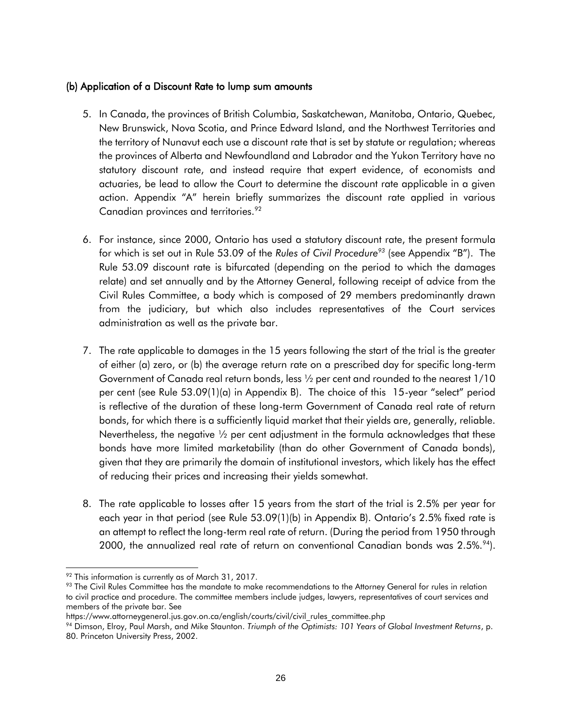## (b) Application of a Discount Rate to lump sum amounts

- 5. In Canada, the provinces of British Columbia, Saskatchewan, Manitoba, Ontario, Quebec, New Brunswick, Nova Scotia, and Prince Edward Island, and the Northwest Territories and the territory of Nunavut each use a discount rate that is set by statute or regulation; whereas the provinces of Alberta and Newfoundland and Labrador and the Yukon Territory have no statutory discount rate, and instead require that expert evidence, of economists and actuaries, be lead to allow the Court to determine the discount rate applicable in a given action. Appendix "A" herein briefly summarizes the discount rate applied in various Canadian provinces and territories.<sup>92</sup>
- 6. For instance, since 2000, Ontario has used a statutory discount rate, the present formula for which is set out in Rule 53.09 of the *Rules of Civil Procedure<sup>93</sup>* (see Appendix "B"). The Rule 53.09 discount rate is bifurcated (depending on the period to which the damages relate) and set annually and by the Attorney General, following receipt of advice from the Civil Rules Committee, a body which is composed of 29 members predominantly drawn from the judiciary, but which also includes representatives of the Court services administration as well as the private bar.
- 7. The rate applicable to damages in the 15 years following the start of the trial is the greater of either (a) zero, or (b) the average return rate on a prescribed day for specific long-term Government of Canada real return bonds, less ½ per cent and rounded to the nearest 1/10 per cent (see Rule 53.09(1)(a) in Appendix B). The choice of this 15-year "select" period is reflective of the duration of these long-term Government of Canada real rate of return bonds, for which there is a sufficiently liquid market that their yields are, generally, reliable. Nevertheless, the negative  $\frac{1}{2}$  per cent adjustment in the formula acknowledges that these bonds have more limited marketability (than do other Government of Canada bonds), given that they are primarily the domain of institutional investors, which likely has the effect of reducing their prices and increasing their yields somewhat.
- 8. The rate applicable to losses after 15 years from the start of the trial is 2.5% per year for each year in that period (see Rule 53.09(1)(b) in Appendix B). Ontario's 2.5% fixed rate is an attempt to reflect the long-term real rate of return. (During the period from 1950 through 2000, the annualized real rate of return on conventional Canadian bonds was  $2.5\%^{94}$ .

l  $92$  This information is currently as of March 31, 2017.

<sup>93</sup> The Civil Rules Committee has the mandate to make recommendations to the Attorney General for rules in relation to civil practice and procedure. The committee members include judges, lawyers, representatives of court services and members of the private bar. See

https://www.attorneygeneral.jus.gov.on.ca/english/courts/civil/civil\_rules\_committee.php

<sup>94</sup> Dimson, Elroy, Paul Marsh, and Mike Staunton. *Triumph of the Optimists: 101 Years of Global Investment Returns*, p. 80. Princeton University Press, 2002.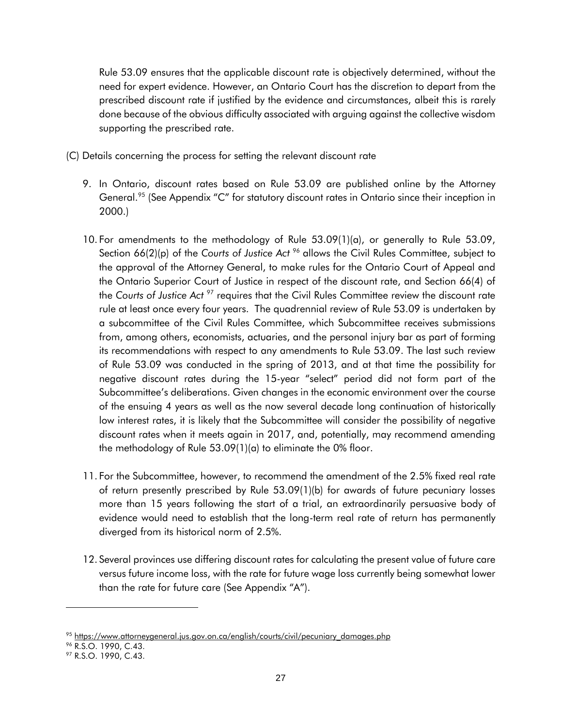Rule 53.09 ensures that the applicable discount rate is objectively determined, without the need for expert evidence. However, an Ontario Court has the discretion to depart from the prescribed discount rate if justified by the evidence and circumstances, albeit this is rarely done because of the obvious difficulty associated with arguing against the collective wisdom supporting the prescribed rate.

- (C) Details concerning the process for setting the relevant discount rate
	- 9. In Ontario, discount rates based on Rule 53.09 are published online by the Attorney General.<sup>95</sup> (See Appendix "C" for statutory discount rates in Ontario since their inception in 2000.)
	- 10. For amendments to the methodology of Rule 53.09(1)(a), or generally to Rule 53.09, Section 66(2)(p) of the Courts of *Justice Act* <sup>96</sup> allows the Civil Rules Committee, subject to the approval of the Attorney General, to make rules for the Ontario Court of Appeal and the Ontario Superior Court of Justice in respect of the discount rate, and Section 66(4) of the *Courts of Justice Act* <sup>97</sup> requires that the Civil Rules Committee review the discount rate rule at least once every four years. The quadrennial review of Rule 53.09 is undertaken by a subcommittee of the Civil Rules Committee, which Subcommittee receives submissions from, among others, economists, actuaries, and the personal injury bar as part of forming its recommendations with respect to any amendments to Rule 53.09. The last such review of Rule 53.09 was conducted in the spring of 2013, and at that time the possibility for negative discount rates during the 15-year "select" period did not form part of the Subcommittee's deliberations. Given changes in the economic environment over the course of the ensuing 4 years as well as the now several decade long continuation of historically low interest rates, it is likely that the Subcommittee will consider the possibility of negative discount rates when it meets again in 2017, and, potentially, may recommend amending the methodology of Rule 53.09(1)(a) to eliminate the 0% floor.
	- 11. For the Subcommittee, however, to recommend the amendment of the 2.5% fixed real rate of return presently prescribed by Rule 53.09(1)(b) for awards of future pecuniary losses more than 15 years following the start of a trial, an extraordinarily persuasive body of evidence would need to establish that the long-term real rate of return has permanently diverged from its historical norm of 2.5%.
	- 12. Several provinces use differing discount rates for calculating the present value of future care versus future income loss, with the rate for future wage loss currently being somewhat lower than the rate for future care (See Appendix "A").

<sup>95</sup> [https://www.attorneygeneral.jus.gov.on.ca/english/courts/civil/pecuniary\\_damages.php](https://www.attorneygeneral.jus.gov.on.ca/english/courts/civil/pecuniary_damages.php)

<sup>&</sup>lt;sup>96</sup> R.S.O. 1990, C.43.

<sup>97</sup> R.S.O. 1990, C.43.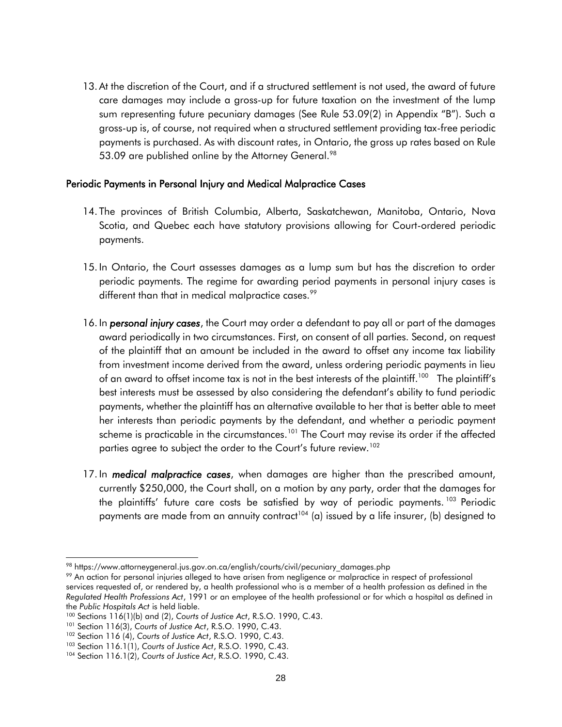13. At the discretion of the Court, and if a structured settlement is not used, the award of future care damages may include a gross-up for future taxation on the investment of the lump sum representing future pecuniary damages (See Rule 53.09(2) in Appendix "B"). Such a gross-up is, of course, not required when a structured settlement providing tax-free periodic payments is purchased. As with discount rates, in Ontario, the gross up rates based on Rule 53.09 are published online by the Attorney General.<sup>98</sup>

#### Periodic Payments in Personal Injury and Medical Malpractice Cases

- 14. The provinces of British Columbia, Alberta, Saskatchewan, Manitoba, Ontario, Nova Scotia, and Quebec each have statutory provisions allowing for Court-ordered periodic payments.
- 15. In Ontario, the Court assesses damages as a lump sum but has the discretion to order periodic payments. The regime for awarding period payments in personal injury cases is different than that in medical malpractice cases.<sup>99</sup>
- 16. In *personal injury cases*, the Court may order a defendant to pay all or part of the damages award periodically in two circumstances. First, on consent of all parties. Second, on request of the plaintiff that an amount be included in the award to offset any income tax liability from investment income derived from the award, unless ordering periodic payments in lieu of an award to offset income tax is not in the best interests of the plaintiff.<sup>100</sup> The plaintiff's best interests must be assessed by also considering the defendant's ability to fund periodic payments, whether the plaintiff has an alternative available to her that is better able to meet her interests than periodic payments by the defendant, and whether a periodic payment scheme is practicable in the circumstances.<sup>101</sup> The Court may revise its order if the affected parties agree to subject the order to the Court's future review.<sup>102</sup>
- 17. In *medical malpractice cases*, when damages are higher than the prescribed amount, currently \$250,000, the Court shall, on a motion by any party, order that the damages for the plaintiffs' future care costs be satisfied by way of periodic payments.<sup>103</sup> Periodic payments are made from an annuity contract<sup>104</sup> (a) issued by a life insurer, (b) designed to

<sup>&</sup>lt;sup>98</sup> https://www.attorneygeneral.jus.gov.on.ca/english/courts/civil/pecuniary\_damages.php

<sup>99</sup> An action for personal injuries alleged to have arisen from negligence or malpractice in respect of professional services requested of, or rendered by, a health professional who is a member of a health profession as defined in the *Regulated Health Professions Act*, 1991 or an employee of the health professional or for which a hospital as defined in the *Public Hospitals Act* is held liable.

<sup>100</sup> Sections 116(1)(b) and (2), *Courts of Justice Act*, R.S.O. 1990, C.43.

<sup>101</sup> Section 116(3), *Courts of Justice Act*, R.S.O. 1990, C.43.

<sup>102</sup> Section 116 (4), *Courts of Justice Act*, R.S.O. 1990, C.43.

<sup>103</sup> Section 116.1(1), *Courts of Justice Act*, R.S.O. 1990, C.43.

<sup>104</sup> Section 116.1(2), *Courts of Justice Act*, R.S.O. 1990, C.43.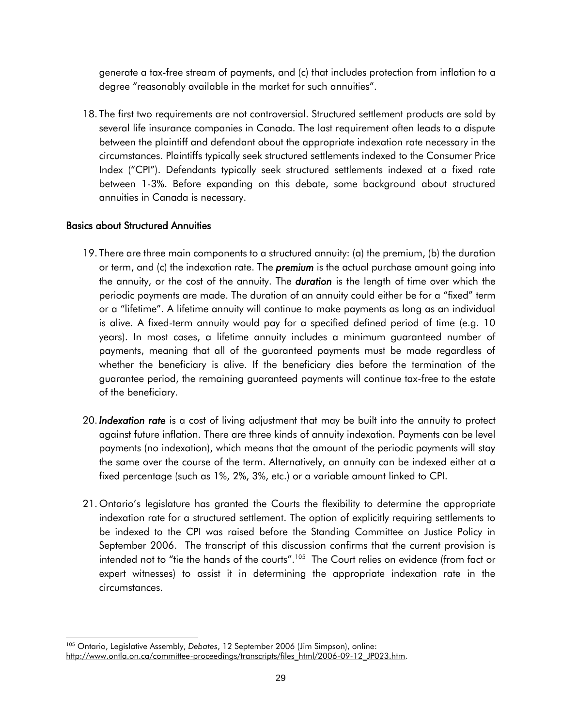generate a tax-free stream of payments, and (c) that includes protection from inflation to a degree "reasonably available in the market for such annuities".

18. The first two requirements are not controversial. Structured settlement products are sold by several life insurance companies in Canada. The last requirement often leads to a dispute between the plaintiff and defendant about the appropriate indexation rate necessary in the circumstances. Plaintiffs typically seek structured settlements indexed to the Consumer Price Index ("CPI"). Defendants typically seek structured settlements indexed at a fixed rate between 1-3%. Before expanding on this debate, some background about structured annuities in Canada is necessary.

## Basics about Structured Annuities

- 19. There are three main components to a structured annuity: (a) the premium, (b) the duration or term, and (c) the indexation rate. The *premium* is the actual purchase amount going into the annuity, or the cost of the annuity. The *duration* is the length of time over which the periodic payments are made. The duration of an annuity could either be for a "fixed" term or a "lifetime". A lifetime annuity will continue to make payments as long as an individual is alive. A fixed-term annuity would pay for a specified defined period of time (e.g. 10 years). In most cases, a lifetime annuity includes a minimum guaranteed number of payments, meaning that all of the guaranteed payments must be made regardless of whether the beneficiary is alive. If the beneficiary dies before the termination of the guarantee period, the remaining guaranteed payments will continue tax-free to the estate of the beneficiary.
- 20. *Indexation rate* is a cost of living adjustment that may be built into the annuity to protect against future inflation. There are three kinds of annuity indexation. Payments can be level payments (no indexation), which means that the amount of the periodic payments will stay the same over the course of the term. Alternatively, an annuity can be indexed either at a fixed percentage (such as 1%, 2%, 3%, etc.) or a variable amount linked to CPI.
- 21. Ontario's legislature has granted the Courts the flexibility to determine the appropriate indexation rate for a structured settlement. The option of explicitly requiring settlements to be indexed to the CPI was raised before the Standing Committee on Justice Policy in September 2006. The transcript of this discussion confirms that the current provision is intended not to "tie the hands of the courts". $^{105}$  The Court relies on evidence (from fact or expert witnesses) to assist it in determining the appropriate indexation rate in the circumstances.

l <sup>105</sup> Ontario, Legislative Assembly, *Debates*, 12 September 2006 (Jim Simpson), online: [http://www.ontla.on.ca/committee-proceedings/transcripts/files\\_html/2006-09-12\\_JP023.htm.](http://www.ontla.on.ca/committee-proceedings/transcripts/files_html/2006-09-12_JP023.htm)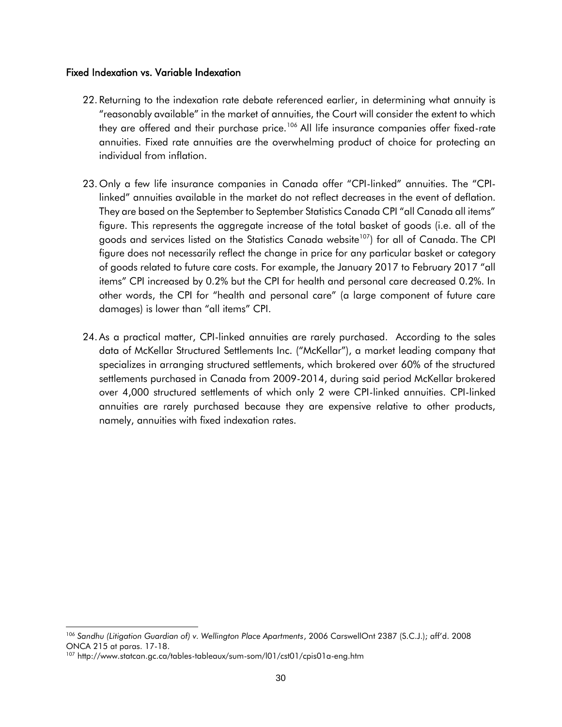#### Fixed Indexation vs. Variable Indexation

- 22. Returning to the indexation rate debate referenced earlier, in determining what annuity is "reasonably available" in the market of annuities, the Court will consider the extent to which they are offered and their purchase price.<sup>106</sup> All life insurance companies offer fixed-rate annuities. Fixed rate annuities are the overwhelming product of choice for protecting an individual from inflation.
- 23. Only a few life insurance companies in Canada offer "CPI-linked" annuities. The "CPIlinked" annuities available in the market do not reflect decreases in the event of deflation. They are based on the September to September Statistics Canada CPI "all Canada all items" figure. This represents the aggregate increase of the total basket of goods (i.e. all of the goods and services listed on the Statistics Canada website<sup>107</sup>) for all of Canada. The CPI figure does not necessarily reflect the change in price for any particular basket or category of goods related to future care costs. For example, the January 2017 to February 2017 "all items" CPI increased by 0.2% but the CPI for health and personal care decreased 0.2%. In other words, the CPI for "health and personal care" (a large component of future care damages) is lower than "all items" CPI.
- 24. As a practical matter, CPI-linked annuities are rarely purchased. According to the sales data of McKellar Structured Settlements Inc. ("McKellar"), a market leading company that specializes in arranging structured settlements, which brokered over 60% of the structured settlements purchased in Canada from 2009-2014, during said period McKellar brokered over 4,000 structured settlements of which only 2 were CPI-linked annuities. CPI-linked annuities are rarely purchased because they are expensive relative to other products, namely, annuities with fixed indexation rates.

l <sup>106</sup> *Sandhu (Litigation Guardian of) v. Wellington Place Apartments*, 2006 CarswellOnt 2387 (S.C.J.); aff'd. 2008 ONCA 215 at paras. 17-18.

<sup>107</sup> http://www.statcan.gc.ca/tables-tableaux/sum-som/l01/cst01/cpis01a-eng.htm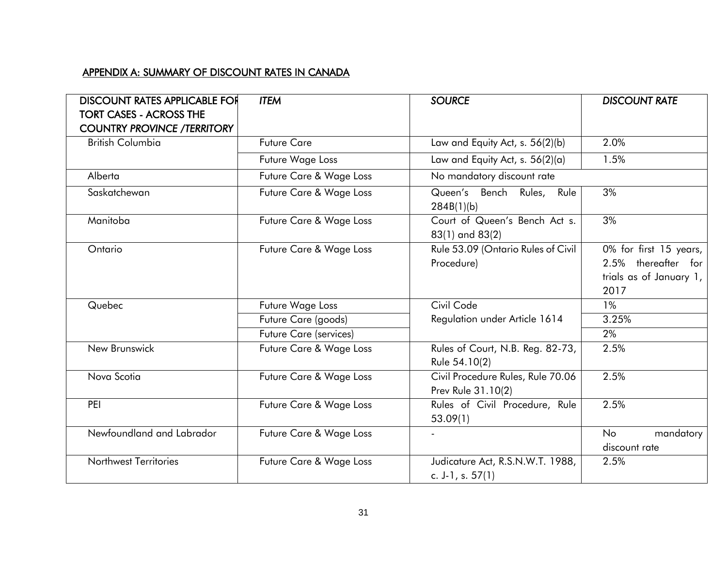# APPENDIX A: SUMMARY OF DISCOUNT RATES IN CANADA

| <b>DISCOUNT RATES APPLICABLE FOR</b><br><b>TORT CASES - ACROSS THE</b><br><b>COUNTRY PROVINCE /TERRITORY</b> | <b>ITEM</b>             | <b>SOURCE</b>                                           | <b>DISCOUNT RATE</b>                                                             |
|--------------------------------------------------------------------------------------------------------------|-------------------------|---------------------------------------------------------|----------------------------------------------------------------------------------|
| <b>British Columbia</b>                                                                                      | <b>Future Care</b>      | Law and Equity Act, s. 56(2)(b)                         | 2.0%                                                                             |
|                                                                                                              | Future Wage Loss        | Law and Equity Act, s. 56(2)(a)                         | 1.5%                                                                             |
| Alberta                                                                                                      | Future Care & Wage Loss | No mandatory discount rate                              |                                                                                  |
| Saskatchewan                                                                                                 | Future Care & Wage Loss | Queen's Bench Rules, Rule<br>284B(1)(b)                 | 3%                                                                               |
| Manitoba                                                                                                     | Future Care & Wage Loss | Court of Queen's Bench Act s.<br>83(1) and 83(2)        | 3%                                                                               |
| Ontario                                                                                                      | Future Care & Wage Loss | Rule 53.09 (Ontario Rules of Civil<br>Procedure)        | 0% for first 15 years,<br>2.5% thereafter for<br>trials as of January 1,<br>2017 |
| Quebec                                                                                                       | Future Wage Loss        | Civil Code                                              | $1\%$                                                                            |
|                                                                                                              | Future Care (goods)     | Regulation under Article 1614                           | 3.25%                                                                            |
|                                                                                                              | Future Care (services)  |                                                         | 2%                                                                               |
| New Brunswick                                                                                                | Future Care & Wage Loss | Rules of Court, N.B. Reg. 82-73,<br>Rule 54.10(2)       | 2.5%                                                                             |
| Nova Scotia                                                                                                  | Future Care & Wage Loss | Civil Procedure Rules, Rule 70.06<br>Prev Rule 31.10(2) | 2.5%                                                                             |
| PEI                                                                                                          | Future Care & Wage Loss | Rules of Civil Procedure, Rule<br>53.09(1)              | 2.5%                                                                             |
| Newfoundland and Labrador                                                                                    | Future Care & Wage Loss |                                                         | No<br>mandatory                                                                  |
|                                                                                                              |                         |                                                         | discount rate                                                                    |
| <b>Northwest Territories</b>                                                                                 | Future Care & Wage Loss | Judicature Act, R.S.N.W.T. 1988,                        | 2.5%                                                                             |
|                                                                                                              |                         | c. J-1, s. $57(1)$                                      |                                                                                  |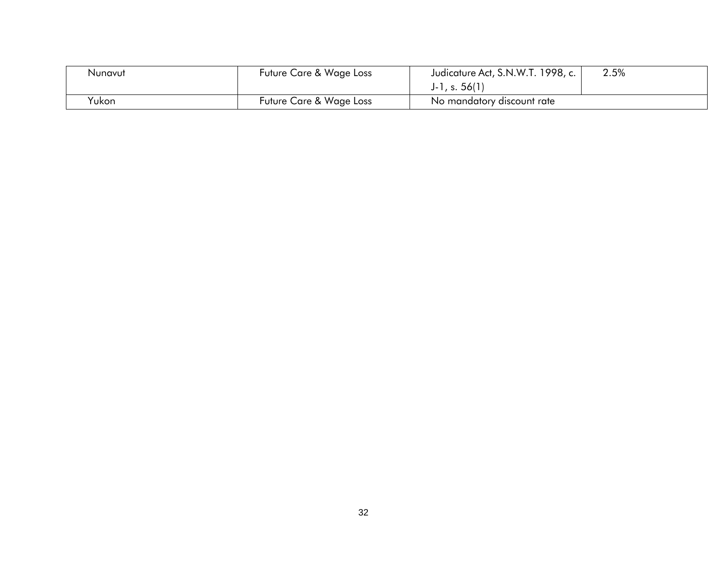| Nunavut | Future Care & Wage Loss | Judicature Act, S.N.W.T. 1998, c. | 2.5% |
|---------|-------------------------|-----------------------------------|------|
|         |                         | $J-1, s. 56(1)$                   |      |
| Yukon   | Future Care & Wage Loss | No mandatory discount rate        |      |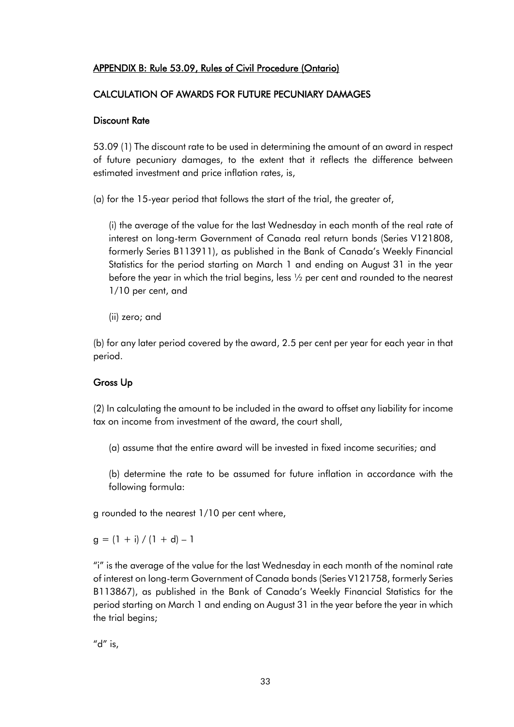# APPENDIX B: Rule 53.09, Rules of Civil Procedure (Ontario)

## CALCULATION OF AWARDS FOR FUTURE PECUNIARY DAMAGES

## Discount Rate

53.09 (1) The discount rate to be used in determining the amount of an award in respect of future pecuniary damages, to the extent that it reflects the difference between estimated investment and price inflation rates, is,

(a) for the 15-year period that follows the start of the trial, the greater of,

(i) the average of the value for the last Wednesday in each month of the real rate of interest on long-term Government of Canada real return bonds (Series V121808, formerly Series B113911), as published in the Bank of Canada's Weekly Financial Statistics for the period starting on March 1 and ending on August 31 in the year before the year in which the trial begins, less ½ per cent and rounded to the nearest 1/10 per cent, and

(ii) zero; and

(b) for any later period covered by the award, 2.5 per cent per year for each year in that period.

# Gross Up

(2) In calculating the amount to be included in the award to offset any liability for income tax on income from investment of the award, the court shall,

(a) assume that the entire award will be invested in fixed income securities; and

(b) determine the rate to be assumed for future inflation in accordance with the following formula:

g rounded to the nearest 1/10 per cent where,

 $g = (1 + i)/(1 + d) - 1$ 

"i" is the average of the value for the last Wednesday in each month of the nominal rate of interest on long-term Government of Canada bonds (Series V121758, formerly Series B113867), as published in the Bank of Canada's Weekly Financial Statistics for the period starting on March 1 and ending on August 31 in the year before the year in which the trial begins;

"d" is,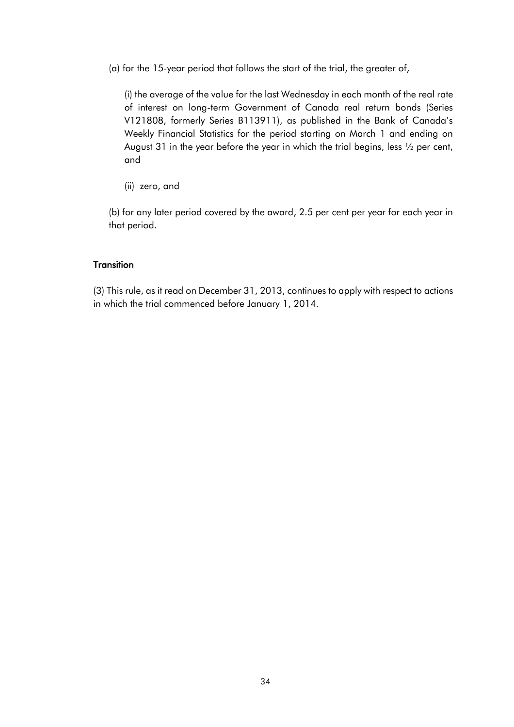(a) for the 15-year period that follows the start of the trial, the greater of,

(i) the average of the value for the last Wednesday in each month of the real rate of interest on long-term Government of Canada real return bonds (Series V121808, formerly Series B113911), as published in the Bank of Canada's Weekly Financial Statistics for the period starting on March 1 and ending on August 31 in the year before the year in which the trial begins, less ½ per cent, and

(ii) zero, and

(b) for any later period covered by the award, 2.5 per cent per year for each year in that period.

#### **Transition**

(3) This rule, as it read on December 31, 2013, continues to apply with respect to actions in which the trial commenced before January 1, 2014.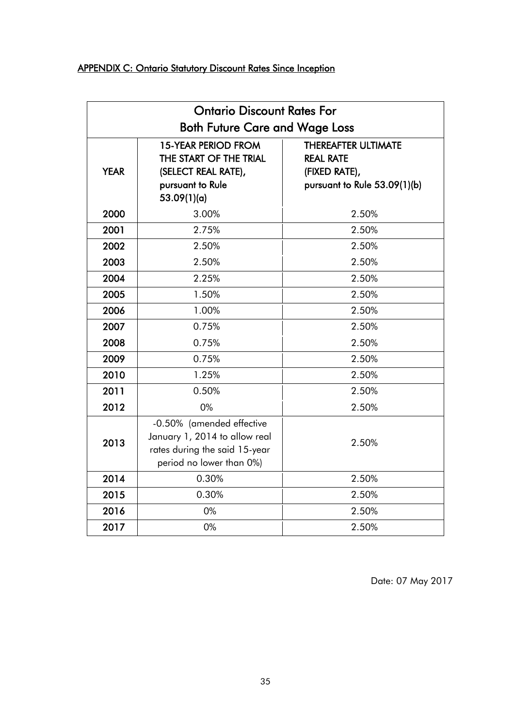# APPENDIX C: Ontario Statutory Discount Rates Since Inception

|                                       | <b>Ontario Discount Rates For</b>                                                                                       |                                                                                                 |  |  |  |
|---------------------------------------|-------------------------------------------------------------------------------------------------------------------------|-------------------------------------------------------------------------------------------------|--|--|--|
| <b>Both Future Care and Wage Loss</b> |                                                                                                                         |                                                                                                 |  |  |  |
| <b>YEAR</b>                           | <b>15-YEAR PERIOD FROM</b><br>THE START OF THE TRIAL<br>(SELECT REAL RATE),<br>pursuant to Rule<br>53.09(1)(a)          | <b>THEREAFTER ULTIMATE</b><br><b>REAL RATE</b><br>(FIXED RATE),<br>pursuant to Rule 53.09(1)(b) |  |  |  |
| 2000                                  | 3.00%                                                                                                                   | 2.50%                                                                                           |  |  |  |
| 2001                                  | 2.75%                                                                                                                   | 2.50%                                                                                           |  |  |  |
| 2002                                  | 2.50%                                                                                                                   | 2.50%                                                                                           |  |  |  |
| 2003                                  | 2.50%                                                                                                                   | 2.50%                                                                                           |  |  |  |
| 2004                                  | 2.25%                                                                                                                   | 2.50%                                                                                           |  |  |  |
| 2005                                  | 1.50%                                                                                                                   | 2.50%                                                                                           |  |  |  |
| 2006                                  | 1.00%                                                                                                                   | 2.50%                                                                                           |  |  |  |
| 2007                                  | 0.75%                                                                                                                   | 2.50%                                                                                           |  |  |  |
| 2008                                  | 0.75%                                                                                                                   | 2.50%                                                                                           |  |  |  |
| 2009                                  | 0.75%                                                                                                                   | 2.50%                                                                                           |  |  |  |
| 2010                                  | 1.25%                                                                                                                   | 2.50%                                                                                           |  |  |  |
| 2011                                  | 0.50%                                                                                                                   | 2.50%                                                                                           |  |  |  |
| 2012                                  | 0%                                                                                                                      | 2.50%                                                                                           |  |  |  |
| 2013                                  | -0.50% (amended effective<br>January 1, 2014 to allow real<br>rates during the said 15-year<br>period no lower than 0%) | 2.50%                                                                                           |  |  |  |
| 2014                                  | 0.30%                                                                                                                   | 2.50%                                                                                           |  |  |  |
| 2015                                  | 0.30%                                                                                                                   | 2.50%                                                                                           |  |  |  |
| 2016                                  | 0%                                                                                                                      | 2.50%                                                                                           |  |  |  |
| 2017                                  | 0%                                                                                                                      | 2.50%                                                                                           |  |  |  |

Date: 07 May 2017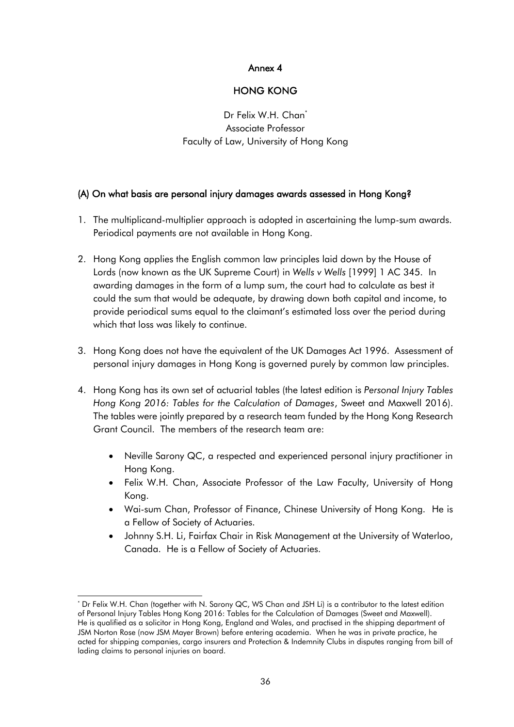## Annex 4

## HONG KONG

<span id="page-35-0"></span>Dr Felix W.H. Chan<sup>\*</sup> Associate Professor Faculty of Law, University of Hong Kong

## (A) On what basis are personal injury damages awards assessed in Hong Kong?

- 1. The multiplicand-multiplier approach is adopted in ascertaining the lump-sum awards. Periodical payments are not available in Hong Kong.
- 2. Hong Kong applies the English common law principles laid down by the House of Lords (now known as the UK Supreme Court) in *Wells v Wells* [1999] 1 AC 345. In awarding damages in the form of a lump sum, the court had to calculate as best it could the sum that would be adequate, by drawing down both capital and income, to provide periodical sums equal to the claimant's estimated loss over the period during which that loss was likely to continue.
- 3. Hong Kong does not have the equivalent of the UK Damages Act 1996. Assessment of personal injury damages in Hong Kong is governed purely by common law principles.
- 4. Hong Kong has its own set of actuarial tables (the latest edition is *Personal Injury Tables Hong Kong 2016: Tables for the Calculation of Damages*, Sweet and Maxwell 2016). The tables were jointly prepared by a research team funded by the Hong Kong Research Grant Council. The members of the research team are:
	- Neville Sarony QC, a respected and experienced personal injury practitioner in Hong Kong.
	- Felix W.H. Chan, Associate Professor of the Law Faculty, University of Hong Kong.
	- Wai-sum Chan, Professor of Finance, Chinese University of Hong Kong. He is a Fellow of Society of Actuaries.
	- Johnny S.H. Li, Fairfax Chair in Risk Management at the University of Waterloo, Canada. He is a Fellow of Society of Actuaries.

l \* Dr Felix W.H. Chan (together with N. Sarony QC, WS Chan and JSH Li) is a contributor to the latest edition of Personal Injury Tables Hong Kong 2016: Tables for the Calculation of Damages (Sweet and Maxwell). He is qualified as a solicitor in Hong Kong, England and Wales, and practised in the shipping department of JSM Norton Rose (now JSM Mayer Brown) before entering academia. When he was in private practice, he acted for shipping companies, cargo insurers and Protection & Indemnity Clubs in disputes ranging from bill of lading claims to personal injuries on board.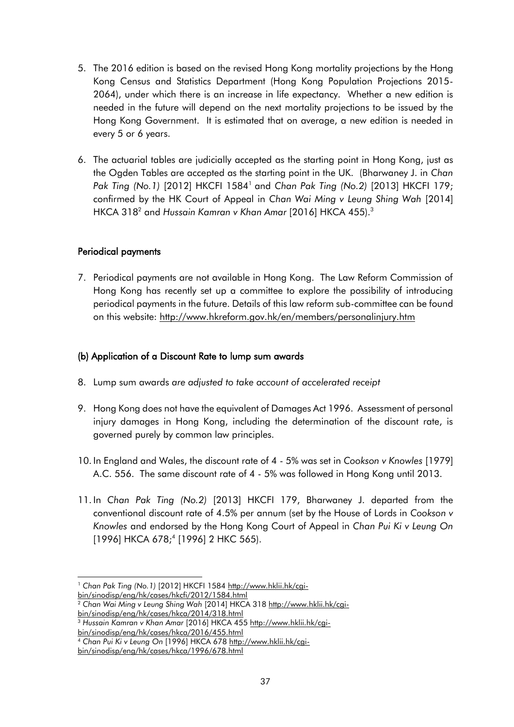- 5. The 2016 edition is based on the revised Hong Kong mortality projections by the Hong Kong Census and Statistics Department (Hong Kong Population Projections 2015- 2064), under which there is an increase in life expectancy. Whether a new edition is needed in the future will depend on the next mortality projections to be issued by the Hong Kong Government. It is estimated that on average, a new edition is needed in every 5 or 6 years.
- 6. The actuarial tables are judicially accepted as the starting point in Hong Kong, just as the Ogden Tables are accepted as the starting point in the UK. (Bharwaney J. in *Chan Pak Ting (No.1)* [2012] HKCFI 1584<sup>1</sup> and *Chan Pak Ting (No.2)* [2013] HKCFI 179; confirmed by the HK Court of Appeal in *Chan Wai Ming v Leung Shing Wah* [2014] HKCA 318<sup>2</sup> and *Hussain Kamran v Khan Amar* [2016] HKCA 455).<sup>3</sup>

## Periodical payments

7. Periodical payments are not available in Hong Kong. The Law Reform Commission of Hong Kong has recently set up a committee to explore the possibility of introducing periodical payments in the future. Details of this law reform sub-committee can be found on this website:<http://www.hkreform.gov.hk/en/members/personalinjury.htm>

# (b) Application of a Discount Rate to lump sum awards

- 8. Lump sum awards *are adjusted to take account of accelerated receipt*
- 9. Hong Kong does not have the equivalent of Damages Act 1996. Assessment of personal injury damages in Hong Kong, including the determination of the discount rate, is governed purely by common law principles.
- 10. In England and Wales, the discount rate of 4 5% was set in *Cookson v Knowles* [1979] A.C. 556. The same discount rate of 4 - 5% was followed in Hong Kong until 2013.
- 11. In *Chan Pak Ting (No.2)* [2013] HKCFI 179, Bharwaney J. departed from the conventional discount rate of 4.5% per annum (set by the House of Lords in *Cookson v Knowles* and endorsed by the Hong Kong Court of Appeal in *Chan Pui Ki v Leung On*  [1996] HKCA 678;<sup>4</sup> [1996] 2 HKC 565).

l <sup>1</sup> *Chan Pak Ting (No.1)* [2012] HKCFI 1584 [http://www.hklii.hk/cgi](http://www.hklii.hk/cgi-bin/sinodisp/eng/hk/cases/hkcfi/2012/1584.html)[bin/sinodisp/eng/hk/cases/hkcfi/2012/1584.html](http://www.hklii.hk/cgi-bin/sinodisp/eng/hk/cases/hkcfi/2012/1584.html)

<sup>&</sup>lt;sup>2</sup> Chan Wai Ming v Leung Shing Wah [2014] HKCA 318 [http://www.hklii.hk/cgi](http://www.hklii.hk/cgi-bin/sinodisp/eng/hk/cases/hkca/2014/318.html)[bin/sinodisp/eng/hk/cases/hkca/2014/318.html](http://www.hklii.hk/cgi-bin/sinodisp/eng/hk/cases/hkca/2014/318.html)

<sup>&</sup>lt;sup>3</sup> Hussain Kamran v Khan Amar [2016] HKCA 455 [http://www.hklii.hk/cgi](http://www.hklii.hk/cgi-bin/sinodisp/eng/hk/cases/hkca/2016/455.html)[bin/sinodisp/eng/hk/cases/hkca/2016/455.html](http://www.hklii.hk/cgi-bin/sinodisp/eng/hk/cases/hkca/2016/455.html)

<sup>4</sup> *Chan Pui Ki v Leung On* [1996] HKCA 678 [http://www.hklii.hk/cgi](http://www.hklii.hk/cgi-bin/sinodisp/eng/hk/cases/hkca/1996/678.html)[bin/sinodisp/eng/hk/cases/hkca/1996/678.html](http://www.hklii.hk/cgi-bin/sinodisp/eng/hk/cases/hkca/1996/678.html)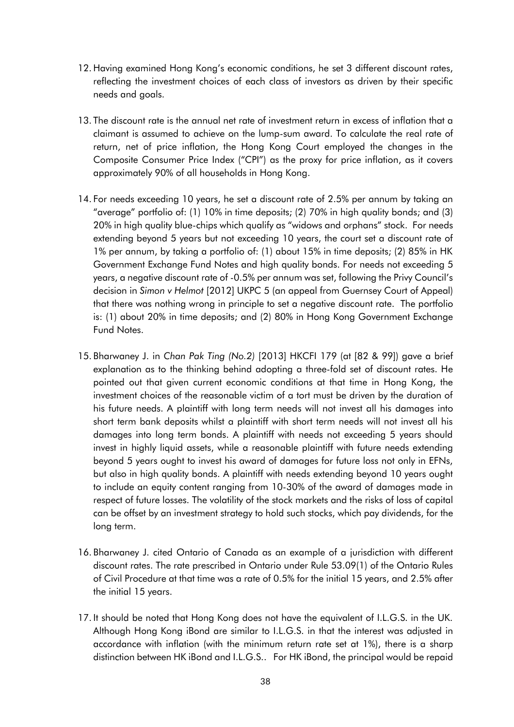- 12. Having examined Hong Kong's economic conditions, he set 3 different discount rates, reflecting the investment choices of each class of investors as driven by their specific needs and goals.
- 13. The discount rate is the annual net rate of investment return in excess of inflation that a claimant is assumed to achieve on the lump-sum award. To calculate the real rate of return, net of price inflation, the Hong Kong Court employed the changes in the Composite Consumer Price Index ("CPI") as the proxy for price inflation, as it covers approximately 90% of all households in Hong Kong.
- 14. For needs exceeding 10 years, he set a discount rate of 2.5% per annum by taking an "average" portfolio of: (1) 10% in time deposits; (2) 70% in high quality bonds; and (3) 20% in high quality blue-chips which qualify as "widows and orphans" stock. For needs extending beyond 5 years but not exceeding 10 years, the court set a discount rate of 1% per annum, by taking a portfolio of: (1) about 15% in time deposits; (2) 85% in HK Government Exchange Fund Notes and high quality bonds. For needs not exceeding 5 years, a negative discount rate of -0.5% per annum was set, following the Privy Council's decision in *Simon v Helmot* [2012] UKPC 5 (an appeal from Guernsey Court of Appeal) that there was nothing wrong in principle to set a negative discount rate. The portfolio is: (1) about 20% in time deposits; and (2) 80% in Hong Kong Government Exchange Fund Notes.
- 15. Bharwaney J. in *Chan Pak Ting (No.2)* [2013] HKCFI 179 (at [82 & 99]) gave a brief explanation as to the thinking behind adopting a three-fold set of discount rates. He pointed out that given current economic conditions at that time in Hong Kong, the investment choices of the reasonable victim of a tort must be driven by the duration of his future needs. A plaintiff with long term needs will not invest all his damages into short term bank deposits whilst a plaintiff with short term needs will not invest all his damages into long term bonds. A plaintiff with needs not exceeding 5 years should invest in highly liquid assets, while a reasonable plaintiff with future needs extending beyond 5 years ought to invest his award of damages for future loss not only in EFNs, but also in high quality bonds. A plaintiff with needs extending beyond 10 years ought to include an equity content ranging from 10-30% of the award of damages made in respect of future losses. The volatility of the stock markets and the risks of loss of capital can be offset by an investment strategy to hold such stocks, which pay dividends, for the long term.
- 16. Bharwaney J. cited Ontario of Canada as an example of a jurisdiction with different discount rates. The rate prescribed in Ontario under Rule 53.09(1) of the Ontario Rules of Civil Procedure at that time was a rate of 0.5% for the initial 15 years, and 2.5% after the initial 15 years.
- 17. It should be noted that Hong Kong does not have the equivalent of I.L.G.S. in the UK. Although Hong Kong iBond are similar to I.L.G.S. in that the interest was adjusted in accordance with inflation (with the minimum return rate set at 1%), there is a sharp distinction between HK iBond and I.L.G.S.. For HK iBond, the principal would be repaid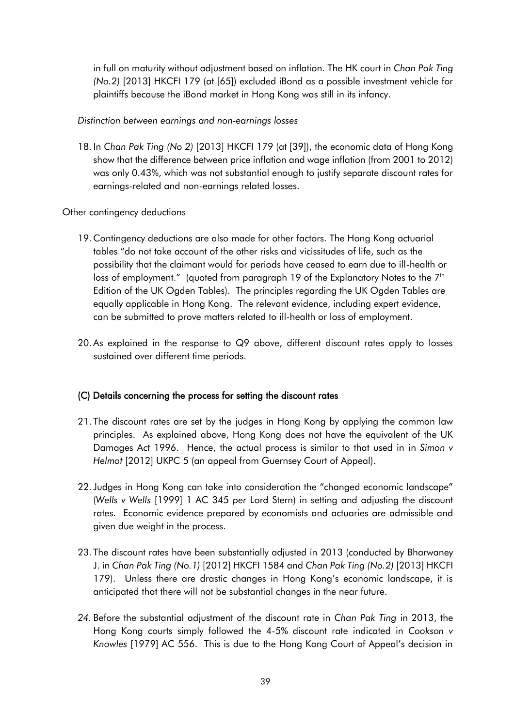in full on maturity without adjustment based on inflation. The HK court in *Chan Pak Ting (No.2)* [2013] HKCFI 179 (at [65]) excluded iBond as a possible investment vehicle for plaintiffs because the iBond market in Hong Kong was still in its infancy.

*Distinction between earnings and non-earnings losses*

18. In *Chan Pak Ting (No 2)* [2013] HKCFI 179 (at [39]), the economic data of Hong Kong show that the difference between price inflation and wage inflation (from 2001 to 2012) was only 0.43%, which was not substantial enough to justify separate discount rates for earnings-related and non-earnings related losses.

Other contingency deductions

- 19. Contingency deductions are also made for other factors. The Hong Kong actuarial tables "do not take account of the other risks and vicissitudes of life, such as the possibility that the claimant would for periods have ceased to earn due to ill-health or loss of employment." (quoted from paragraph 19 of the Explanatory Notes to the  $7<sup>th</sup>$ Edition of the UK Ogden Tables). The principles regarding the UK Ogden Tables are equally applicable in Hong Kong. The relevant evidence, including expert evidence, can be submitted to prove matters related to ill-health or loss of employment.
- 20. As explained in the response to Q9 above, different discount rates apply to losses sustained over different time periods.

## (C) Details concerning the process for setting the discount rates

- 21. The discount rates are set by the judges in Hong Kong by applying the common law principles. As explained above, Hong Kong does not have the equivalent of the UK Damages Act 1996. Hence, the actual process is similar to that used in in *Simon v Helmot* [2012] UKPC 5 (an appeal from Guernsey Court of Appeal).
- 22.Judges in Hong Kong can take into consideration the "changed economic landscape" (*Wells v Wells* [1999] 1 AC 345 *per* Lord Stern) in setting and adjusting the discount rates. Economic evidence prepared by economists and actuaries are admissible and given due weight in the process.
- 23. The discount rates have been substantially adjusted in 2013 (conducted by Bharwaney J. in *Chan Pak Ting (No.1)* [2012] HKCFI 1584 and *Chan Pak Ting (No.2)* [2013] HKCFI 179). Unless there are drastic changes in Hong Kong's economic landscape, it is anticipated that there will not be substantial changes in the near future.
- *24.* Before the substantial adjustment of the discount rate in *Chan Pak Ting* in 2013, the Hong Kong courts simply followed the 4-5% discount rate indicated in *Cookson v Knowles* [1979] AC 556. This is due to the Hong Kong Court of Appeal's decision in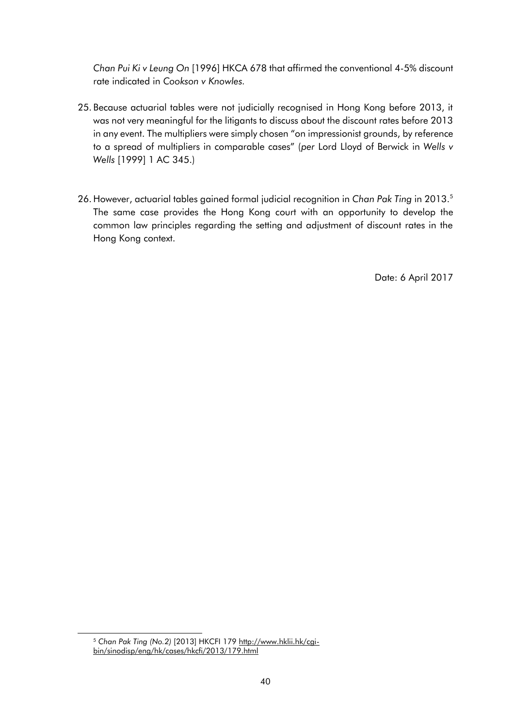*Chan Pui Ki v Leung On* [1996] HKCA 678 that affirmed the conventional 4-5% discount rate indicated in *Cookson v Knowles.* 

- 25. Because actuarial tables were not judicially recognised in Hong Kong before 2013, it was not very meaningful for the litigants to discuss about the discount rates before 2013 in any event. The multipliers were simply chosen "on impressionist grounds, by reference to a spread of multipliers in comparable cases" (*per* Lord Lloyd of Berwick in *Wells v Wells* [1999] 1 AC 345.)
- 26. However, actuarial tables gained formal judicial recognition in *Chan Pak Ting* in 2013.<sup>5</sup> The same case provides the Hong Kong court with an opportunity to develop the common law principles regarding the setting and adjustment of discount rates in the Hong Kong context.

Date: 6 April 2017

<sup>&</sup>lt;sup>5</sup> Chan Pak Ting (No.2) [2013] HKCFI 179 [http://www.hklii.hk/cgi](http://www.hklii.hk/cgi-bin/sinodisp/eng/hk/cases/hkcfi/2013/179.html)[bin/sinodisp/eng/hk/cases/hkcfi/2013/179.html](http://www.hklii.hk/cgi-bin/sinodisp/eng/hk/cases/hkcfi/2013/179.html)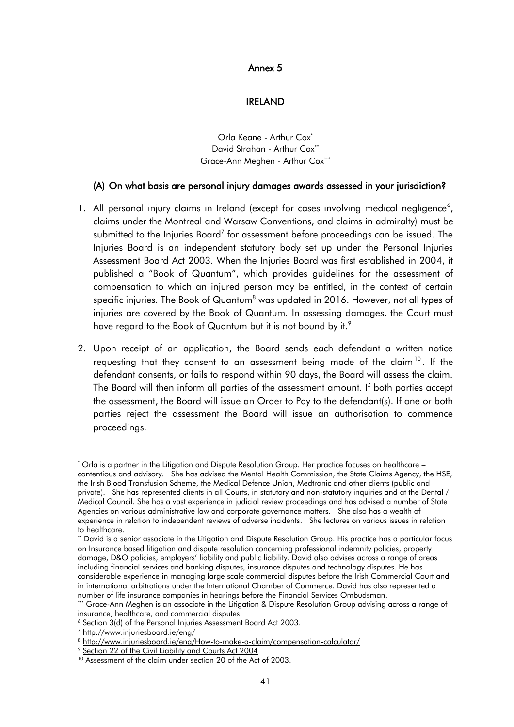#### Annex 5

#### IRELAND

Orla Keane - Arthur Cox<sup>\*</sup> David Strahan - Arthur Cox<sup>\*\*</sup> Grace-Ann Meghen - Arthur Cox\*\*\*

#### <span id="page-40-0"></span>(A) On what basis are personal injury damages awards assessed in your jurisdiction?

- 1. All personal injury claims in Ireland (except for cases involving medical negligence<sup>6</sup>, claims under the Montreal and Warsaw Conventions, and claims in admiralty) must be submitted to the Injuries Board<sup>7</sup> for assessment before proceedings can be issued. The Injuries Board is an independent statutory body set up under the Personal Injuries Assessment Board Act 2003. When the Injuries Board was first established in 2004, it published a "Book of Quantum", which provides guidelines for the assessment of compensation to which an injured person may be entitled, in the context of certain specific injuries. The Book of Quantum<sup>8</sup> was updated in 2016. However, not all types of injuries are covered by the Book of Quantum. In assessing damages, the Court must have regard to the Book of Quantum but it is not bound by it.<sup>9</sup>
- 2. Upon receipt of an application, the Board sends each defendant a written notice requesting that they consent to an assessment being made of the claim<sup>10</sup>. If the defendant consents, or fails to respond within 90 days, the Board will assess the claim. The Board will then inform all parties of the assessment amount. If both parties accept the assessment, the Board will issue an Order to Pay to the defendant(s). If one or both parties reject the assessment the Board will issue an authorisation to commence proceedings.

<sup>\*</sup> Orla is a partner in the Litigation and Dispute Resolution Group. Her practice focuses on healthcare – contentious and advisory. She has advised the Mental Health Commission, the State Claims Agency, the HSE, the Irish Blood Transfusion Scheme, the Medical Defence Union, Medtronic and other clients (public and private). She has represented clients in all Courts, in statutory and non-statutory inquiries and at the Dental / Medical Council. She has a vast experience in judicial review proceedings and has advised a number of State Agencies on various administrative law and corporate governance matters. She also has a wealth of experience in relation to independent reviews of adverse incidents. She lectures on various issues in relation to healthcare.

<sup>\*</sup> David is a senior associate in the Litigation and Dispute Resolution Group. His practice has a particular focus on Insurance based litigation and dispute resolution concerning professional indemnity policies, property damage, D&O policies, employers' liability and public liability. David also advises across a range of areas including financial services and banking disputes, insurance disputes and technology disputes. He has considerable experience in managing large scale commercial disputes before the Irish Commercial Court and in international arbitrations under the International Chamber of Commerce. David has also represented a number of life insurance companies in hearings before the Financial Services Ombudsman.

<sup>\*\*\*</sup> Grace-Ann Meghen is an associate in the Litigation & Dispute Resolution Group advising across a range of insurance, healthcare, and commercial disputes.

<sup>6</sup> Section 3(d) of the Personal Injuries Assessment Board Act 2003.

<sup>7</sup> <http://www.injuriesboard.ie/eng/>

<sup>8</sup> <http://www.injuriesboard.ie/eng/How-to-make-a-claim/compensation-calculator/>

<sup>&</sup>lt;sup>9</sup> [Section 22 of the Civil Liability and Courts Act 2004](http://www.irishstatutebook.ie/eli/2004/act/31/enacted/en/pdf)

<sup>&</sup>lt;sup>10</sup> Assessment of the claim under section 20 of the Act of 2003.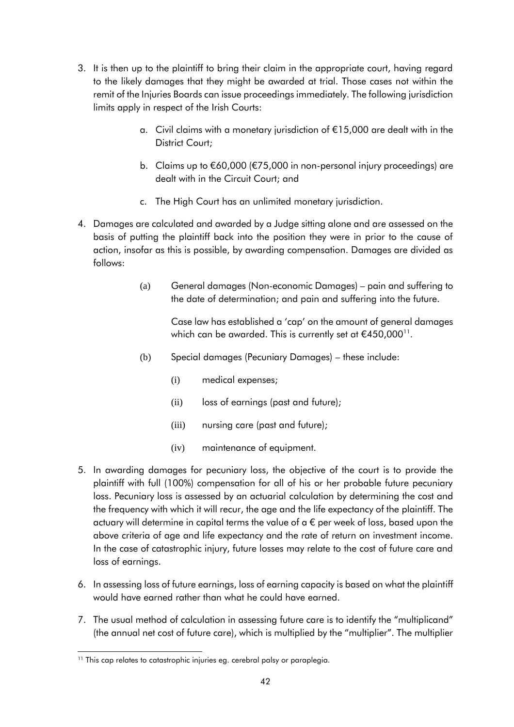- 3. It is then up to the plaintiff to bring their claim in the appropriate court, having regard to the likely damages that they might be awarded at trial. Those cases not within the remit of the Injuries Boards can issue proceedings immediately. The following jurisdiction limits apply in respect of the Irish Courts:
	- a. Civil claims with a monetary jurisdiction of €15,000 are dealt with in the District Court;
	- b. Claims up to €60,000 (€75,000 in non-personal injury proceedings) are dealt with in the Circuit Court; and
	- c. The High Court has an unlimited monetary jurisdiction.
- 4. Damages are calculated and awarded by a Judge sitting alone and are assessed on the basis of putting the plaintiff back into the position they were in prior to the cause of action, insofar as this is possible, by awarding compensation. Damages are divided as follows:
	- (a) General damages (Non-economic Damages) pain and suffering to the date of determination; and pain and suffering into the future.

Case law has established a 'cap' on the amount of general damages which can be awarded. This is currently set at €450,000 $^{\text{\tiny{11}}}$ .

- (b) Special damages (Pecuniary Damages) these include:
	- (i) medical expenses;
	- (ii) loss of earnings (past and future);
	- (iii) nursing care (past and future);
	- (iv) maintenance of equipment.
- 5. In awarding damages for pecuniary loss, the objective of the court is to provide the plaintiff with full (100%) compensation for all of his or her probable future pecuniary loss. Pecuniary loss is assessed by an actuarial calculation by determining the cost and the frequency with which it will recur, the age and the life expectancy of the plaintiff. The actuary will determine in capital terms the value of a  $\epsilon$  per week of loss, based upon the above criteria of age and life expectancy and the rate of return on investment income. In the case of catastrophic injury, future losses may relate to the cost of future care and loss of earnings.
- 6. In assessing loss of future earnings, loss of earning capacity is based on what the plaintiff would have earned rather than what he could have earned.
- 7. The usual method of calculation in assessing future care is to identify the "multiplicand" (the annual net cost of future care), which is multiplied by the "multiplier". The multiplier

l <sup>11</sup> This cap relates to catastrophic injuries eg. cerebral palsy or paraplegia.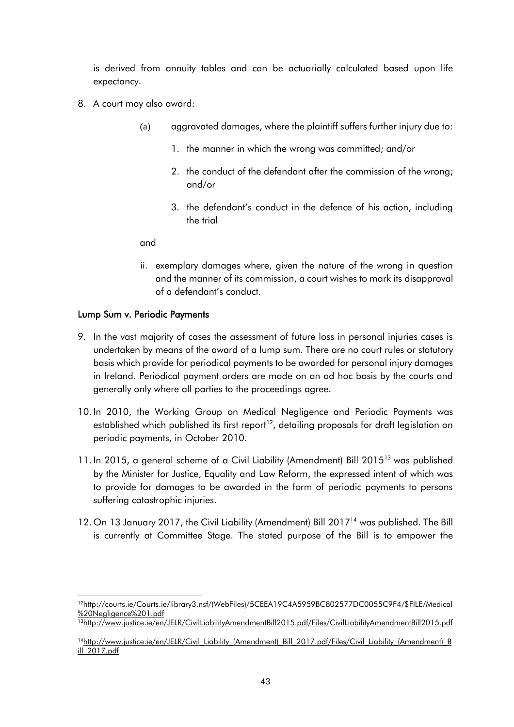is derived from annuity tables and can be actuarially calculated based upon life expectancy.

- 8. A court may also award:
	- (a) aggravated damages, where the plaintiff suffers further injury due to:
		- 1. the manner in which the wrong was committed; and/or
		- 2. the conduct of the defendant after the commission of the wrong; and/or
		- 3. the defendant's conduct in the defence of his action, including the trial

and

ii. exemplary damages where, given the nature of the wrong in question and the manner of its commission, a court wishes to mark its disapproval of a defendant's conduct.

## Lump Sum v. Periodic Payments

- 9. In the vast majority of cases the assessment of future loss in personal injuries cases is undertaken by means of the award of a lump sum. There are no court rules or statutory basis which provide for periodical payments to be awarded for personal injury damages in Ireland. Periodical payment orders are made on an ad hoc basis by the courts and generally only where all parties to the proceedings agree.
- 10. In 2010, the Working Group on Medical Negligence and Periodic Payments was established which published its first report<sup>12</sup>, detailing proposals for draft legislation on periodic payments, in October 2010.
- 11. In 2015, a general scheme of a Civil Liability (Amendment) Bill 2015<sup>13</sup> was published by the Minister for Justice, Equality and Law Reform, the expressed intent of which was to provide for damages to be awarded in the form of periodic payments to persons suffering catastrophic injuries.
- 12. On 13 January 2017, the Civil Liability (Amendment) Bill 2017<sup>14</sup> was published. The Bill is currently at Committee Stage. The stated purpose of the Bill is to empower the

<sup>&</sup>lt;sup>12</sup>[http://courts.ie/Courts.ie/library3.nsf/\(WebFiles\)/5CEEA19C4A5959BC802577DC0055C9F4/\\$FILE/Medical](http://courts.ie/Courts.ie/library3.nsf/(WebFiles)/5CEEA19C4A5959BC802577DC0055C9F4/$FILE/Medical%20Negligence%201.pdf) [%20Negligence%201.pdf](http://courts.ie/Courts.ie/library3.nsf/(WebFiles)/5CEEA19C4A5959BC802577DC0055C9F4/$FILE/Medical%20Negligence%201.pdf)

<sup>13</sup><http://www.justice.ie/en/JELR/CivilLiabilityAmendmentBill2015.pdf/Files/CivilLiabilityAmendmentBill2015.pdf>

<sup>&</sup>lt;sup>14</sup>http://www.justice.ie/en/JELR/Civil\_Liability (Amendment)\_Bill\_2017.pdf/Files/Civil\_Liability\_(Amendment)\_B [ill\\_2017.pdf](http://www.justice.ie/en/JELR/Civil_Liability_(Amendment)_Bill_2017.pdf/Files/Civil_Liability_(Amendment)_Bill_2017.pdf)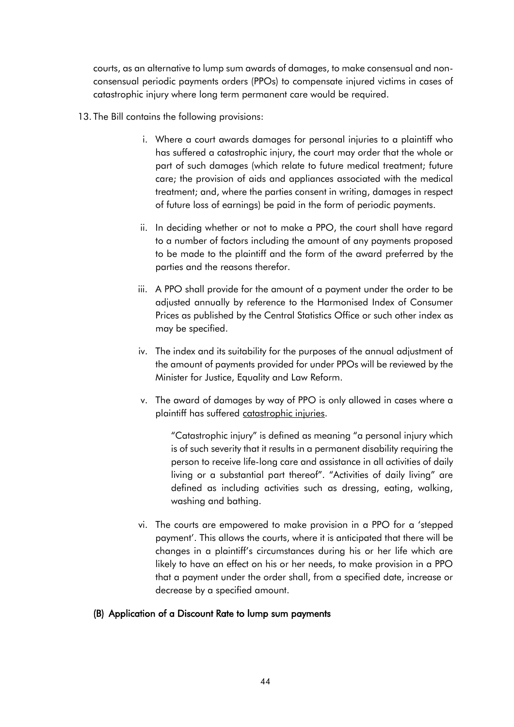courts, as an alternative to lump sum awards of damages, to make consensual and nonconsensual periodic payments orders (PPOs) to compensate injured victims in cases of catastrophic injury where long term permanent care would be required.

- 13. The Bill contains the following provisions:
	- i. Where a court awards damages for personal injuries to a plaintiff who has suffered a catastrophic injury, the court may order that the whole or part of such damages (which relate to future medical treatment; future care; the provision of aids and appliances associated with the medical treatment; and, where the parties consent in writing, damages in respect of future loss of earnings) be paid in the form of periodic payments.
	- ii. In deciding whether or not to make a PPO, the court shall have regard to a number of factors including the amount of any payments proposed to be made to the plaintiff and the form of the award preferred by the parties and the reasons therefor.
	- iii. A PPO shall provide for the amount of a payment under the order to be adjusted annually by reference to the Harmonised Index of Consumer Prices as published by the Central Statistics Office or such other index as may be specified.
	- iv. The index and its suitability for the purposes of the annual adjustment of the amount of payments provided for under PPOs will be reviewed by the Minister for Justice, Equality and Law Reform.
	- v. The award of damages by way of PPO is only allowed in cases where a plaintiff has suffered catastrophic injuries.

"Catastrophic injury" is defined as meaning "a personal injury which is of such severity that it results in a permanent disability requiring the person to receive life-long care and assistance in all activities of daily living or a substantial part thereof". "Activities of daily living" are defined as including activities such as dressing, eating, walking, washing and bathing.

vi. The courts are empowered to make provision in a PPO for a 'stepped payment'. This allows the courts, where it is anticipated that there will be changes in a plaintiff's circumstances during his or her life which are likely to have an effect on his or her needs, to make provision in a PPO that a payment under the order shall, from a specified date, increase or decrease by a specified amount.

## (B) Application of a Discount Rate to lump sum payments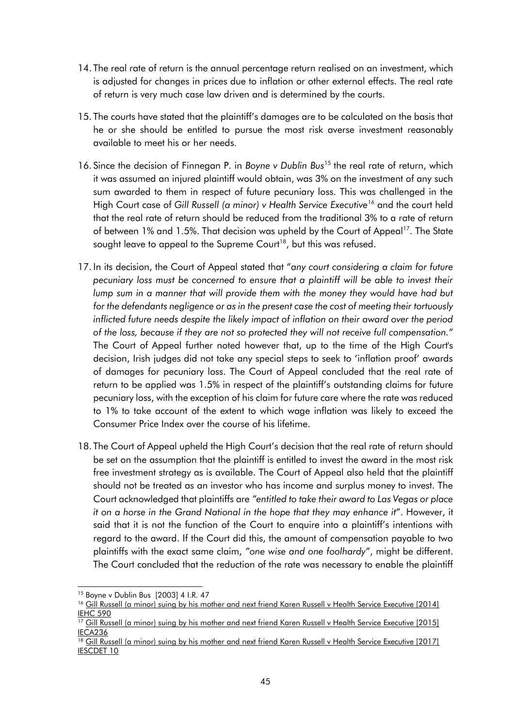- 14. The real rate of return is the annual percentage return realised on an investment, which is adjusted for changes in prices due to inflation or other external effects. The real rate of return is very much case law driven and is determined by the courts.
- 15. The courts have stated that the plaintiff's damages are to be calculated on the basis that he or she should be entitled to pursue the most risk averse investment reasonably available to meet his or her needs.
- 16. Since the decision of Finnegan P. in *Boyne v Dublin Bus*<sup>15</sup> the real rate of return, which it was assumed an injured plaintiff would obtain, was 3% on the investment of any such sum awarded to them in respect of future pecuniary loss. This was challenged in the High Court case of Gill Russell (a minor) v Health Service Executive<sup>16</sup> and the court held that the real rate of return should be reduced from the traditional 3% to a rate of return of between 1% and 1.5%. That decision was upheld by the Court of Appeal<sup>17</sup>. The State sought leave to appeal to the Supreme Court<sup>18</sup>, but this was refused.
- 17. In its decision, the Court of Appeal stated that "*any court considering a claim for future pecuniary loss must be concerned to ensure that a plaintiff will be able to invest their lump sum in a manner that will provide them with the money they would have had but for the defendants negligence or as in the present case the cost of meeting their tortuously inflicted future needs despite the likely impact of inflation on their award over the period of the loss, because if they are not so protected they will not receive full compensation.*" The Court of Appeal further noted however that, up to the time of the High Court's decision, Irish judges did not take any special steps to seek to 'inflation proof' awards of damages for pecuniary loss. The Court of Appeal concluded that the real rate of return to be applied was 1.5% in respect of the plaintiff's outstanding claims for future pecuniary loss, with the exception of his claim for future care where the rate was reduced to 1% to take account of the extent to which wage inflation was likely to exceed the Consumer Price Index over the course of his lifetime.
- 18. The Court of Appeal upheld the High Court's decision that the real rate of return should be set on the assumption that the plaintiff is entitled to invest the award in the most risk free investment strategy as is available. The Court of Appeal also held that the plaintiff should not be treated as an investor who has income and surplus money to invest. The Court acknowledged that plaintiffs are *"entitled to take their award to Las Vegas or place it on a horse in the Grand National in the hope that they may enhance it*". However, it said that it is not the function of the Court to enquire into a plaintiff's intentions with regard to the award. If the Court did this, the amount of compensation payable to two plaintiffs with the exact same claim, *"one wise and one foolhardy*", might be different. The Court concluded that the reduction of the rate was necessary to enable the plaintiff

<sup>15</sup> Boyne v Dublin Bus [2003] 4 I.R. 47

<sup>&</sup>lt;sup>16</sup> Gill Russell (a minor) suing by his mother and next friend Karen Russell v Health Service Executive [2014] [IEHC 590](http://www.courts.ie/judgments.nsf/6681dee4565ecf2c80256e7e0052005b/2493a9b4fd1d54f280257dc8003a8b81?OpenDocument&Highlight=0,russell,v,hse)

<sup>&</sup>lt;sup>17</sup> Gill Russell (a minor) suing by his mother and next friend Karen Russell v Health Service Executive [2015] [IECA236](http://www.courts.ie/Judgments.nsf/bce24a8184816f1580256ef30048ca50/540733a66f93dc0580257efa005f0b7d?OpenDocument)

<sup>&</sup>lt;sup>18</sup> Gill Russell (a minor) suing by his mother and next friend Karen Russell v Health Service Executive [2017] [IESCDET 10](http://www.courts.ie/judgments.nsf/6681dee4565ecf2c80256e7e0052005b/fa40f9e95987a05c802580bb004c11bc?OpenDocument&Highlight=0,russell,v,hse)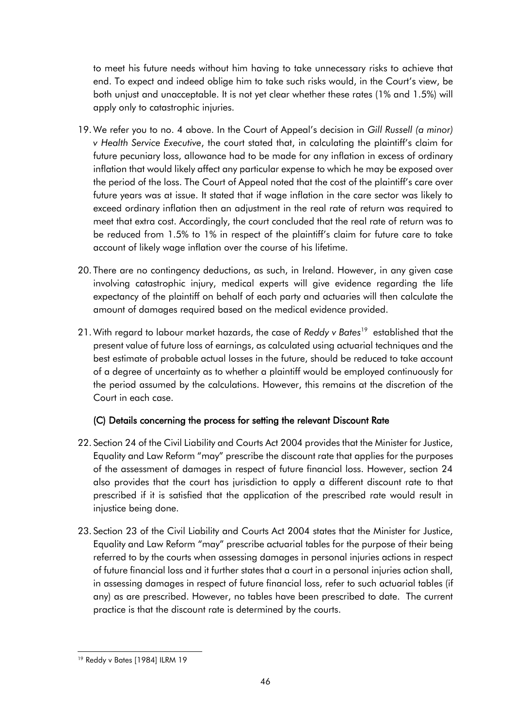to meet his future needs without him having to take unnecessary risks to achieve that end. To expect and indeed oblige him to take such risks would, in the Court's view, be both unjust and unacceptable. It is not yet clear whether these rates (1% and 1.5%) will apply only to catastrophic injuries.

- 19. We refer you to no. 4 above. In the Court of Appeal's decision in *Gill Russell (a minor) v Health Service Executive*, the court stated that, in calculating the plaintiff's claim for future pecuniary loss, allowance had to be made for any inflation in excess of ordinary inflation that would likely affect any particular expense to which he may be exposed over the period of the loss. The Court of Appeal noted that the cost of the plaintiff's care over future years was at issue. It stated that if wage inflation in the care sector was likely to exceed ordinary inflation then an adjustment in the real rate of return was required to meet that extra cost. Accordingly, the court concluded that the real rate of return was to be reduced from 1.5% to 1% in respect of the plaintiff's claim for future care to take account of likely wage inflation over the course of his lifetime.
- 20. There are no contingency deductions, as such, in Ireland. However, in any given case involving catastrophic injury, medical experts will give evidence regarding the life expectancy of the plaintiff on behalf of each party and actuaries will then calculate the amount of damages required based on the medical evidence provided.
- 21. With regard to labour market hazards, the case of *Reddy v Bates*<sup>19</sup> established that the present value of future loss of earnings, as calculated using actuarial techniques and the best estimate of probable actual losses in the future, should be reduced to take account of a degree of uncertainty as to whether a plaintiff would be employed continuously for the period assumed by the calculations. However, this remains at the discretion of the Court in each case.

# (C) Details concerning the process for setting the relevant Discount Rate

- 22. Section 24 of the Civil Liability and Courts Act 2004 provides that the Minister for Justice, Equality and Law Reform "may" prescribe the discount rate that applies for the purposes of the assessment of damages in respect of future financial loss. However, section 24 also provides that the court has jurisdiction to apply a different discount rate to that prescribed if it is satisfied that the application of the prescribed rate would result in injustice being done.
- 23. Section 23 of the Civil Liability and Courts Act 2004 states that the Minister for Justice, Equality and Law Reform "may" prescribe actuarial tables for the purpose of their being referred to by the courts when assessing damages in personal injuries actions in respect of future financial loss and it further states that a court in a personal injuries action shall, in assessing damages in respect of future financial loss, refer to such actuarial tables (if any) as are prescribed. However, no tables have been prescribed to date. The current practice is that the discount rate is determined by the courts.

l <sup>19</sup> Reddy v Bates [1984] ILRM 19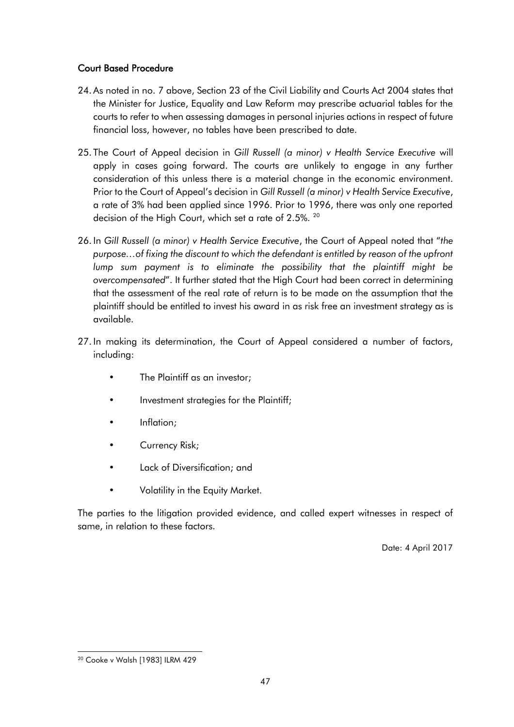# Court Based Procedure

- 24. As noted in no. 7 above, Section 23 of the Civil Liability and Courts Act 2004 states that the Minister for Justice, Equality and Law Reform may prescribe actuarial tables for the courts to refer to when assessing damages in personal injuries actions in respect of future financial loss, however, no tables have been prescribed to date.
- 25. The Court of Appeal decision in *Gill Russell (a minor) v Health Service Executive* will apply in cases going forward. The courts are unlikely to engage in any further consideration of this unless there is a material change in the economic environment. Prior to the Court of Appeal's decision in *Gill Russell (a minor) v Health Service Executive*, a rate of 3% had been applied since 1996. Prior to 1996, there was only one reported decision of the High Court, which set a rate of 2.5%. <sup>20</sup>
- 26. In *Gill Russell (a minor) v Health Service Executive*, the Court of Appeal noted that "*the purpose…of fixing the discount to which the defendant is entitled by reason of the upfront lump sum payment is to eliminate the possibility that the plaintiff might be overcompensated*". It further stated that the High Court had been correct in determining that the assessment of the real rate of return is to be made on the assumption that the plaintiff should be entitled to invest his award in as risk free an investment strategy as is available.
- 27. In making its determination, the Court of Appeal considered a number of factors, including:
	- The Plaintiff as an investor;
	- Investment strategies for the Plaintiff;
	- Inflation;
	- Currency Risk;
	- Lack of Diversification; and
	- Volatility in the Equity Market.

The parties to the litigation provided evidence, and called expert witnesses in respect of same, in relation to these factors.

Date: 4 April 2017

l <sup>20</sup> Cooke v Walsh [1983] ILRM 429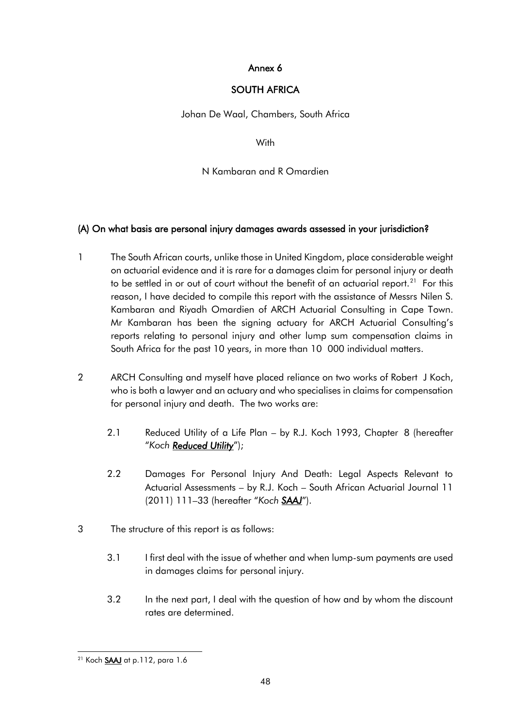## Annex 6

# SOUTH AFRICA

<span id="page-47-0"></span>Johan De Waal, Chambers, South Africa

**With** 

## N Kambaran and R Omardien

# (A) On what basis are personal injury damages awards assessed in your jurisdiction?

- 1 The South African courts, unlike those in United Kingdom, place considerable weight on actuarial evidence and it is rare for a damages claim for personal injury or death to be settled in or out of court without the benefit of an actuarial report. $^{21}$  For this reason, I have decided to compile this report with the assistance of Messrs Nilen S. Kambaran and Riyadh Omardien of ARCH Actuarial Consulting in Cape Town. Mr Kambaran has been the signing actuary for ARCH Actuarial Consulting's reports relating to personal injury and other lump sum compensation claims in South Africa for the past 10 years, in more than 10 000 individual matters.
- 2 ARCH Consulting and myself have placed reliance on two works of Robert J Koch, who is both a lawyer and an actuary and who specialises in claims for compensation for personal injury and death. The two works are:
	- 2.1 Reduced Utility of a Life Plan by R.J. Koch 1993, Chapter 8 (hereafter "*Koch Reduced Utility*");
	- 2.2 Damages For Personal Injury And Death: Legal Aspects Relevant to Actuarial Assessments – by R.J. Koch – South African Actuarial Journal 11 (2011) 111–33 (hereafter "*Koch SAAJ*").
- 3 The structure of this report is as follows:
	- 3.1 I first deal with the issue of whether and when lump-sum payments are used in damages claims for personal injury.
	- 3.2 In the next part, I deal with the question of how and by whom the discount rates are determined.

l <sup>21</sup> Koch <u>**SAAJ**</u> at p.112, para 1.6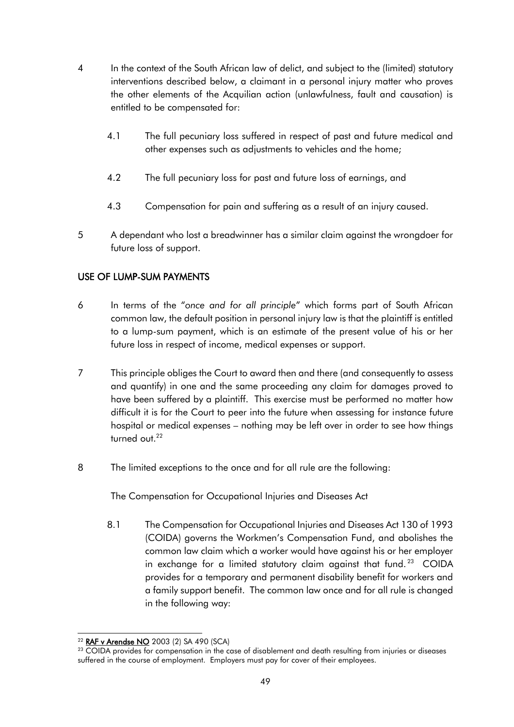- 4 In the context of the South African law of delict, and subject to the (limited) statutory interventions described below, a claimant in a personal injury matter who proves the other elements of the Acquilian action (unlawfulness, fault and causation) is entitled to be compensated for:
	- 4.1 The full pecuniary loss suffered in respect of past and future medical and other expenses such as adjustments to vehicles and the home;
	- 4.2 The full pecuniary loss for past and future loss of earnings, and
	- 4.3 Compensation for pain and suffering as a result of an injury caused.
- 5 A dependant who lost a breadwinner has a similar claim against the wrongdoer for future loss of support.

# USE OF LUMP-SUM PAYMENTS

- 6 In terms of the "*once and for all principle*" which forms part of South African common law, the default position in personal injury law is that the plaintiff is entitled to a lump-sum payment, which is an estimate of the present value of his or her future loss in respect of income, medical expenses or support.
- 7 This principle obliges the Court to award then and there (and consequently to assess and quantify) in one and the same proceeding any claim for damages proved to have been suffered by a plaintiff. This exercise must be performed no matter how difficult it is for the Court to peer into the future when assessing for instance future hospital or medical expenses – nothing may be left over in order to see how things turned out.<sup>22</sup>
- 8 The limited exceptions to the once and for all rule are the following:

The Compensation for Occupational Injuries and Diseases Act

8.1 The Compensation for Occupational Injuries and Diseases Act 130 of 1993 (COIDA) governs the Workmen's Compensation Fund, and abolishes the common law claim which a worker would have against his or her employer in exchange for a limited statutory claim against that fund.<sup>23</sup> COIDA provides for a temporary and permanent disability benefit for workers and a family support benefit. The common law once and for all rule is changed in the following way:

l <sup>22</sup> RAF v Arendse NO 2003 (2) SA 490 (SCA)

<sup>&</sup>lt;sup>23</sup> COIDA provides for compensation in the case of disablement and death resulting from injuries or diseases suffered in the course of employment. Employers must pay for cover of their employees.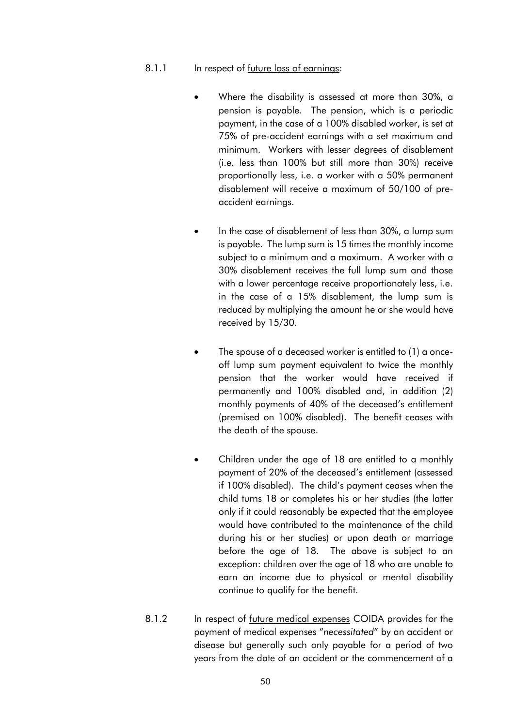#### 8.1.1 In respect of <u>future loss of earnings</u>:

- Where the disability is assessed at more than 30%, a pension is payable. The pension, which is a periodic payment, in the case of a 100% disabled worker, is set at 75% of pre-accident earnings with a set maximum and minimum. Workers with lesser degrees of disablement (i.e. less than 100% but still more than 30%) receive proportionally less, i.e. a worker with a 50% permanent disablement will receive a maximum of 50/100 of preaccident earnings.
- In the case of disablement of less than 30%, a lump sum is payable. The lump sum is 15 times the monthly income subject to a minimum and a maximum. A worker with a 30% disablement receives the full lump sum and those with a lower percentage receive proportionately less, i.e. in the case of a 15% disablement, the lump sum is reduced by multiplying the amount he or she would have received by 15/30.
- The spouse of a deceased worker is entitled to (1) a onceoff lump sum payment equivalent to twice the monthly pension that the worker would have received if permanently and 100% disabled and, in addition (2) monthly payments of 40% of the deceased's entitlement (premised on 100% disabled). The benefit ceases with the death of the spouse.
- Children under the age of 18 are entitled to a monthly payment of 20% of the deceased's entitlement (assessed if 100% disabled). The child's payment ceases when the child turns 18 or completes his or her studies (the latter only if it could reasonably be expected that the employee would have contributed to the maintenance of the child during his or her studies) or upon death or marriage before the age of 18. The above is subject to an exception: children over the age of 18 who are unable to earn an income due to physical or mental disability continue to qualify for the benefit.
- 8.1.2 In respect of future medical expenses COIDA provides for the payment of medical expenses "*necessitated*" by an accident or disease but generally such only payable for a period of two years from the date of an accident or the commencement of a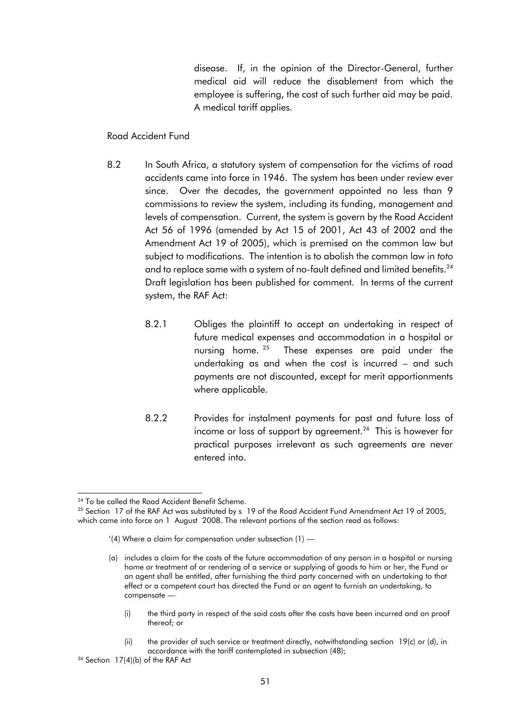disease. If, in the opinion of the Director-General, further medical aid will reduce the disablement from which the employee is suffering, the cost of such further aid may be paid. A medical tariff applies.

#### Road Accident Fund

- 8.2 In South Africa, a statutory system of compensation for the victims of road accidents came into force in 1946. The system has been under review ever since. Over the decades, the government appointed no less than 9 commissions to review the system, including its funding, management and levels of compensation. Current, the system is govern by the Road Accident Act 56 of 1996 (amended by Act 15 of 2001, Act 43 of 2002 and the Amendment Act 19 of 2005), which is premised on the common law but subject to modifications. The intention is to abolish the common law in *toto* and to replace same with a system of no-fault defined and limited benefits. $^{\mathsf{24}}$ Draft legislation has been published for comment. In terms of the current system, the RAF Act:
	- 8.2.1 Obliges the plaintiff to accept an undertaking in respect of future medical expenses and accommodation in a hospital or nursing home.<sup>25</sup> These expenses are paid under the undertaking as and when the cost is incurred – and such payments are not discounted, except for merit apportionments where applicable.
	- 8.2.2 Provides for instalment payments for past and future loss of income or loss of support by agreement. $^{26}$  This is however for practical purposes irrelevant as such agreements are never entered into.

- (i) the third party in respect of the said costs after the costs have been incurred and on proof thereof; or
- (ii) the provider of such service or treatment directly, notwithstanding section 19(c) or (d), in accordance with the tariff contemplated in subsection (4B);

l <sup>24</sup> To be called the Road Accident Benefit Scheme.

 $25$  Section 17 of the RAF Act was substituted by s 19 of the Road Accident Fund Amendment Act 19 of 2005, which came into force on 1 August 2008. The relevant portions of the section read as follows:

<sup>&#</sup>x27;(4) Where a claim for compensation under subsection  $(1)$  —

<sup>(</sup>a) includes a claim for the costs of the future accommodation of any person in a hospital or nursing home or treatment of or rendering of a service or supplying of goods to him or her, the Fund or an agent shall be entitled, after furnishing the third party concerned with an undertaking to that effect or a competent court has directed the Fund or an agent to furnish an undertaking, to compensate —

 $26$  Section 17(4)(b) of the RAF Act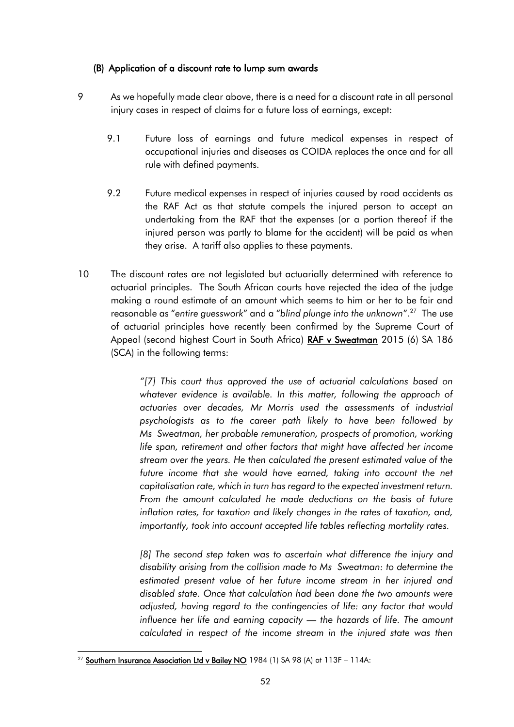## (B) Application of a discount rate to lump sum awards

- 9 As we hopefully made clear above, there is a need for a discount rate in all personal injury cases in respect of claims for a future loss of earnings, except:
	- 9.1 Future loss of earnings and future medical expenses in respect of occupational injuries and diseases as COIDA replaces the once and for all rule with defined payments.
	- 9.2 Future medical expenses in respect of injuries caused by road accidents as the RAF Act as that statute compels the injured person to accept an undertaking from the RAF that the expenses (or a portion thereof if the injured person was partly to blame for the accident) will be paid as when they arise. A tariff also applies to these payments.
- 10 The discount rates are not legislated but actuarially determined with reference to actuarial principles. The South African courts have rejected the idea of the judge making a round estimate of an amount which seems to him or her to be fair and reasonable as "*entire guesswork*" and a "*blind plunge into the unknown*".<sup>27</sup> The use of actuarial principles have recently been confirmed by the Supreme Court of Appeal (second highest Court in South Africa) RAF v Sweatman 2015 (6) SA 186 (SCA) in the following terms:

*"[7] This court thus approved the use of actuarial calculations based on whatever evidence is available. In this matter, following the approach of actuaries over decades, Mr Morris used the assessments of industrial psychologists as to the career path likely to have been followed by Ms Sweatman, her probable remuneration, prospects of promotion, working life span, retirement and other factors that might have affected her income stream over the years. He then calculated the present estimated value of the*  future income that she would have earned, taking into account the net *capitalisation rate, which in turn has regard to the expected investment return. From the amount calculated he made deductions on the basis of future inflation rates, for taxation and likely changes in the rates of taxation, and, importantly, took into account accepted life tables reflecting mortality rates.*

[8] The second step taken was to ascertain what difference the injury and *disability arising from the collision made to Ms Sweatman: to determine the estimated present value of her future income stream in her injured and disabled state. Once that calculation had been done the two amounts were adjusted, having regard to the contingencies of life: any factor that would influence her life and earning capacity — the hazards of life. The amount calculated in respect of the income stream in the injured state was then* 

l <sup>27</sup> Southern Insurance Association Ltd v Bailey NO 1984 (1) SA 98 (A) at 113F - 114A: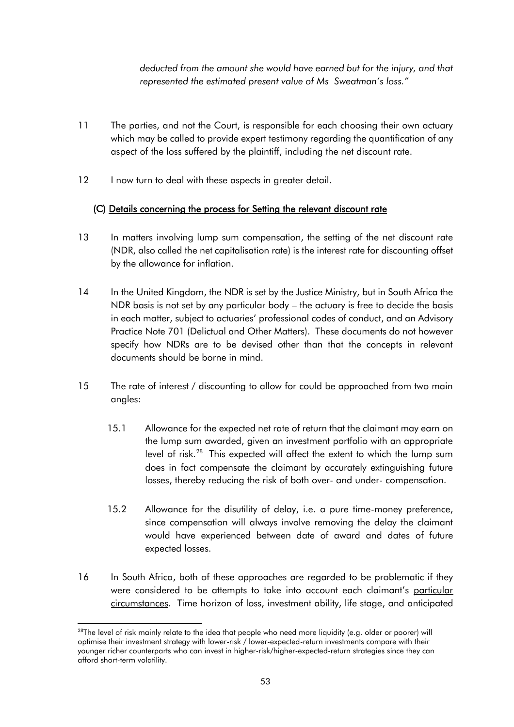*deducted from the amount she would have earned but for the injury, and that represented the estimated present value of Ms Sweatman's loss."*

- 11 The parties, and not the Court, is responsible for each choosing their own actuary which may be called to provide expert testimony regarding the quantification of any aspect of the loss suffered by the plaintiff, including the net discount rate.
- 12 I now turn to deal with these aspects in greater detail.

# (C) Details concerning the process for Setting the relevant discount rate

- 13 In matters involving lump sum compensation, the setting of the net discount rate (NDR, also called the net capitalisation rate) is the interest rate for discounting offset by the allowance for inflation.
- 14 In the United Kingdom, the NDR is set by the Justice Ministry, but in South Africa the NDR basis is not set by any particular body – the actuary is free to decide the basis in each matter, subject to actuaries' professional codes of conduct, and an Advisory Practice Note 701 (Delictual and Other Matters). These documents do not however specify how NDRs are to be devised other than that the concepts in relevant documents should be borne in mind.
- 15 The rate of interest / discounting to allow for could be approached from two main angles:
	- 15.1 Allowance for the expected net rate of return that the claimant may earn on the lump sum awarded, given an investment portfolio with an appropriate level of risk.<sup>28</sup> This expected will affect the extent to which the lump sum does in fact compensate the claimant by accurately extinguishing future losses, thereby reducing the risk of both over- and under- compensation.
	- 15.2 Allowance for the disutility of delay, i.e. a pure time-money preference, since compensation will always involve removing the delay the claimant would have experienced between date of award and dates of future expected losses.
- 16 In South Africa, both of these approaches are regarded to be problematic if they were considered to be attempts to take into account each claimant's particular circumstances. Time horizon of loss, investment ability, life stage, and anticipated

l <sup>28</sup>The level of risk mainly relate to the idea that people who need more liquidity (e.g. older or poorer) will optimise their investment strategy with lower-risk / lower-expected-return investments compare with their younger richer counterparts who can invest in higher-risk/higher-expected-return strategies since they can afford short-term volatility.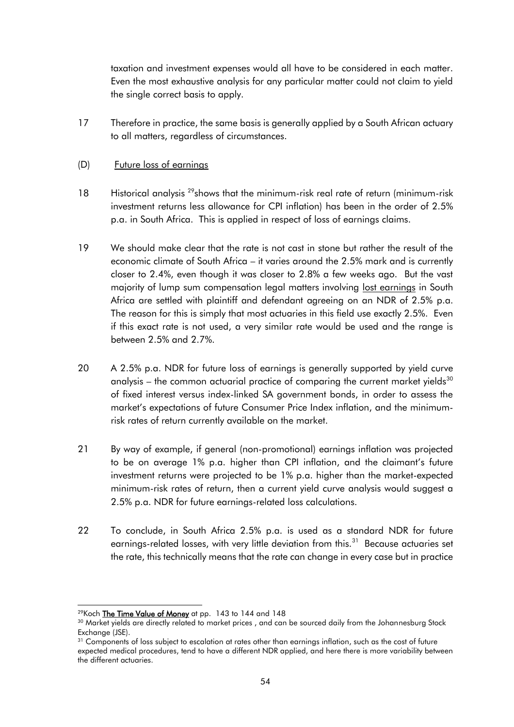taxation and investment expenses would all have to be considered in each matter. Even the most exhaustive analysis for any particular matter could not claim to yield the single correct basis to apply.

17 Therefore in practice, the same basis is generally applied by a South African actuary to all matters, regardless of circumstances.

## (D) Future loss of earnings

- 18 Historical analysis <sup>29</sup>shows that the minimum-risk real rate of return (minimum-risk investment returns less allowance for CPI inflation) has been in the order of 2.5% p.a. in South Africa. This is applied in respect of loss of earnings claims.
- 19 We should make clear that the rate is not cast in stone but rather the result of the economic climate of South Africa – it varies around the 2.5% mark and is currently closer to 2.4%, even though it was closer to 2.8% a few weeks ago. But the vast majority of lump sum compensation legal matters involving lost earnings in South Africa are settled with plaintiff and defendant agreeing on an NDR of 2.5% p.a. The reason for this is simply that most actuaries in this field use exactly 2.5%. Even if this exact rate is not used, a very similar rate would be used and the range is between 2.5% and 2.7%.
- 20 A 2.5% p.a. NDR for future loss of earnings is generally supported by yield curve analysis – the common actuarial practice of comparing the current market yields $30$ of fixed interest versus index-linked SA government bonds, in order to assess the market's expectations of future Consumer Price Index inflation, and the minimumrisk rates of return currently available on the market.
- 21 By way of example, if general (non-promotional) earnings inflation was projected to be on average 1% p.a. higher than CPI inflation, and the claimant's future investment returns were projected to be 1% p.a. higher than the market-expected minimum-risk rates of return, then a current yield curve analysis would suggest a 2.5% p.a. NDR for future earnings-related loss calculations.
- 22 To conclude, in South Africa 2.5% p.a. is used as a standard NDR for future earnings-related losses, with very little deviation from this.<sup>31</sup> Because actuaries set the rate, this technically means that the rate can change in every case but in practice

<sup>&</sup>lt;sup>29</sup>Koch <mark>The Time Value of Money</mark> at pp. 143 to 144 and 148

<sup>&</sup>lt;sup>30</sup> Market yields are directly related to market prices, and can be sourced daily from the Johannesburg Stock Exchange (JSE).

<sup>&</sup>lt;sup>31</sup> Components of loss subject to escalation at rates other than earnings inflation, such as the cost of future expected medical procedures, tend to have a different NDR applied, and here there is more variability between the different actuaries.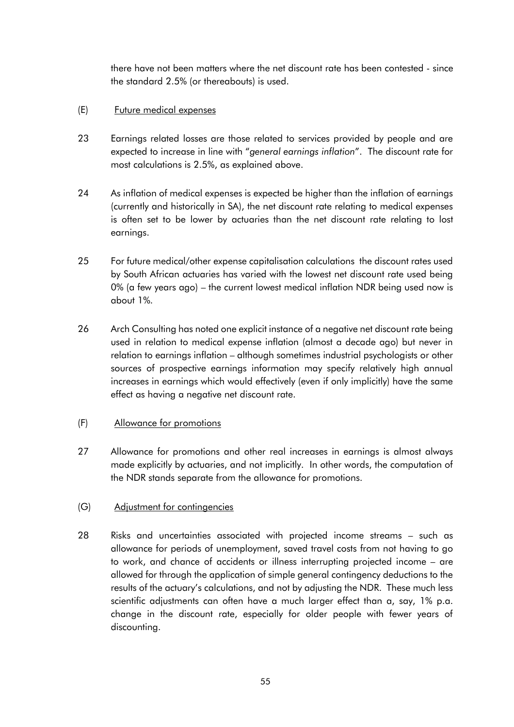there have not been matters where the net discount rate has been contested - since the standard 2.5% (or thereabouts) is used.

## (E) Future medical expenses

- 23 Earnings related losses are those related to services provided by people and are expected to increase in line with "*general earnings inflation*". The discount rate for most calculations is 2.5%, as explained above.
- 24 As inflation of medical expenses is expected be higher than the inflation of earnings (currently and historically in SA), the net discount rate relating to medical expenses is often set to be lower by actuaries than the net discount rate relating to lost earnings.
- 25 For future medical/other expense capitalisation calculations the discount rates used by South African actuaries has varied with the lowest net discount rate used being 0% (a few years ago) – the current lowest medical inflation NDR being used now is about 1%.
- 26 Arch Consulting has noted one explicit instance of a negative net discount rate being used in relation to medical expense inflation (almost a decade ago) but never in relation to earnings inflation – although sometimes industrial psychologists or other sources of prospective earnings information may specify relatively high annual increases in earnings which would effectively (even if only implicitly) have the same effect as having a negative net discount rate.

## (F) Allowance for promotions

27 Allowance for promotions and other real increases in earnings is almost always made explicitly by actuaries, and not implicitly. In other words, the computation of the NDR stands separate from the allowance for promotions.

## (G) Adjustment for contingencies

28 Risks and uncertainties associated with projected income streams – such as allowance for periods of unemployment, saved travel costs from not having to go to work, and chance of accidents or illness interrupting projected income – are allowed for through the application of simple general contingency deductions to the results of the actuary's calculations, and not by adjusting the NDR. These much less scientific adjustments can often have a much larger effect than a, say, 1% p.a. change in the discount rate, especially for older people with fewer years of discounting.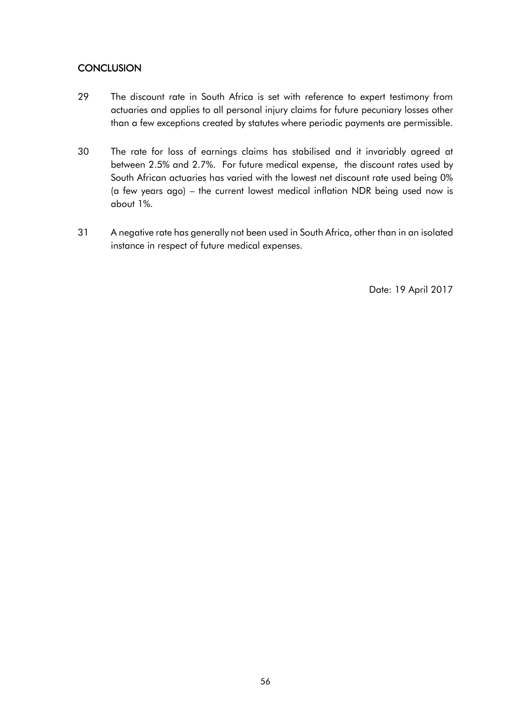# **CONCLUSION**

- 29 The discount rate in South Africa is set with reference to expert testimony from actuaries and applies to all personal injury claims for future pecuniary losses other than a few exceptions created by statutes where periodic payments are permissible.
- 30 The rate for loss of earnings claims has stabilised and it invariably agreed at between 2.5% and 2.7%. For future medical expense, the discount rates used by South African actuaries has varied with the lowest net discount rate used being 0% (a few years ago) – the current lowest medical inflation NDR being used now is about 1%.
- 31 A negative rate has generally not been used in South Africa, other than in an isolated instance in respect of future medical expenses.

Date: 19 April 2017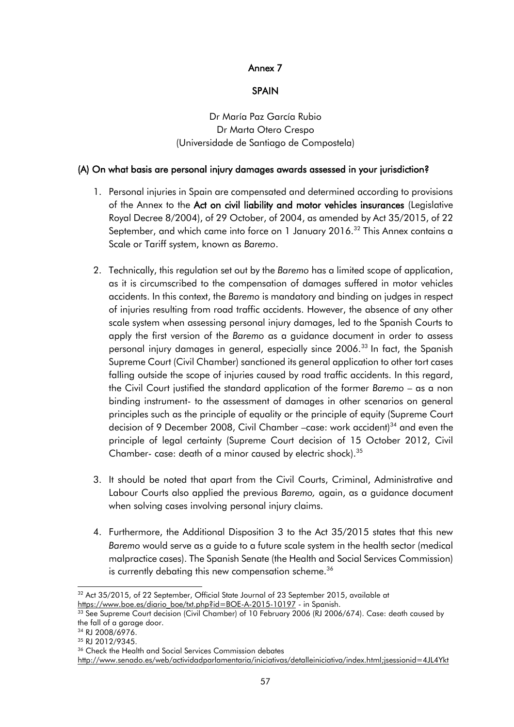## Annex 7

## SPAIN

<span id="page-56-0"></span>Dr María Paz García Rubio Dr Marta Otero Crespo (Universidade de Santiago de Compostela)

## (A) On what basis are personal injury damages awards assessed in your jurisdiction?

- 1. Personal injuries in Spain are compensated and determined according to provisions of the Annex to the Act on civil liability and motor vehicles insurances (Legislative Royal Decree 8/2004), of 29 October, of 2004, as amended by Act 35/2015, of 22 September, and which came into force on 1 January 2016.<sup>32</sup> This Annex contains a Scale or Tariff system, known as *Baremo*.
- 2. Technically, this regulation set out by the *Baremo* has a limited scope of application, as it is circumscribed to the compensation of damages suffered in motor vehicles accidents. In this context, the *Baremo* is mandatory and binding on judges in respect of injuries resulting from road traffic accidents. However, the absence of any other scale system when assessing personal injury damages, led to the Spanish Courts to apply the first version of the *Baremo* as a guidance document in order to assess personal injury damages in general, especially since 2006.<sup>33</sup> In fact, the Spanish Supreme Court (Civil Chamber) sanctioned its general application to other tort cases falling outside the scope of injuries caused by road traffic accidents. In this regard, the Civil Court justified the standard application of the former *Baremo* – as a non binding instrument- to the assessment of damages in other scenarios on general principles such as the principle of equality or the principle of equity (Supreme Court decision of 9 December 2008, Civil Chamber –case: work accident)<sup>34</sup> and even the principle of legal certainty (Supreme Court decision of 15 October 2012, Civil Chamber- case: death of a minor caused by electric shock).<sup>35</sup>
- 3. It should be noted that apart from the Civil Courts, Criminal, Administrative and Labour Courts also applied the previous *Baremo,* again, as a guidance document when solving cases involving personal injury claims.
- 4. Furthermore, the Additional Disposition 3 to the Act 35/2015 states that this new *Baremo* would serve as a guide to a future scale system in the health sector (medical malpractice cases). The Spanish Senate (the Health and Social Services Commission) is currently debating this new compensation scheme.<sup>36</sup>

l  $32$  Act 35/2015, of 22 September, Official State Journal of 23 September 2015, available at [https://www.boe.es/diario\\_boe/txt.php?id=BOE-A-2015-10197](https://www.boe.es/diario_boe/txt.php?id=BOE-A-2015-10197) - in Spanish.

<sup>&</sup>lt;sup>33</sup> See Supreme Court decision (Civil Chamber) of 10 February 2006 (RJ 2006/674). Case: death caused by the fall of a garage door.

<sup>34</sup> RJ 2008/6976.

<sup>35</sup> RJ 2012/9345.

<sup>&</sup>lt;sup>36</sup> Check the Health and Social Services Commission debates

[http://www.senado.es/web/actividadparlamentaria/iniciativas/detalleiniciativa/index.html;jsessionid=4JL4Ykt](http://www.senado.es/web/actividadparlamentaria/iniciativas/detalleiniciativa/index.html;jsessionid=4JL4YktYyXQnN2TQbJm5TvrJQP22qdC77MhvhYG9tbhQKnJJSCtB!-1571990532?legis=12&id1=661&id2=000389)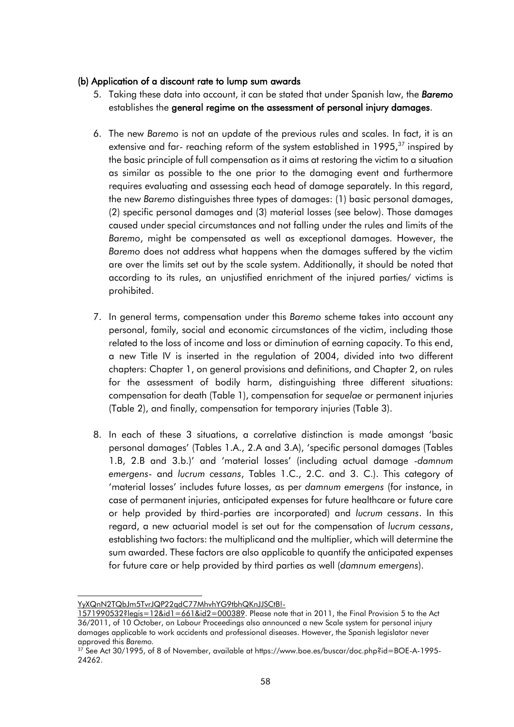## (b) Application of a discount rate to lump sum awards

- 5. Taking these data into account, it can be stated that under Spanish law, the *Baremo* establishes the general regime on the assessment of personal injury damages.
- 6. The new *Baremo* is not an update of the previous rules and scales. In fact, it is an extensive and far- reaching reform of the system established in 1995,<sup>37</sup> inspired by the basic principle of full compensation as it aims at restoring the victim to a situation as similar as possible to the one prior to the damaging event and furthermore requires evaluating and assessing each head of damage separately. In this regard, the new *Baremo* distinguishes three types of damages: (1) basic personal damages, (2) specific personal damages and (3) material losses (see below). Those damages caused under special circumstances and not falling under the rules and limits of the *Baremo*, might be compensated as well as exceptional damages. However, the *Baremo* does not address what happens when the damages suffered by the victim are over the limits set out by the scale system. Additionally, it should be noted that according to its rules, an unjustified enrichment of the injured parties/ victims is prohibited.
- 7. In general terms, compensation under this *Baremo* scheme takes into account any personal, family, social and economic circumstances of the victim, including those related to the loss of income and loss or diminution of earning capacity. To this end, a new Title IV is inserted in the regulation of 2004, divided into two different chapters: Chapter 1, on general provisions and definitions, and Chapter 2, on rules for the assessment of bodily harm, distinguishing three different situations: compensation for death (Table 1), compensation for *sequelae* or permanent injuries (Table 2), and finally, compensation for temporary injuries (Table 3).
- 8. In each of these 3 situations, a correlative distinction is made amongst 'basic personal damages' (Tables 1.A., 2.A and 3.A), 'specific personal damages (Tables 1.B, 2.B and 3.b.)' and 'material losses' (including actual damage -*damnum emergens*- and *lucrum cessans*, Tables 1.C., 2.C. and 3. C.). This category of 'material losses' includes future losses, as per *damnum emergens* (for instance, in case of permanent injuries, anticipated expenses for future healthcare or future care or help provided by third-parties are incorporated) and *lucrum cessans*. In this regard, a new actuarial model is set out for the compensation of *lucrum cessans*, establishing two factors: the multiplicand and the multiplier, which will determine the sum awarded. These factors are also applicable to quantify the anticipated expenses for future care or help provided by third parties as well (*damnum emergens*).

l [YyXQnN2TQbJm5TvrJQP22qdC77MhvhYG9tbhQKnJJSCtB!-](http://www.senado.es/web/actividadparlamentaria/iniciativas/detalleiniciativa/index.html;jsessionid=4JL4YktYyXQnN2TQbJm5TvrJQP22qdC77MhvhYG9tbhQKnJJSCtB!-1571990532?legis=12&id1=661&id2=000389)

[<sup>1571990532?</sup>legis=12&id1=661&id2=000389.](http://www.senado.es/web/actividadparlamentaria/iniciativas/detalleiniciativa/index.html;jsessionid=4JL4YktYyXQnN2TQbJm5TvrJQP22qdC77MhvhYG9tbhQKnJJSCtB!-1571990532?legis=12&id1=661&id2=000389) Please note that in 2011, the Final Provision 5 to the Act 36/2011, of 10 October, on Labour Proceedings also announced a new Scale system for personal injury damages applicable to work accidents and professional diseases. However, the Spanish legislator never approved this *Baremo.*

<sup>&</sup>lt;sup>37</sup> See Act 30/1995, of 8 of November, available at https://www.boe.es/buscar/doc.php?id=BOE-A-1995-24262.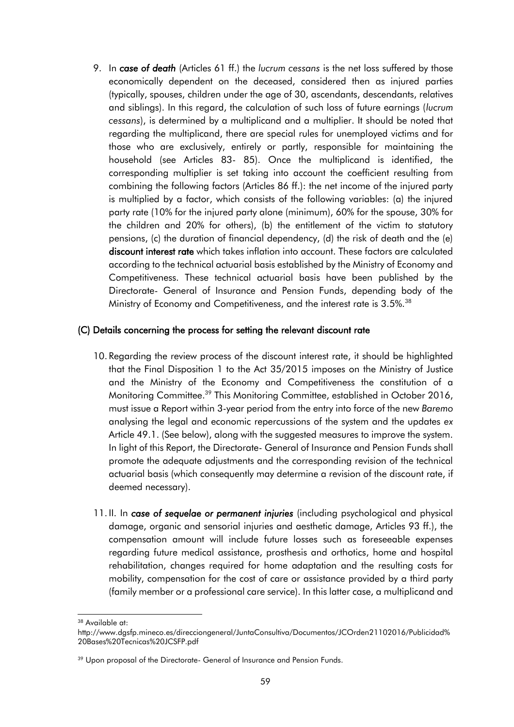9. In *case of death* (Articles 61 ff.) the *lucrum cessans* is the net loss suffered by those economically dependent on the deceased, considered then as injured parties (typically, spouses, children under the age of 30, ascendants, descendants, relatives and siblings). In this regard, the calculation of such loss of future earnings (*lucrum cessans*), is determined by a multiplicand and a multiplier. It should be noted that regarding the multiplicand, there are special rules for unemployed victims and for those who are exclusively, entirely or partly, responsible for maintaining the household (see Articles 83- 85). Once the multiplicand is identified, the corresponding multiplier is set taking into account the coefficient resulting from combining the following factors (Articles 86 ff.): the net income of the injured party is multiplied by a factor, which consists of the following variables: (a) the injured party rate (10% for the injured party alone (minimum), 60% for the spouse, 30% for the children and 20% for others), (b) the entitlement of the victim to statutory pensions, (c) the duration of financial dependency, (d) the risk of death and the (e) discount interest rate which takes inflation into account. These factors are calculated according to the technical actuarial basis established by the Ministry of Economy and Competitiveness. These technical actuarial basis have been published by the Directorate- General of Insurance and Pension Funds, depending body of the Ministry of Economy and Competitiveness, and the interest rate is 3.5%.<sup>38</sup>

#### (C) Details concerning the process for setting the relevant discount rate

- 10. Regarding the review process of the discount interest rate, it should be highlighted that the Final Disposition 1 to the Act 35/2015 imposes on the Ministry of Justice and the Ministry of the Economy and Competitiveness the constitution of a Monitoring Committee.<sup>39</sup> This Monitoring Committee, established in October 2016, must issue a Report within 3-year period from the entry into force of the new *Baremo* analysing the legal and economic repercussions of the system and the updates *ex*  Article 49.1. (See below), along with the suggested measures to improve the system. In light of this Report, the Directorate- General of Insurance and Pension Funds shall promote the adequate adjustments and the corresponding revision of the technical actuarial basis (which consequently may determine a revision of the discount rate, if deemed necessary).
- 11. II. In *case of sequelae or permanent injuries* (including psychological and physical damage, organic and sensorial injuries and aesthetic damage, Articles 93 ff.), the compensation amount will include future losses such as foreseeable expenses regarding future medical assistance, prosthesis and orthotics, home and hospital rehabilitation, changes required for home adaptation and the resulting costs for mobility, compensation for the cost of care or assistance provided by a third party (family member or a professional care service). In this latter case, a multiplicand and

<sup>38</sup> Available at:

http://www.dgsfp.mineco.es/direcciongeneral/JuntaConsultiva/Documentos/JCOrden21102016/Publicidad% 20Bases%20Tecnicas%20JCSFP.pdf

<sup>&</sup>lt;sup>39</sup> Upon proposal of the Directorate- General of Insurance and Pension Funds.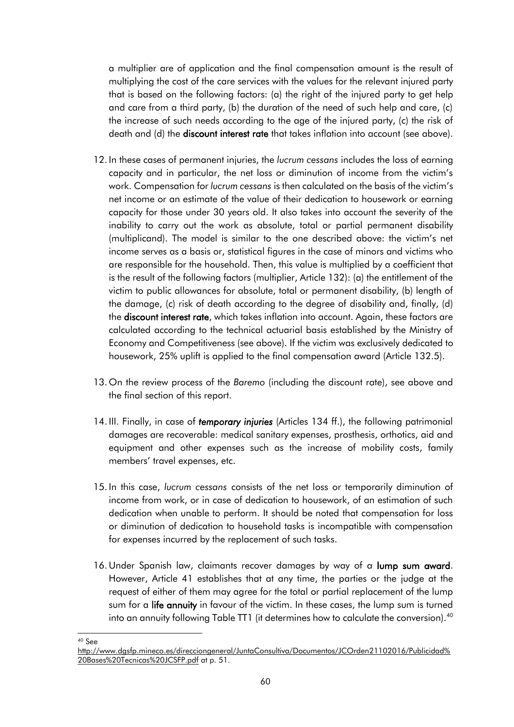a multiplier are of application and the final compensation amount is the result of multiplying the cost of the care services with the values for the relevant injured party that is based on the following factors: (a) the right of the injured party to get help and care from a third party, (b) the duration of the need of such help and care, (c) the increase of such needs according to the age of the injured party, (c) the risk of death and (d) the discount interest rate that takes inflation into account (see above).

- 12. In these cases of permanent injuries, the *lucrum cessans* includes the loss of earning capacity and in particular, the net loss or diminution of income from the victim's work. Compensation for *lucrum cessans* is then calculated on the basis of the victim's net income or an estimate of the value of their dedication to housework or earning capacity for those under 30 years old. It also takes into account the severity of the inability to carry out the work as absolute, total or partial permanent disability (multiplicand). The model is similar to the one described above: the victim's net income serves as a basis or, statistical figures in the case of minors and victims who are responsible for the household. Then, this value is multiplied by a coefficient that is the result of the following factors (multiplier, Article 132): (a) the entitlement of the victim to public allowances for absolute, total or permanent disability, (b) length of the damage, (c) risk of death according to the degree of disability and, finally, (d) the discount interest rate, which takes inflation into account. Again, these factors are calculated according to the technical actuarial basis established by the Ministry of Economy and Competitiveness (see above). If the victim was exclusively dedicated to housework, 25% uplift is applied to the final compensation award (Article 132.5).
- 13. On the review process of the *Baremo* (including the discount rate), see above and the final section of this report.
- 14. III. Finally, in case of *temporary injuries* (Articles 134 ff.), the following patrimonial damages are recoverable: medical sanitary expenses, prosthesis, orthotics, aid and equipment and other expenses such as the increase of mobility costs, family members' travel expenses, etc.
- 15. In this case, *lucrum cessans* consists of the net loss or temporarily diminution of income from work, or in case of dedication to housework, of an estimation of such dedication when unable to perform. It should be noted that compensation for loss or diminution of dedication to household tasks is incompatible with compensation for expenses incurred by the replacement of such tasks.
- 16. Under Spanish law, claimants recover damages by way of a lump sum award. However, Article 41 establishes that at any time, the parties or the judge at the request of either of them may agree for the total or partial replacement of the lump sum for a life annuity in favour of the victim. In these cases, the lump sum is turned into an annuity following Table TT1 (it determines how to calculate the conversion).<sup>40</sup>

l <sup>40</sup> See

[http://www.dgsfp.mineco.es/direcciongeneral/JuntaConsultiva/Documentos/JCOrden21102016/Publicidad%](http://www.dgsfp.mineco.es/direcciongeneral/JuntaConsultiva/Documentos/JCOrden21102016/Publicidad%20Bases%20Tecnicas%20JCSFP.pdf) [20Bases%20Tecnicas%20JCSFP.pdf](http://www.dgsfp.mineco.es/direcciongeneral/JuntaConsultiva/Documentos/JCOrden21102016/Publicidad%20Bases%20Tecnicas%20JCSFP.pdf) at p. 51.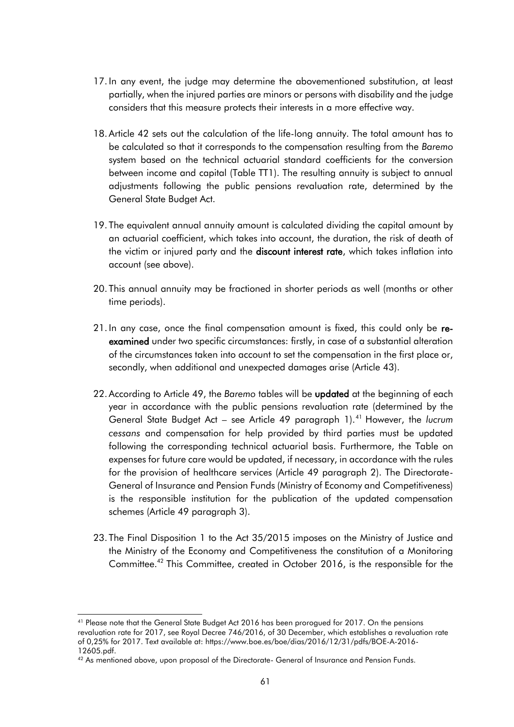- 17. In any event, the judge may determine the abovementioned substitution, at least partially, when the injured parties are minors or persons with disability and the judge considers that this measure protects their interests in a more effective way.
- 18. Article 42 sets out the calculation of the life-long annuity. The total amount has to be calculated so that it corresponds to the compensation resulting from the *Baremo* system based on the technical actuarial standard coefficients for the conversion between income and capital (Table TT1). The resulting annuity is subject to annual adjustments following the public pensions revaluation rate, determined by the General State Budget Act.
- 19. The equivalent annual annuity amount is calculated dividing the capital amount by an actuarial coefficient, which takes into account, the duration, the risk of death of the victim or injured party and the **discount interest rate**, which takes inflation into account (see above).
- 20. This annual annuity may be fractioned in shorter periods as well (months or other time periods).
- 21. In any case, once the final compensation amount is fixed, this could only be reexamined under two specific circumstances: firstly, in case of a substantial alteration of the circumstances taken into account to set the compensation in the first place or, secondly, when additional and unexpected damages arise (Article 43).
- 22. According to Article 49, the *Baremo* tables will be updated at the beginning of each year in accordance with the public pensions revaluation rate (determined by the General State Budget Act – see Article 49 paragraph 1).<sup>41</sup> However, the *lucrum cessans* and compensation for help provided by third parties must be updated following the corresponding technical actuarial basis. Furthermore, the Table on expenses for future care would be updated, if necessary, in accordance with the rules for the provision of healthcare services (Article 49 paragraph 2). The Directorate-General of Insurance and Pension Funds (Ministry of Economy and Competitiveness) is the responsible institution for the publication of the updated compensation schemes (Article 49 paragraph 3).
- 23. The Final Disposition 1 to the Act 35/2015 imposes on the Ministry of Justice and the Ministry of the Economy and Competitiveness the constitution of a Monitoring Committee.<sup>42</sup> This Committee, created in October 2016, is the responsible for the

l <sup>41</sup> Please note that the General State Budget Act 2016 has been prorogued for 2017. On the pensions revaluation rate for 2017, see Royal Decree 746/2016, of 30 December, which establishes a revaluation rate of 0,25% for 2017. Text available at: https://www.boe.es/boe/dias/2016/12/31/pdfs/BOE-A-2016- 12605.pdf.

 $42$  As mentioned above, upon proposal of the Directorate- General of Insurance and Pension Funds.